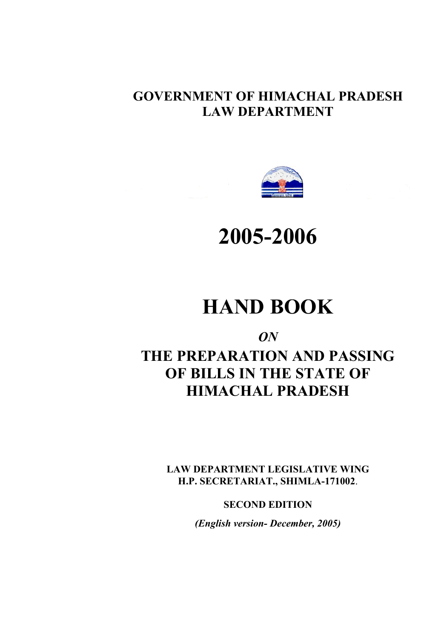## **GOVERNMENT OF HIMACHAL PRADESH LAW DEPARTMENT**



# **2005-2006**

## **HAND BOOK**

*ON* 

## **THE PREPARATION AND PASSING OF BILLS IN THE STATE OF HIMACHAL PRADESH**

**LAW DEPARTMENT LEGISLATIVE WING H.P. SECRETARIAT., SHIMLA-171002**.

**SECOND EDITION**

*(English version- December, 2005)*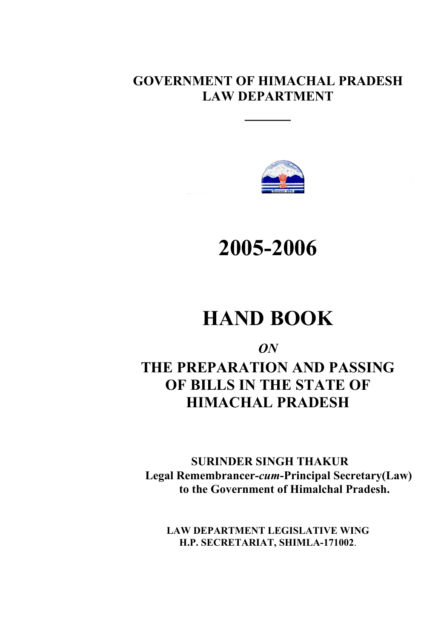## **GOVERNMENT OF HIMACHAL PRADESH LAW DEPARTMENT**

**\_\_\_\_\_\_**



# **2005-2006**

## **HAND BOOK**

### *ON*

## **THE PREPARATION AND PASSING OF BILLS IN THE STATE OF HIMACHAL PRADESH**

**SURINDER SINGH THAKUR Legal Remembrancer-***cum***-Principal Secretary(Law) to the Government of Himalchal Pradesh.**

**LAW DEPARTMENT LEGISLATIVE WING H.P. SECRETARIAT, SHIMLA-171002**.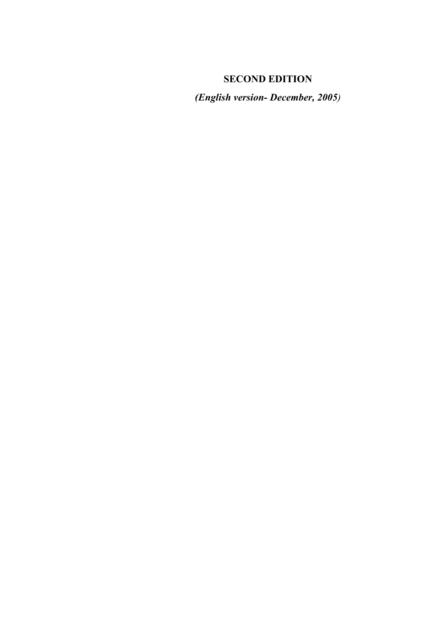### **SECOND EDITION**

*(English version- December, 2005)*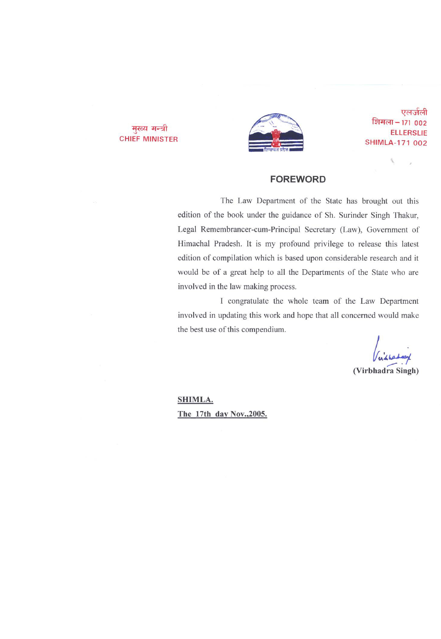मुख्य मन्त्री **CHIEF MINISTER** 



एलर्जली **शिमला - 171 002 ELLERSLIE SHIMLA-171 002** 

 $\tilde{\gamma}_{\rm E}$ 

 $\bar{z}$ 

#### **FOREWORD**

The Law Department of the State has brought out this edition of the book under the guidance of Sh. Surinder Singh Thakur, Legal Remembrancer-cum-Principal Secretary (Law), Government of Himachal Pradesh. It is my profound privilege to release this latest edition of compilation which is based upon considerable research and it would be of a great help to all the Departments of the State who are involved in the law making process.

I congratulate the whole team of the Law Department involved in updating this work and hope that all concerned would make the best use of this compendium.

(Virbhadra Singh)

**SHIMLA.** The 17th day Nov., 2005.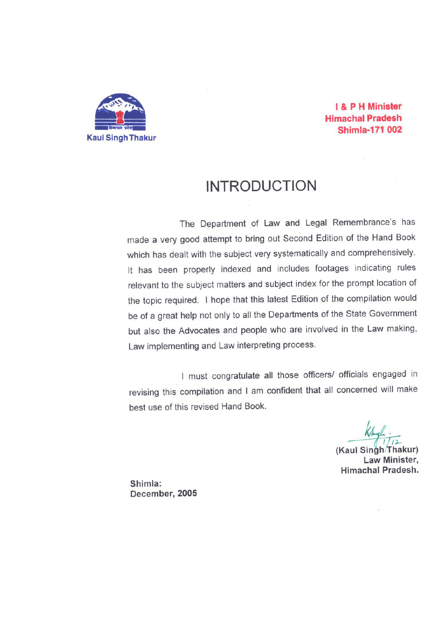

**I & P H Minister Himachal Pradesh Shimla-171 002** 

## **INTRODUCTION**

The Department of Law and Legal Remembrance's has made a very good attempt to bring out Second Edition of the Hand Book which has dealt with the subject very systematically and comprehensively. It has been properly indexed and includes footages indicating rules relevant to the subject matters and subject index for the prompt location of the topic required. I hope that this latest Edition of the compilation would be of a great help not only to all the Departments of the State Government but also the Advocates and people who are involved in the Law making, Law implementing and Law interpreting process.

I must congratulate all those officers/ officials engaged in revising this compilation and I am confident that all concerned will make best use of this revised Hand Book.

(Kaul Singh/Thakur) Law Minister. Himachal Pradesh.

Shimla: December, 2005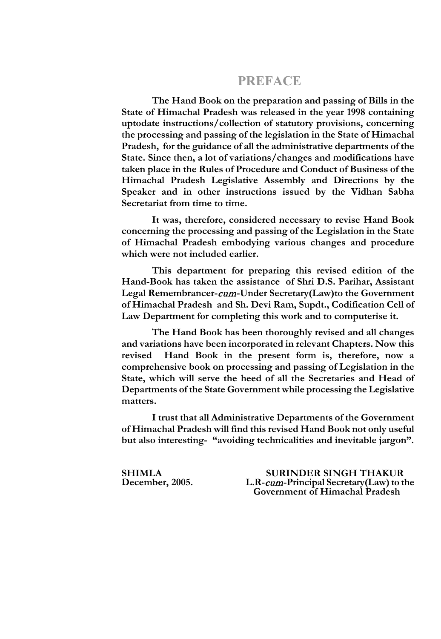### **PREFACE**

**The Hand Book on the preparation and passing of Bills in the State of Himachal Pradesh was released in the year 1998 containing uptodate instructions/collection of statutory provisions, concerning the processing and passing of the legislation in the State of Himachal Pradesh, for the guidance of all the administrative departments of the State. Since then, a lot of variations/changes and modifications have taken place in the Rules of Procedure and Conduct of Business of the Himachal Pradesh Legislative Assembly and Directions by the Speaker and in other instructions issued by the Vidhan Sabha Secretariat from time to time.**

**It was, therefore, considered necessary to revise Hand Book concerning the processing and passing of the Legislation in the State of Himachal Pradesh embodying various changes and procedure which were not included earlier.**

**This department for preparing this revised edition of the Hand-Book has taken the assistance of Shri D.S. Parihar, Assistant Legal Remembrancer-**cum**-Under Secretary(Law)to the Government of Himachal Pradesh and Sh. Devi Ram, Supdt., Codification Cell of Law Department for completing this work and to computerise it.**

**The Hand Book has been thoroughly revised and all changes and variations have been incorporated in relevant Chapters. Now this revised Hand Book in the present form is, therefore, now a comprehensive book on processing and passing of Legislation in the State, which will serve the heed of all the Secretaries and Head of Departments of the State Government while processing the Legislative matters.**

**I trust that all Administrative Departments of the Government of Himachal Pradesh will find this revised Hand Book not only useful but also interesting- "avoiding technicalities and inevitable jargon".**

**SHIMLA SURINDER SINGH THAKUR**<br>December, 2005. L.R-*cum*-Principal Secretary(Law) to the **December, 2005. L.R-**cum**-Principal Secretary(Law) to the Government of Himachal Pradesh**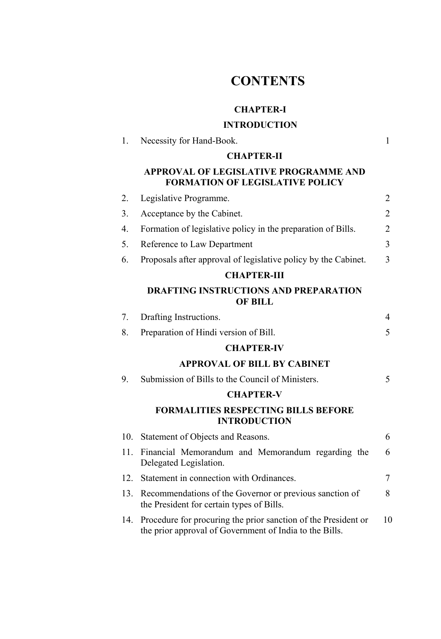## **CONTENTS**

#### **CHAPTER-I**

#### **INTRODUCTION**

| 1.               | Necessity for Hand-Book.                                                                             |                |  |
|------------------|------------------------------------------------------------------------------------------------------|----------------|--|
|                  | <b>CHAPTER-II</b>                                                                                    |                |  |
|                  | <b>APPROVAL OF LEGISLATIVE PROGRAMME AND</b><br><b>FORMATION OF LEGISLATIVE POLICY</b>               |                |  |
| 2.               | Legislative Programme.                                                                               | $\overline{2}$ |  |
| 3.               | Acceptance by the Cabinet.                                                                           |                |  |
| $\overline{4}$ . | Formation of legislative policy in the preparation of Bills.                                         |                |  |
| 5.               | Reference to Law Department                                                                          |                |  |
| 6.               | Proposals after approval of legislative policy by the Cabinet.                                       | $\overline{3}$ |  |
|                  | <b>CHAPTER-III</b>                                                                                   |                |  |
|                  | <b>DRAFTING INSTRUCTIONS AND PREPARATION</b><br><b>OF BILL</b>                                       |                |  |
| 7.               | Drafting Instructions.                                                                               | $\overline{4}$ |  |
| 8.               | Preparation of Hindi version of Bill.                                                                | 5              |  |
|                  | <b>CHAPTER-IV</b>                                                                                    |                |  |
|                  | <b>APPROVAL OF BILL BY CABINET</b>                                                                   |                |  |
| 9.               | Submission of Bills to the Council of Ministers.                                                     | 5              |  |
|                  | <b>CHAPTER-V</b>                                                                                     |                |  |
|                  | <b>FORMALITIES RESPECTING BILLS BEFORE</b><br><b>INTRODUCTION</b>                                    |                |  |
| 10.              | Statement of Objects and Reasons.                                                                    | 6              |  |
| 11.              | Financial Memorandum and Memorandum regarding the<br>Delegated Legislation.                          | 6              |  |
| 12.              | Statement in connection with Ordinances.                                                             | $\tau$         |  |
| 13.              | Recommendations of the Governor or previous sanction of<br>the President for certain types of Bills. | 8              |  |
|                  | 14 Procedure for procuring the prior sanction of the President or                                    | 10             |  |

14. Procedure for procuring the prior sanction of the President or the prior approval of Government of India to the Bills. 10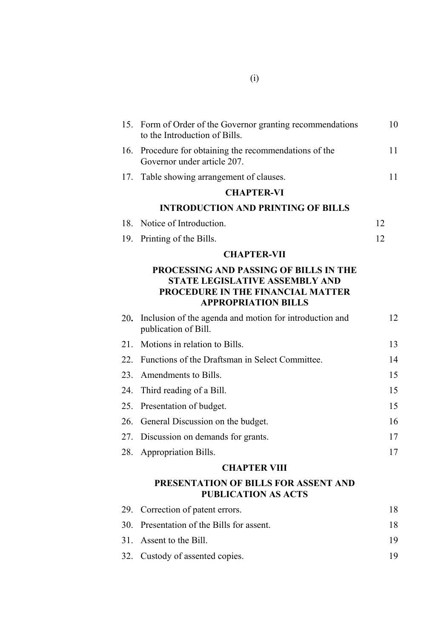|     | 15. Form of Order of the Governor granting recommendations<br>to the Introduction of Bills.                                                        | 10 |
|-----|----------------------------------------------------------------------------------------------------------------------------------------------------|----|
|     | 16. Procedure for obtaining the recommendations of the<br>Governor under article 207.                                                              | 11 |
| 17. | Table showing arrangement of clauses.                                                                                                              | 11 |
|     | <b>CHAPTER-VI</b>                                                                                                                                  |    |
|     | <b>INTRODUCTION AND PRINTING OF BILLS</b>                                                                                                          |    |
|     | 18. Notice of Introduction.                                                                                                                        | 12 |
|     | 19. Printing of the Bills.                                                                                                                         | 12 |
|     | <b>CHAPTER-VII</b>                                                                                                                                 |    |
|     | PROCESSING AND PASSING OF BILLS IN THE<br><b>STATE LEGISLATIVE ASSEMBLY AND</b><br>PROCEDURE IN THE FINANCIAL MATTER<br><b>APPROPRIATION BILLS</b> |    |
| 20. | Inclusion of the agenda and motion for introduction and<br>publication of Bill.                                                                    | 12 |
|     | 21. Motions in relation to Bills.                                                                                                                  | 13 |
|     | 22. Functions of the Draftsman in Select Committee.                                                                                                | 14 |
| 23  | Amendments to Bills.                                                                                                                               | 15 |
| 24. | Third reading of a Bill.                                                                                                                           | 15 |
|     | 25. Presentation of budget.                                                                                                                        | 15 |
|     | 26. General Discussion on the budget.                                                                                                              | 16 |
|     | 27. Discussion on demands for grants.                                                                                                              | 17 |
| 28. | Appropriation Bills.                                                                                                                               | 17 |
|     | <b>CHAPTER VIII</b>                                                                                                                                |    |
|     | PRESENTATION OF BILLS FOR ASSENT AND<br><b>PUBLICATION AS ACTS</b>                                                                                 |    |
| 29. | Correction of patent errors.                                                                                                                       | 18 |
| 30. | Presentation of the Bills for assent.                                                                                                              | 18 |
| 31. | Assent to the Bill.                                                                                                                                | 19 |
|     | 32. Custody of assented copies.                                                                                                                    | 19 |

(i)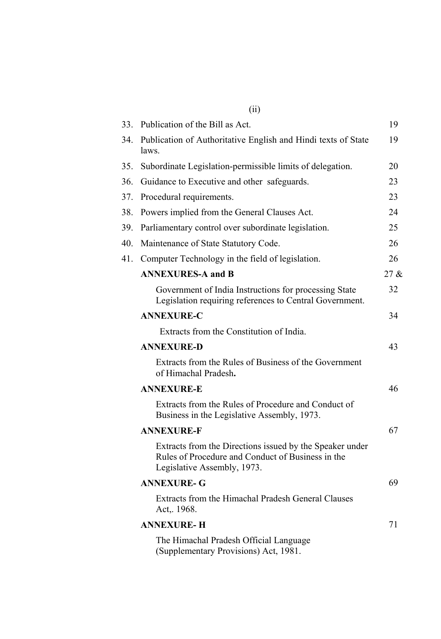| (ii) |                                                                                                                                              |      |  |  |
|------|----------------------------------------------------------------------------------------------------------------------------------------------|------|--|--|
|      | 33. Publication of the Bill as Act.                                                                                                          |      |  |  |
| 34.  | Publication of Authoritative English and Hindi texts of State<br>laws.                                                                       |      |  |  |
| 35.  | Subordinate Legislation-permissible limits of delegation.                                                                                    |      |  |  |
| 36.  | Guidance to Executive and other safeguards.                                                                                                  |      |  |  |
| 37.  | Procedural requirements.                                                                                                                     |      |  |  |
| 38.  | Powers implied from the General Clauses Act.                                                                                                 |      |  |  |
| 39.  | Parliamentary control over subordinate legislation.                                                                                          |      |  |  |
| 40.  | Maintenance of State Statutory Code.                                                                                                         |      |  |  |
| 41.  | Computer Technology in the field of legislation.                                                                                             | 26   |  |  |
|      | <b>ANNEXURES-A and B</b>                                                                                                                     | 27 & |  |  |
|      | Government of India Instructions for processing State<br>Legislation requiring references to Central Government.                             | 32   |  |  |
|      | <b>ANNEXURE-C</b>                                                                                                                            | 34   |  |  |
|      | Extracts from the Constitution of India.                                                                                                     |      |  |  |
|      | <b>ANNEXURE-D</b>                                                                                                                            | 43   |  |  |
|      | Extracts from the Rules of Business of the Government<br>of Himachal Pradesh.                                                                |      |  |  |
|      | <b>ANNEXURE-E</b>                                                                                                                            |      |  |  |
|      | Extracts from the Rules of Procedure and Conduct of<br>Business in the Legislative Assembly, 1973.                                           |      |  |  |
|      | <b>ANNEXURE-F</b>                                                                                                                            | 67   |  |  |
|      | Extracts from the Directions issued by the Speaker under<br>Rules of Procedure and Conduct of Business in the<br>Legislative Assembly, 1973. |      |  |  |
|      | ANNEXURE- G                                                                                                                                  | 69   |  |  |
|      | Extracts from the Himachal Pradesh General Clauses<br>Act. 1968.                                                                             |      |  |  |
|      | <b>ANNEXURE-H</b>                                                                                                                            | 71   |  |  |
|      | The Himachal Pradesh Official Language<br>(Supplementary Provisions) Act, 1981.                                                              |      |  |  |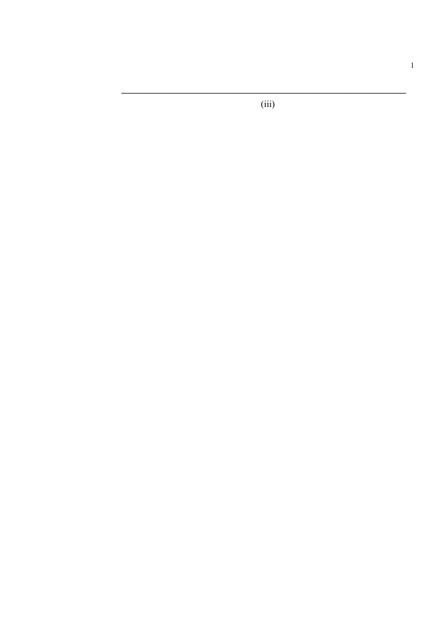<span id="page-10-1"></span><span id="page-10-0"></span> $(iii)$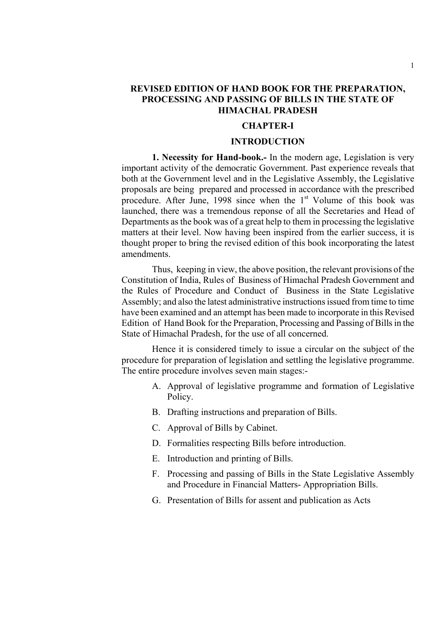#### **REVISED EDITION OF HAND BOOK FOR THE PREPARATION, PROCESSING AND PASSING OF BILLS IN THE STATE OF HIMACHAL PRADESH**

#### **CHAPTER-I**

#### **INTRODUCTION**

**1. Necessity for Hand-book.-** In the modern age, Legislation is very important activity of the democratic Government. Past experience reveals that both at the Government level and in the Legislative Assembly, the Legislative proposals are being prepared and processed in accordance with the prescribed procedure. After June, 1998 since when the  $1<sup>st</sup>$  Volume of this book was launched, there was a tremendous reponse of all the Secretaries and Head of Departments as the book was of a great help to them in processing the legislative matters at their level. Now having been inspired from the earlier success, it is thought proper to bring the revised edition of this book incorporating the latest amendments.

Thus, keeping in view, the above position, the relevant provisions of the Constitution of India, Rules of Business of Himachal Pradesh Government and the Rules of Procedure and Conduct of Business in the State Legislative Assembly; and also the latest administrative instructions issued from time to time have been examined and an attempt has been made to incorporate in this Revised Edition of Hand Book for the Preparation, Processing and Passing of Bills in the State of Himachal Pradesh, for the use of all concerned.

Hence it is considered timely to issue a circular on the subject of the procedure for preparation of legislation and settling the legislative programme. The entire procedure involves seven main stages:-

- A. Approval of legislative programme and formation of Legislative Policy.
- B. Drafting instructions and preparation of Bills.
- C. Approval of Bills by Cabinet.
- D. Formalities respecting Bills before introduction.
- E. Introduction and printing of Bills.
- F. Processing and passing of Bills in the State Legislative Assembly and Procedure in Financial Matters- Appropriation Bills.
- <span id="page-12-2"></span><span id="page-12-1"></span><span id="page-12-0"></span>G. Presentation of Bills for assent and publication as Acts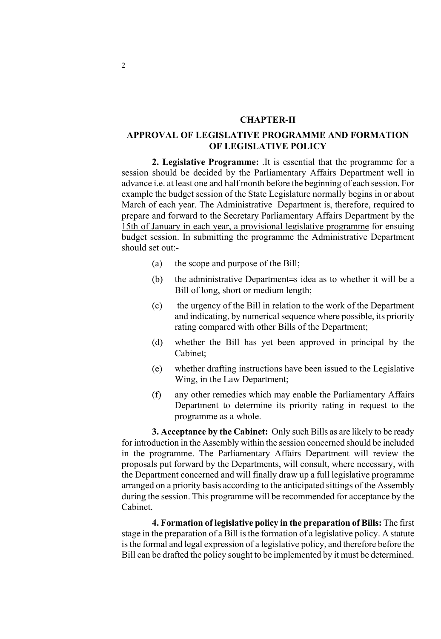#### **CHAPTER-II**

#### **APPROVAL OF LEGISLATIVE PROGRAMME AND FORMATION OF LEGISLATIVE POLICY**

**2. Legislative Programme:** .It is essential that the programme for a session should be decided by the Parliamentary Affairs Department well in advance i.e. at least one and half month before the beginning of each session. For example the budget session of the State Legislature normally begins in or about March of each year. The Administrative Department is, therefore, required to prepare and forward to the Secretary Parliamentary Affairs Department by the 15th of January in each year, a provisional legislative programme for ensuing budget session. In submitting the programme the Administrative Department should set out:-

- (a) the scope and purpose of the Bill;
- (b) the administrative Department=s idea as to whether it will be a Bill of long, short or medium length;
- (c) the urgency of the Bill in relation to the work of the Department and indicating, by numerical sequence where possible, its priority rating compared with other Bills of the Department;
- (d) whether the Bill has yet been approved in principal by the Cabinet;
- (e) whether drafting instructions have been issued to the Legislative Wing, in the Law Department;
- (f) any other remedies which may enable the Parliamentary Affairs Department to determine its priority rating in request to the programme as a whole.

**3. Acceptance by the Cabinet:** Only such Bills as are likely to be ready for introduction in the Assembly within the session concerned should be included in the programme. The Parliamentary Affairs Department will review the proposals put forward by the Departments, will consult, where necessary, with the Department concerned and will finally draw up a full legislative programme arranged on a priority basis according to the anticipated sittings of the Assembly during the session. This programme will be recommended for acceptance by the Cabinet.

<span id="page-13-4"></span><span id="page-13-3"></span><span id="page-13-2"></span><span id="page-13-1"></span><span id="page-13-0"></span>**4. Formation of legislative policy in the preparation of Bills:** The first stage in the preparation of a Bill is the formation of a legislative policy. A statute is the formal and legal expression of a legislative policy, and therefore before the Bill can be drafted the policy sought to be implemented by it must be determined.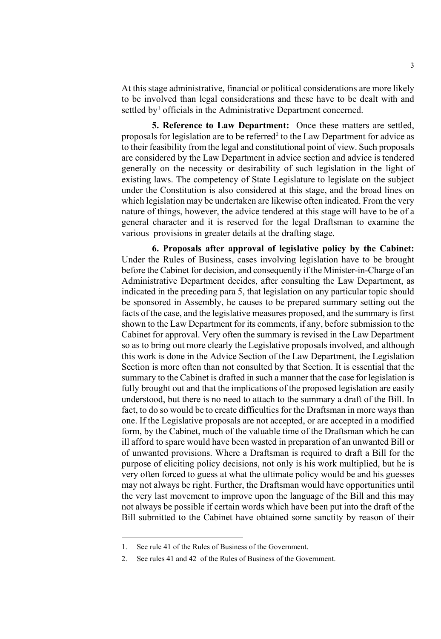At this stage administrative, financial or political considerations are more likely to be involved than legal considerations and these have to be dealt with and settled by<sup>[1](#page-10-0)</sup> officials in the Administrative Department concerned.

**5. Reference to Law Department:** Once these matters are settled, proposals for legislation are to be referred [2](#page-10-1) to the Law Department for advice as to their feasibility from the legal and constitutional point of view. Such proposals are considered by the Law Department in advice section and advice is tendered generally on the necessity or desirability of such legislation in the light of existing laws. The competency of State Legislature to legislate on the subject under the Constitution is also considered at this stage, and the broad lines on which legislation may be undertaken are likewise often indicated. From the very nature of things, however, the advice tendered at this stage will have to be of a general character and it is reserved for the legal Draftsman to examine the various provisions in greater details at the drafting stage.

**6. Proposals after approval of legislative policy by the Cabinet:** Under the Rules of Business, cases involving legislation have to be brought before the Cabinet for decision, and consequently if the Minister-in-Charge of an Administrative Department decides, after consulting the Law Department, as indicated in the preceding para 5, that legislation on any particular topic should be sponsored in Assembly, he causes to be prepared summary setting out the facts of the case, and the legislative measures proposed, and the summary is first shown to the Law Department for its comments, if any, before submission to the Cabinet for approval. Very often the summary is revised in the Law Department so as to bring out more clearly the Legislative proposals involved, and although this work is done in the Advice Section of the Law Department, the Legislation Section is more often than not consulted by that Section. It is essential that the summary to the Cabinet is drafted in such a manner that the case for legislation is fully brought out and that the implications of the proposed legislation are easily understood, but there is no need to attach to the summary a draft of the Bill. In fact, to do so would be to create difficulties for the Draftsman in more ways than one. If the Legislative proposals are not accepted, or are accepted in a modified form, by the Cabinet, much of the valuable time of the Draftsman which he can ill afford to spare would have been wasted in preparation of an unwanted Bill or of unwanted provisions. Where a Draftsman is required to draft a Bill for the purpose of eliciting policy decisions, not only is his work multiplied, but he is very often forced to guess at what the ultimate policy would be and his guesses may not always be right. Further, the Draftsman would have opportunities until the very last movement to improve upon the language of the Bill and this may not always be possible if certain words which have been put into the draft of the Bill submitted to the Cabinet have obtained some sanctity by reason of their

 <sup>1.</sup> See rule 41 of the Rules of Business of the Government.

<span id="page-14-1"></span><span id="page-14-0"></span><sup>2.</sup> See rules 41 and 42 of the Rules of Business of the Government.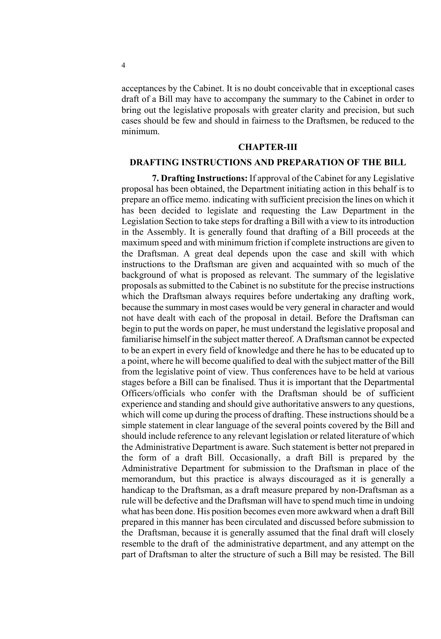acceptances by the Cabinet. It is no doubt conceivable that in exceptional cases draft of a Bill may have to accompany the summary to the Cabinet in order to bring out the legislative proposals with greater clarity and precision, but such cases should be few and should in fairness to the Draftsmen, be reduced to the minimum.

#### **CHAPTER-III**

#### **DRAFTING INSTRUCTIONS AND PREPARATION OF THE BILL**

**7. Drafting Instructions:** If approval of the Cabinet for any Legislative proposal has been obtained, the Department initiating action in this behalf is to prepare an office memo. indicating with sufficient precision the lines on which it has been decided to legislate and requesting the Law Department in the Legislation Section to take steps for drafting a Bill with a view to its introduction in the Assembly. It is generally found that drafting of a Bill proceeds at the maximum speed and with minimum friction if complete instructions are given to the Draftsman. A great deal depends upon the case and skill with which instructions to the Draftsman are given and acquainted with so much of the background of what is proposed as relevant. The summary of the legislative proposals as submitted to the Cabinet is no substitute for the precise instructions which the Draftsman always requires before undertaking any drafting work, because the summary in most cases would be very general in character and would not have dealt with each of the proposal in detail. Before the Draftsman can begin to put the words on paper, he must understand the legislative proposal and familiarise himself in the subject matter thereof. A Draftsman cannot be expected to be an expert in every field of knowledge and there he has to be educated up to a point, where he will become qualified to deal with the subject matter of the Bill from the legislative point of view. Thus conferences have to be held at various stages before a Bill can be finalised. Thus it is important that the Departmental Officers/officials who confer with the Draftsman should be of sufficient experience and standing and should give authoritative answers to any questions, which will come up during the process of drafting. These instructions should be a simple statement in clear language of the several points covered by the Bill and should include reference to any relevant legislation or related literature of which the Administrative Department is aware. Such statement is better not prepared in the form of a draft Bill. Occasionally, a draft Bill is prepared by the Administrative Department for submission to the Draftsman in place of the memorandum, but this practice is always discouraged as it is generally a handicap to the Draftsman, as a draft measure prepared by non-Draftsman as a rule will be defective and the Draftsman will have to spend much time in undoing what has been done. His position becomes even more awkward when a draft Bill prepared in this manner has been circulated and discussed before submission to the Draftsman, because it is generally assumed that the final draft will closely resemble to the draft of the administrative department, and any attempt on the part of Draftsman to alter the structure of such a Bill may be resisted. The Bill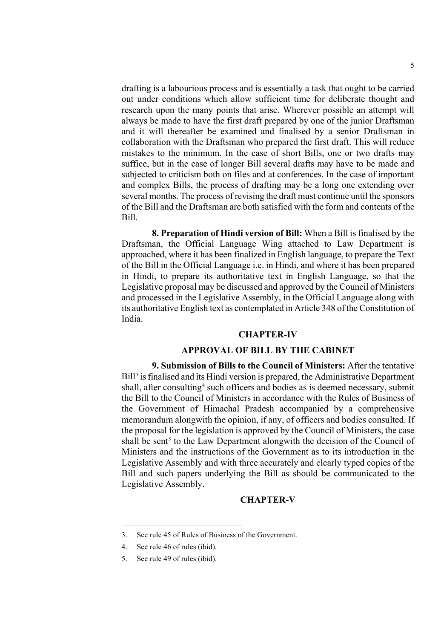drafting is a labourious process and is essentially a task that ought to be carried out under conditions which allow sufficient time for deliberate thought and research upon the many points that arise. Wherever possible an attempt will always be made to have the first draft prepared by one of the junior Draftsman and it will thereafter be examined and finalised by a senior Draftsman in collaboration with the Draftsman who prepared the first draft. This will reduce mistakes to the minimum. In the case of short Bills, one or two drafts may suffice, but in the case of longer Bill several drafts may have to be made and subjected to criticism both on files and at conferences. In the case of important and complex Bills, the process of drafting may be a long one extending over several months. The process of revising the draft must continue until the sponsors of the Bill and the Draftsman are both satisfied with the form and contents of the Bill.

**8. Preparation of Hindi version of Bill:** When a Bill is finalised by the Draftsman, the Official Language Wing attached to Law Department is approached, where it has been finalized in English language, to prepare the Text of the Bill in the Official Language i.e. in Hindi, and where it has been prepared in Hindi, to prepare its authoritative text in English Language, so that the Legislative proposal may be discussed and approved by the Council of Ministers and processed in the Legislative Assembly, in the Official Language along with its authoritative English text as contemplated in Article 348 of the Constitution of India.

#### **CHAPTER-IV**

#### **APPROVAL OF BILL BY THE CABINET**

**9. Submission of Bills to the Council of Ministers:** After the tentative Bill<sup>[3](#page-12-0)</sup> is finalised and its Hindi version is prepared, the Administrative Department shall, after consulting<sup>[4](#page-12-1)</sup> such officers and bodies as is deemed necessary, submit the Bill to the Council of Ministers in accordance with the Rules of Business of the Government of Himachal Pradesh accompanied by a comprehensive memorandum alongwith the opinion, if any, of officers and bodies consulted. If the proposal for the legislation is approved by the Council of Ministers, the case shall be sent<sup>[5](#page-12-2)</sup> to the Law Department alongwith the decision of the Council of Ministers and the instructions of the Government as to its introduction in the Legislative Assembly and with three accurately and clearly typed copies of the Bill and such papers underlying the Bill as should be communicated to the Legislative Assembly.

#### **CHAPTER-V**

 <sup>3.</sup> See rule 45 of Rules of Business of the Government.

<sup>4.</sup> See rule 46 of rules (ibid).

<span id="page-16-1"></span><span id="page-16-0"></span><sup>5.</sup> See rule 49 of rules (ibid).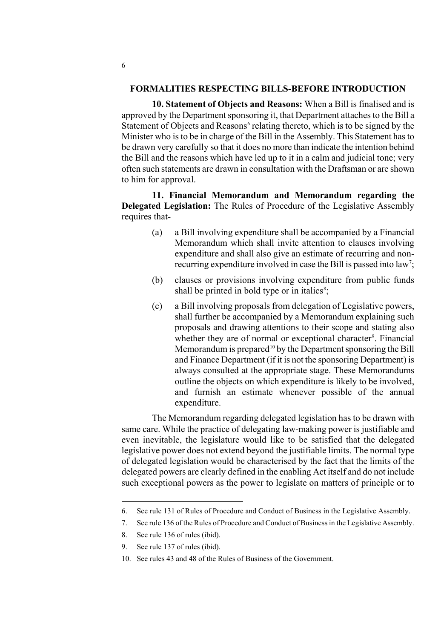#### **FORMALITIES RESPECTING BILLS-BEFORE INTRODUCTION**

**10. Statement of Objects and Reasons:** When a Bill is finalised and is approved by the Department sponsoring it, that Department attaches to the Bill a Statement of Objects and Reasons<sup>[6](#page-13-0)</sup> relating thereto, which is to be signed by the Minister who is to be in charge of the Bill in the Assembly. This Statement has to be drawn very carefully so that it does no more than indicate the intention behind the Bill and the reasons which have led up to it in a calm and judicial tone; very often such statements are drawn in consultation with the Draftsman or are shown to him for approval.

**11. Financial Memorandum and Memorandum regarding the Delegated Legislation:** The Rules of Procedure of the Legislative Assembly requires that-

- (a) a Bill involving expenditure shall be accompanied by a Financial Memorandum which shall invite attention to clauses involving expenditure and shall also give an estimate of recurring and nonrecurring expenditure involved in case the Bill is passed into law<sup>7</sup>;
- (b) clauses or provisions involving expenditure from public funds shall be printed in bold type or in italics<sup>[8](#page-13-2)</sup>;
- (c) a Bill involving proposals from delegation of Legislative powers, shall further be accompanied by a Memorandum explaining such proposals and drawing attentions to their scope and stating also whether they are of normal or exceptional character<sup>[9](#page-13-3)</sup>. Financial Memorandum is prepared<sup>[10](#page-13-4)</sup> by the Department sponsoring the Bill and Finance Department (if it is not the sponsoring Department) is always consulted at the appropriate stage. These Memorandums outline the objects on which expenditure is likely to be involved, and furnish an estimate whenever possible of the annual expenditure.

The Memorandum regarding delegated legislation has to be drawn with same care. While the practice of delegating law-making power is justifiable and even inevitable, the legislature would like to be satisfied that the delegated legislative power does not extend beyond the justifiable limits. The normal type of delegated legislation would be characterised by the fact that the limits of the delegated powers are clearly defined in the enabling Act itself and do not include such exceptional powers as the power to legislate on matters of principle or to

- 9. See rule 137 of rules (ibid).
- <span id="page-17-0"></span>10. See rules 43 and 48 of the Rules of Business of the Government.

 <sup>6.</sup> See rule 131 of Rules of Procedure and Conduct of Business in the Legislative Assembly.

<sup>7.</sup> See rule 136 of the Rules of Procedure and Conduct of Business in the Legislative Assembly.

<sup>8.</sup> See rule 136 of rules (ibid).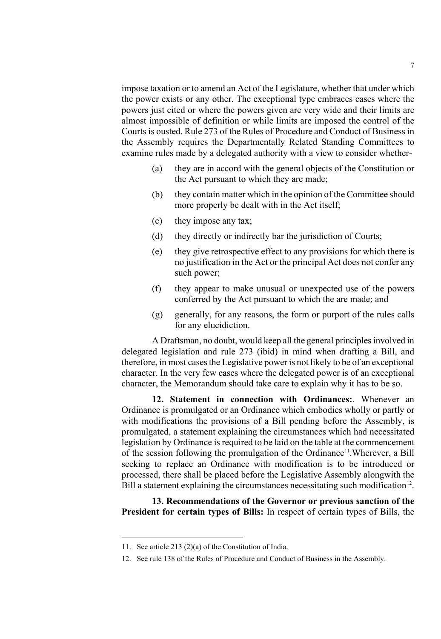impose taxation or to amend an Act of the Legislature, whether that under which the power exists or any other. The exceptional type embraces cases where the powers just cited or where the powers given are very wide and their limits are almost impossible of definition or while limits are imposed the control of the Courts is ousted. Rule 273 of the Rules of Procedure and Conduct of Business in the Assembly requires the Departmentally Related Standing Committees to examine rules made by a delegated authority with a view to consider whether-

- (a) they are in accord with the general objects of the Constitution or the Act pursuant to which they are made;
- (b) they contain matter which in the opinion of the Committee should more properly be dealt with in the Act itself;
- (c) they impose any tax;
- (d) they directly or indirectly bar the jurisdiction of Courts;
- (e) they give retrospective effect to any provisions for which there is no justification in the Act or the principal Act does not confer any such power;
- (f) they appear to make unusual or unexpected use of the powers conferred by the Act pursuant to which the are made; and
- (g) generally, for any reasons, the form or purport of the rules calls for any elucidiction.

A Draftsman, no doubt, would keep all the general principles involved in delegated legislation and rule 273 (ibid) in mind when drafting a Bill, and therefore, in most cases the Legislative power is not likely to be of an exceptional character. In the very few cases where the delegated power is of an exceptional character, the Memorandum should take care to explain why it has to be so.

**12. Statement in connection with Ordinances:**. Whenever an Ordinance is promulgated or an Ordinance which embodies wholly or partly or with modifications the provisions of a Bill pending before the Assembly, is promulgated, a statement explaining the circumstances which had necessitated legislation by Ordinance is required to be laid on the table at the commencement of the session following the promulgation of the Ordinance[11](#page-14-0).Wherever, a Bill seeking to replace an Ordinance with modification is to be introduced or processed, there shall be placed before the Legislative Assembly alongwith the Bill a statement explaining the circumstances necessitating such modification $12$ .

**13. Recommendations of the Governor or previous sanction of the President for certain types of Bills:** In respect of certain types of Bills, the

 <sup>11.</sup> See article 213 (2)(a) of the Constitution of India.

<span id="page-18-0"></span><sup>12.</sup> See rule 138 of the Rules of Procedure and Conduct of Business in the Assembly.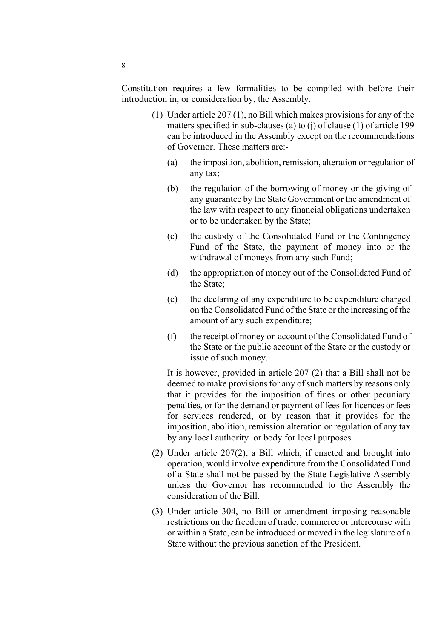Constitution requires a few formalities to be compiled with before their introduction in, or consideration by, the Assembly.

- (1) Under article 207 (1), no Bill which makes provisions for any of the matters specified in sub-clauses (a) to (j) of clause (1) of article 199 can be introduced in the Assembly except on the recommendations of Governor. These matters are:-
	- (a) the imposition, abolition, remission, alteration or regulation of any tax;
	- (b) the regulation of the borrowing of money or the giving of any guarantee by the State Government or the amendment of the law with respect to any financial obligations undertaken or to be undertaken by the State;
	- (c) the custody of the Consolidated Fund or the Contingency Fund of the State, the payment of money into or the withdrawal of moneys from any such Fund;
	- (d) the appropriation of money out of the Consolidated Fund of the State;
	- (e) the declaring of any expenditure to be expenditure charged on the Consolidated Fund of the State or the increasing of the amount of any such expenditure;
	- (f) the receipt of money on account of the Consolidated Fund of the State or the public account of the State or the custody or issue of such money.

It is however, provided in article 207 (2) that a Bill shall not be deemed to make provisions for any of such matters by reasons only that it provides for the imposition of fines or other pecuniary penalties, or for the demand or payment of fees for licences or fees for services rendered, or by reason that it provides for the imposition, abolition, remission alteration or regulation of any tax by any local authority or body for local purposes.

- (2) Under article 207(2), a Bill which, if enacted and brought into operation, would involve expenditure from the Consolidated Fund of a State shall not be passed by the State Legislative Assembly unless the Governor has recommended to the Assembly the consideration of the Bill.
- <span id="page-19-1"></span><span id="page-19-0"></span>(3) Under article 304, no Bill or amendment imposing reasonable restrictions on the freedom of trade, commerce or intercourse with or within a State, can be introduced or moved in the legislature of a State without the previous sanction of the President.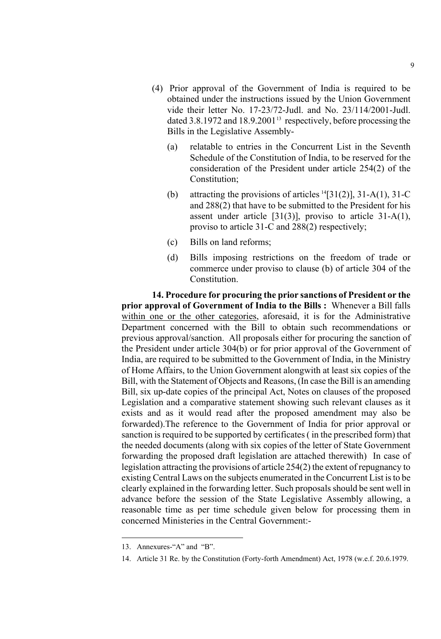- (4) Prior approval of the Government of India is required to be obtained under the instructions issued by the Union Government vide their letter No. 17-23/72-Judl. and No. 23/114/2001-Judl. dated 3.8.1972 and 18.9.2001<sup>[13](#page-16-0)</sup> respectively, before processing the Bills in the Legislative Assembly-
	- (a) relatable to entries in the Concurrent List in the Seventh Schedule of the Constitution of India, to be reserved for the consideration of the President under article 254(2) of the Constitution;
	- (b) attracting the provisions of articles  $^{14}[31(2)]$  $^{14}[31(2)]$  $^{14}[31(2)]$ , 31-A(1), 31-C and 288(2) that have to be submitted to the President for his assent under article  $[31(3)]$ , proviso to article 31-A(1), proviso to article 31-C and 288(2) respectively;
	- (c) Bills on land reforms;
	- (d) Bills imposing restrictions on the freedom of trade or commerce under proviso to clause (b) of article 304 of the Constitution.

**14. Procedure for procuring the prior sanctions of President or the prior approval of Government of India to the Bills :** Whenever a Bill falls within one or the other categories, aforesaid, it is for the Administrative Department concerned with the Bill to obtain such recommendations or previous approval/sanction. All proposals either for procuring the sanction of the President under article 304(b) or for prior approval of the Government of India, are required to be submitted to the Government of India, in the Ministry of Home Affairs, to the Union Government alongwith at least six copies of the Bill, with the Statement of Objects and Reasons, (In case the Bill is an amending Bill, six up-date copies of the principal Act, Notes on clauses of the proposed Legislation and a comparative statement showing such relevant clauses as it exists and as it would read after the proposed amendment may also be forwarded).The reference to the Government of India for prior approval or sanction is required to be supported by certificates ( in the prescribed form) that the needed documents (along with six copies of the letter of State Government forwarding the proposed draft legislation are attached therewith) In case of legislation attracting the provisions of article 254(2) the extent of repugnancy to existing Central Laws on the subjects enumerated in the Concurrent List is to be clearly explained in the forwarding letter. Such proposals should be sent well in advance before the session of the State Legislative Assembly allowing, a reasonable time as per time schedule given below for processing them in concerned Ministeries in the Central Government:-

<span id="page-20-1"></span><span id="page-20-0"></span> <sup>13.</sup> Annexures-"A" and "B".

<span id="page-20-3"></span><span id="page-20-2"></span><sup>14.</sup> Article 31 Re. by the Constitution (Forty-forth Amendment) Act, 1978 (w.e.f. 20.6.1979.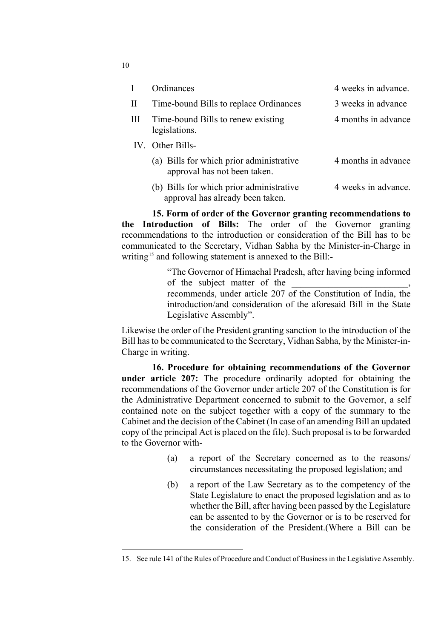|   | Ordinances                                                                   | 4 weeks in advance. |
|---|------------------------------------------------------------------------------|---------------------|
| П | Time-bound Bills to replace Ordinances                                       | 3 weeks in advance  |
| Ш | Time-bound Bills to renew existing<br>legislations.                          | 4 months in advance |
|   | IV. Other Bills-                                                             |                     |
|   | (a) Bills for which prior administrative<br>approval has not been taken.     | 4 months in advance |
|   | (b) Bills for which prior administrative<br>approval has already been taken. | 4 weeks in advance. |

**15. Form of order of the Governor granting recommendations to the Introduction of Bills:** The order of the Governor granting recommendations to the introduction or consideration of the Bill has to be communicated to the Secretary, Vidhan Sabha by the Minister-in-Charge in writing<sup>[15](#page-17-0)</sup> and following statement is annexed to the Bill:-

> "The Governor of Himachal Pradesh, after having being informed of the subject matter of the

> recommends, under article 207 of the Constitution of India, the introduction/and consideration of the aforesaid Bill in the State Legislative Assembly".

Likewise the order of the President granting sanction to the introduction of the Bill has to be communicated to the Secretary, Vidhan Sabha, by the Minister-in-Charge in writing.

**16. Procedure for obtaining recommendations of the Governor under article 207:** The procedure ordinarily adopted for obtaining the recommendations of the Governor under article 207 of the Constitution is for the Administrative Department concerned to submit to the Governor, a self contained note on the subject together with a copy of the summary to the Cabinet and the decision of the Cabinet (In case of an amending Bill an updated copy of the principal Act is placed on the file). Such proposal is to be forwarded to the Governor with-

- (a) a report of the Secretary concerned as to the reasons/ circumstances necessitating the proposed legislation; and
- (b) a report of the Law Secretary as to the competency of the State Legislature to enact the proposed legislation and as to whether the Bill, after having been passed by the Legislature can be assented to by the Governor or is to be reserved for the consideration of the President.(Where a Bill can be

10

<span id="page-21-5"></span><span id="page-21-4"></span><span id="page-21-3"></span><span id="page-21-2"></span><span id="page-21-1"></span><span id="page-21-0"></span> <sup>15.</sup> See rule 141 of the Rules of Procedure and Conduct of Business in the Legislative Assembly.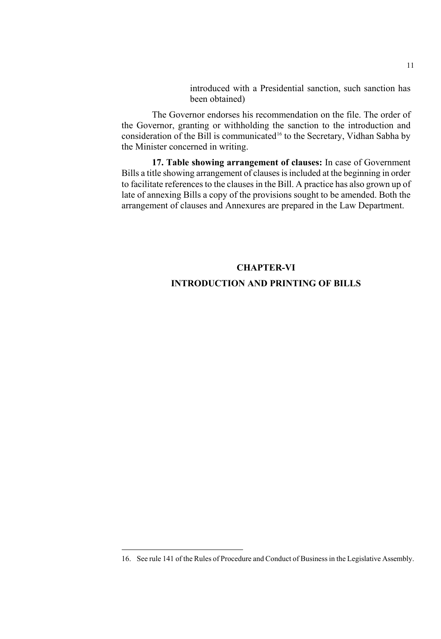introduced with a Presidential sanction, such sanction has been obtained)

The Governor endorses his recommendation on the file. The order of the Governor, granting or withholding the sanction to the introduction and consideration of the Bill is communicated<sup>[16](#page-18-0)</sup> to the Secretary, Vidhan Sabha by the Minister concerned in writing.

**17. Table showing arrangement of clauses:** In case of Government Bills a title showing arrangement of clauses is included at the beginning in order to facilitate references to the clauses in the Bill. A practice has also grown up of late of annexing Bills a copy of the provisions sought to be amended. Both the arrangement of clauses and Annexures are prepared in the Law Department.

### **CHAPTER-VI INTRODUCTION AND PRINTING OF BILLS**

<span id="page-22-2"></span><span id="page-22-1"></span><span id="page-22-0"></span> <sup>16.</sup> See rule 141 of the Rules of Procedure and Conduct of Business in the Legislative Assembly.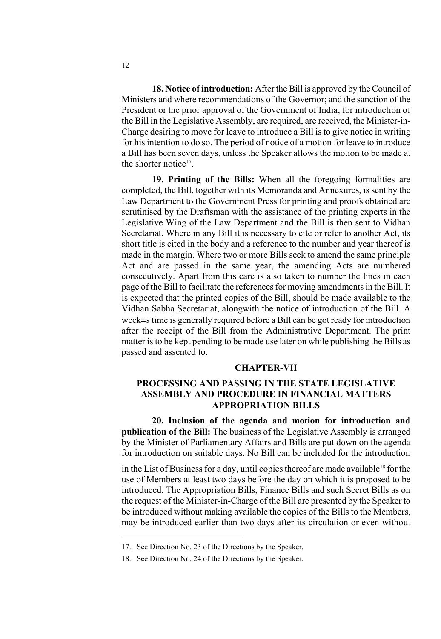**18. Notice of introduction:** After the Bill is approved by the Council of Ministers and where recommendations of the Governor; and the sanction of the President or the prior approval of the Government of India, for introduction of the Bill in the Legislative Assembly, are required, are received, the Minister-in-Charge desiring to move for leave to introduce a Bill is to give notice in writing for his intention to do so. The period of notice of a motion for leave to introduce a Bill has been seven days, unless the Speaker allows the motion to be made at the shorter notice<sup>[17](#page-19-0)</sup>.

**19. Printing of the Bills:** When all the foregoing formalities are completed, the Bill, together with its Memoranda and Annexures, is sent by the Law Department to the Government Press for printing and proofs obtained are scrutinised by the Draftsman with the assistance of the printing experts in the Legislative Wing of the Law Department and the Bill is then sent to Vidhan Secretariat. Where in any Bill it is necessary to cite or refer to another Act, its short title is cited in the body and a reference to the number and year thereof is made in the margin. Where two or more Bills seek to amend the same principle Act and are passed in the same year, the amending Acts are numbered consecutively. Apart from this care is also taken to number the lines in each page of the Bill to facilitate the references for moving amendments in the Bill. It is expected that the printed copies of the Bill, should be made available to the Vidhan Sabha Secretariat, alongwith the notice of introduction of the Bill. A week=s time is generally required before a Bill can be got ready for introduction after the receipt of the Bill from the Administrative Department. The print matter is to be kept pending to be made use later on while publishing the Bills as passed and assented to.

#### **CHAPTER-VII**

#### **PROCESSING AND PASSING IN THE STATE LEGISLATIVE ASSEMBLY AND PROCEDURE IN FINANCIAL MATTERS APPROPRIATION BILLS**

**20. Inclusion of the agenda and motion for introduction and publication of the Bill:** The business of the Legislative Assembly is arranged by the Minister of Parliamentary Affairs and Bills are put down on the agenda for introduction on suitable days. No Bill can be included for the introduction

<span id="page-23-1"></span><span id="page-23-0"></span>in the List of Business for a day, until copies thereof are made available<sup>[18](#page-19-1)</sup> for the use of Members at least two days before the day on which it is proposed to be introduced. The Appropriation Bills, Finance Bills and such Secret Bills as on the request of the Minister-in-Charge of the Bill are presented by the Speaker to be introduced without making available the copies of the Bills to the Members, may be introduced earlier than two days after its circulation or even without

<span id="page-23-5"></span><span id="page-23-4"></span><span id="page-23-3"></span><span id="page-23-2"></span> <sup>17.</sup> See Direction No. 23 of the Directions by the Speaker.

<span id="page-23-7"></span><span id="page-23-6"></span><sup>18.</sup> See Direction No. 24 of the Directions by the Speaker.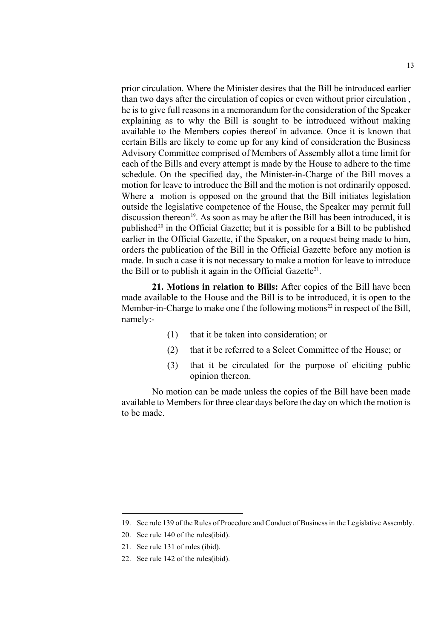prior circulation. Where the Minister desires that the Bill be introduced earlier than two days after the circulation of copies or even without prior circulation , he is to give full reasons in a memorandum for the consideration of the Speaker explaining as to why the Bill is sought to be introduced without making available to the Members copies thereof in advance. Once it is known that certain Bills are likely to come up for any kind of consideration the Business Advisory Committee comprised of Members of Assembly allot a time limit for each of the Bills and every attempt is made by the House to adhere to the time schedule. On the specified day, the Minister-in-Charge of the Bill moves a motion for leave to introduce the Bill and the motion is not ordinarily opposed. Where a motion is opposed on the ground that the Bill initiates legislation outside the legislative competence of the House, the Speaker may permit full discussion thereon<sup>19</sup>. As soon as may be after the Bill has been introduced, it is published<sup>[20](#page-20-1)</sup> in the Official Gazette; but it is possible for a Bill to be published earlier in the Official Gazette, if the Speaker, on a request being made to him, orders the publication of the Bill in the Official Gazette before any motion is made. In such a case it is not necessary to make a motion for leave to introduce the Bill or to publish it again in the Official Gazette<sup>[21](#page-20-2)</sup>.

**21. Motions in relation to Bills:** After copies of the Bill have been made available to the House and the Bill is to be introduced, it is open to the Member-in-Charge to make one f the following motions [22](#page-20-3) in respect of the Bill, namely:-

- (1) that it be taken into consideration; or
- (2) that it be referred to a Select Committee of the House; or
- (3) that it be circulated for the purpose of eliciting public opinion thereon.

No motion can be made unless the copies of the Bill have been made available to Members for three clear days before the day on which the motion is to be made.

<span id="page-24-1"></span><span id="page-24-0"></span> <sup>19.</sup> See rule 139 of the Rules of Procedure and Conduct of Business in the Legislative Assembly.

<sup>20.</sup> See rule 140 of the rules(ibid).

<span id="page-24-2"></span><sup>21.</sup> See rule 131 of rules (ibid).

<span id="page-24-4"></span><span id="page-24-3"></span><sup>22.</sup> See rule 142 of the rules(ibid).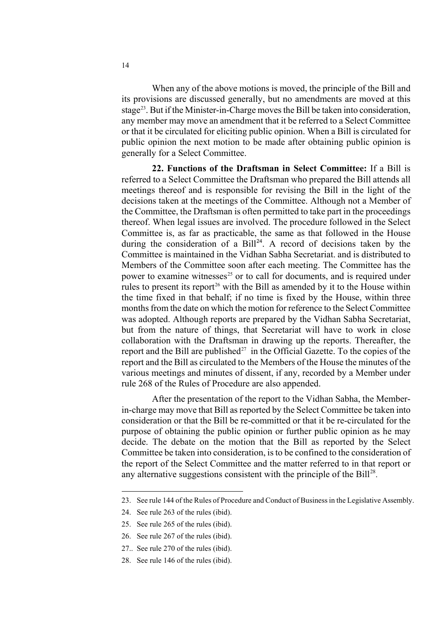When any of the above motions is moved, the principle of the Bill and its provisions are discussed generally, but no amendments are moved at this stage<sup>[23](#page-21-0)</sup>. But if the Minister-in-Charge moves the Bill be taken into consideration, any member may move an amendment that it be referred to a Select Committee or that it be circulated for eliciting public opinion. When a Bill is circulated for public opinion the next motion to be made after obtaining public opinion is generally for a Select Committee.

**22. Functions of the Draftsman in Select Committee:** If a Bill is referred to a Select Committee the Draftsman who prepared the Bill attends all meetings thereof and is responsible for revising the Bill in the light of the decisions taken at the meetings of the Committee. Although not a Member of the Committee, the Draftsman is often permitted to take part in the proceedings thereof. When legal issues are involved. The procedure followed in the Select Committee is, as far as practicable, the same as that followed in the House during the consideration of a Bill<sup>[24](#page-21-1)</sup>. A record of decisions taken by the Committee is maintained in the Vidhan Sabha Secretariat. and is distributed to Members of the Committee soon after each meeting. The Committee has the power to examine witnesses<sup>25</sup> or to call for documents, and is required under rules to present its report<sup>[26](#page-21-3)</sup> with the Bill as amended by it to the House within the time fixed in that behalf; if no time is fixed by the House, within three months from the date on which the motion for reference to the Select Committee was adopted. Although reports are prepared by the Vidhan Sabha Secretariat, but from the nature of things, that Secretariat will have to work in close collaboration with the Draftsman in drawing up the reports. Thereafter, the report and the Bill are published<sup>[27](#page-21-4)</sup> in the Official Gazette. To the copies of the report and the Bill as circulated to the Members of the House the minutes of the various meetings and minutes of dissent, if any, recorded by a Member under rule 268 of the Rules of Procedure are also appended.

After the presentation of the report to the Vidhan Sabha, the Memberin-charge may move that Bill as reported by the Select Committee be taken into consideration or that the Bill be re-committed or that it be re-circulated for the purpose of obtaining the public opinion or further public opinion as he may decide. The debate on the motion that the Bill as reported by the Select Committee be taken into consideration, is to be confined to the consideration of the report of the Select Committee and the matter referred to in that report or any alternative suggestions consistent with the principle of the Bill<sup>[28](#page-21-5)</sup>.

- <span id="page-25-0"></span>25. See rule 265 of the rules (ibid).
- 26. See rule 267 of the rules (ibid).
- <span id="page-25-1"></span>27.. See rule 270 of the rules (ibid).
- <span id="page-25-3"></span><span id="page-25-2"></span>28. See rule 146 of the rules (ibid).

 <sup>23.</sup> See rule 144 of the Rules of Procedure and Conduct of Business in the Legislative Assembly.

<sup>24.</sup> See rule 263 of the rules (ibid).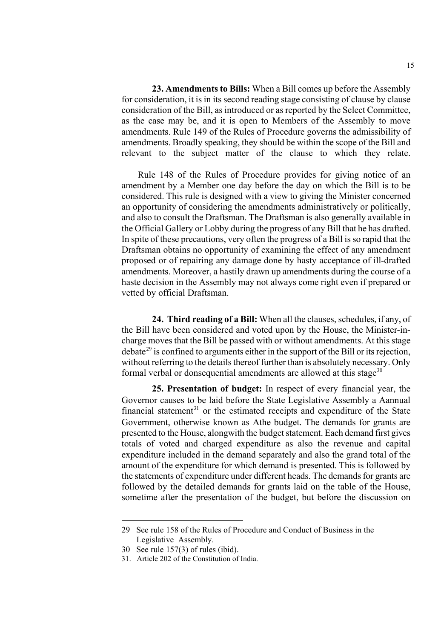**23. Amendments to Bills:** When a Bill comes up before the Assembly for consideration, it is in its second reading stage consisting of clause by clause consideration of the Bill, as introduced or as reported by the Select Committee, as the case may be, and it is open to Members of the Assembly to move amendments. Rule 149 of the Rules of Procedure governs the admissibility of amendments. Broadly speaking, they should be within the scope of the Bill and relevant to the subject matter of the clause to which they relate.

 Rule 148 of the Rules of Procedure provides for giving notice of an amendment by a Member one day before the day on which the Bill is to be considered. This rule is designed with a view to giving the Minister concerned an opportunity of considering the amendments administratively or politically, and also to consult the Draftsman. The Draftsman is also generally available in the Official Gallery or Lobby during the progress of any Bill that he has drafted. In spite of these precautions, very often the progress of a Bill is so rapid that the Draftsman obtains no opportunity of examining the effect of any amendment proposed or of repairing any damage done by hasty acceptance of ill-drafted amendments. Moreover, a hastily drawn up amendments during the course of a haste decision in the Assembly may not always come right even if prepared or vetted by official Draftsman.

**24. Third reading of a Bill:** When all the clauses, schedules, if any, of the Bill have been considered and voted upon by the House, the Minister-incharge moves that the Bill be passed with or without amendments. At this stage  $debate<sup>29</sup>$  $debate<sup>29</sup>$  $debate<sup>29</sup>$  is confined to arguments either in the support of the Bill or its rejection, without referring to the details thereof further than is absolutely necessary. Only formal verbal or donsequential amendments are allowed at this stage<sup>[30](#page-22-1)</sup>

**25. Presentation of budget:** In respect of every financial year, the Governor causes to be laid before the State Legislative Assembly a Αannual financial statement<sup>[31](#page-22-2)</sup> or the estimated receipts and expenditure of the State Government, otherwise known as Αthe budget. The demands for grants are presented to the House, alongwith the budget statement. Each demand first gives totals of voted and charged expenditure as also the revenue and capital expenditure included in the demand separately and also the grand total of the amount of the expenditure for which demand is presented. This is followed by the statements of expenditure under different heads. The demands for grants are followed by the detailed demands for grants laid on the table of the House, sometime after the presentation of the budget, but before the discussion on

 $\overline{a}$ 

<span id="page-26-0"></span><sup>29</sup> See rule 158 of the Rules of Procedure and Conduct of Business in the Legislative Assembly.

<sup>30</sup> See rule 157(3) of rules (ibid).

<span id="page-26-2"></span><span id="page-26-1"></span><sup>31.</sup> Article 202 of the Constitution of India.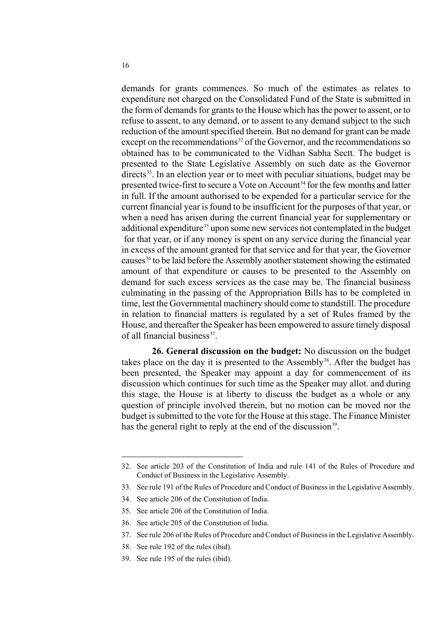demands for grants commences. So much of the estimates as relates to expenditure not charged on the Consolidated Fund of the State is submitted in the form of demands for grants to the House which has the power to assent, or to refuse to assent, to any demand, or to assent to any demand subject to the such reduction of the amount specified therein. But no demand for grant can be made except on the recommendations<sup>[32](#page-23-0)</sup> of the Governor, and the recommendations so obtained has to be communicated to the Vidhan Sabha Sectt. The budget is presented to the State Legislative Assembly on such date as the Governor directs<sup>33</sup>. In an election year or to meet with peculiar situations, budget may be presented twice-first to secure a Vote on Account<sup>[34](#page-23-2)</sup> for the few months and latter in full. If the amount authorised to be expended for a particular service for the current financial year is found to be insufficient for the purposes of that year, or when a need has arisen during the current financial year for supplementary or additional expenditure<sup>[35](#page-23-3)</sup> upon some new services not contemplated in the budget for that year, or if any money is spent on any service during the financial year in excess of the amount granted for that service and for that year, the Governor causes<sup>[36](#page-23-4)</sup> to be laid before the Assembly another statement showing the estimated amount of that expenditure or causes to be presented to the Assembly on demand for such excess services as the case may be. The financial business culminating in the passing of the Appropriation Bills has to be completed in time, lest the Governmental machinery should come to standstill. The procedure in relation to financial matters is regulated by a set of Rules framed by the House, and thereafter the Speaker has been empowered to assure timely disposal of all financial business<sup>[37](#page-23-5)</sup>.

**26. General discussion on the budget:** No discussion on the budget takes place on the day it is presented to the Assembly [38.](#page-23-6) After the budget has been presented, the Speaker may appoint a day for commencement of its discussion which continues for such time as the Speaker may allot. and during this stage, the House is at liberty to discuss the budget as a whole or any question of principle involved therein, but no motion can be moved nor the budget is submitted to the vote for the House at this stage. The Finance Minister has the general right to reply at the end of the discussion<sup>[39](#page-23-7)</sup>.

- 35. See article 206 of the Constitution of India.
- 36. See article 205 of the Constitution of India.
- 37. See rule 206 of the Rules of Procedure and Conduct of Business in the Legislative Assembly.
- 38. See rule 192 of the rules (ibid).
- 39. See rule 195 of the rules (ibid).

 <sup>32.</sup> See article 203 of the Constitution of India and rule 141 of the Rules of Procedure and Conduct of Business in the Legislative Assembly.

<sup>33.</sup> See rule 191 of the Rules of Procedure and Conduct of Business in the Legislative Assembly.

<sup>34.</sup> See article 206 of the Constitution of India.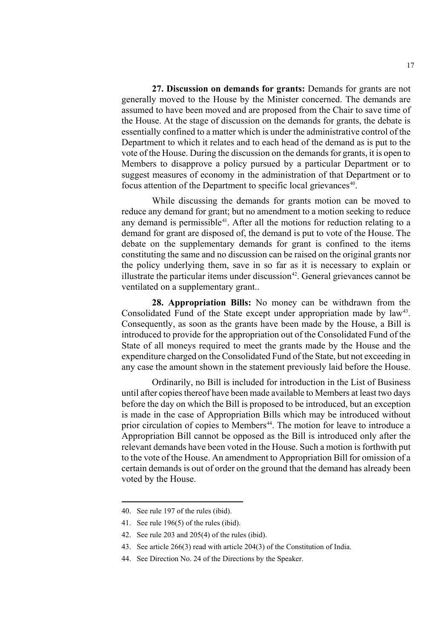**27. Discussion on demands for grants:** Demands for grants are not generally moved to the House by the Minister concerned. The demands are assumed to have been moved and are proposed from the Chair to save time of the House. At the stage of discussion on the demands for grants, the debate is essentially confined to a matter which is under the administrative control of the Department to which it relates and to each head of the demand as is put to the vote of the House. During the discussion on the demands for grants, it is open to Members to disapprove a policy pursued by a particular Department or to suggest measures of economy in the administration of that Department or to focus attention of the Department to specific local grievances<sup>[40](#page-24-0)</sup>.

While discussing the demands for grants motion can be moved to reduce any demand for grant; but no amendment to a motion seeking to reduce any demand is permissible [41](#page-24-1). After all the motions for reduction relating to a demand for grant are disposed of, the demand is put to vote of the House. The debate on the supplementary demands for grant is confined to the items constituting the same and no discussion can be raised on the original grants nor the policy underlying them, save in so far as it is necessary to explain or illustrate the particular items under discussion $42$ . General grievances cannot be ventilated on a supplementary grant..

**28. Appropriation Bills:** No money can be withdrawn from the Consolidated Fund of the State except under appropriation made by law<sup>[43](#page-24-3)</sup>. Consequently, as soon as the grants have been made by the House, a Bill is introduced to provide for the appropriation out of the Consolidated Fund of the State of all moneys required to meet the grants made by the House and the expenditure charged on the Consolidated Fund of the State, but not exceeding in any case the amount shown in the statement previously laid before the House.

Ordinarily, no Bill is included for introduction in the List of Business until after copies thereof have been made available to Members at least two days before the day on which the Bill is proposed to be introduced, but an exception is made in the case of Appropriation Bills which may be introduced without prior circulation of copies to Members<sup>[44](#page-24-4)</sup>. The motion for leave to introduce a Appropriation Bill cannot be opposed as the Bill is introduced only after the relevant demands have been voted in the House. Such a motion is forthwith put to the vote of the House. An amendment to Appropriation Bill for omission of a certain demands is out of order on the ground that the demand has already been voted by the House.

- 42. See rule 203 and 205(4) of the rules (ibid).
- 43. See article 266(3) read with article 204(3) of the Constitution of India.
- 44. See Direction No. 24 of the Directions by the Speaker.

 <sup>40.</sup> See rule 197 of the rules (ibid).

<sup>41.</sup> See rule 196(5) of the rules (ibid).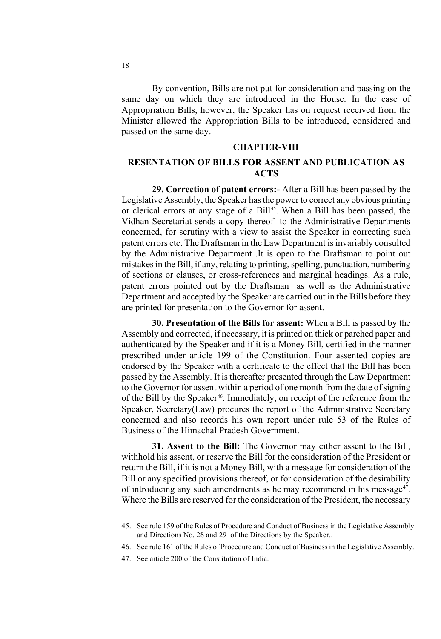By convention, Bills are not put for consideration and passing on the same day on which they are introduced in the House. In the case of Appropriation Bills, however, the Speaker has on request received from the Minister allowed the Appropriation Bills to be introduced, considered and passed on the same day.

#### **CHAPTER-VIII**

#### **RESENTATION OF BILLS FOR ASSENT AND PUBLICATION AS ACTS**

**29. Correction of patent errors:-** After a Bill has been passed by the Legislative Assembly, the Speaker has the power to correct any obvious printing or clerical errors at any stage of a Bill<sup>[45](#page-25-0)</sup>. When a Bill has been passed, the Vidhan Secretariat sends a copy thereof to the Administrative Departments concerned, for scrutiny with a view to assist the Speaker in correcting such patent errors etc. The Draftsman in the Law Department is invariably consulted by the Administrative Department .It is open to the Draftsman to point out mistakes in the Bill, if any, relating to printing, spelling, punctuation, numbering of sections or clauses, or cross-references and marginal headings. As a rule, patent errors pointed out by the Draftsman as well as the Administrative Department and accepted by the Speaker are carried out in the Bills before they are printed for presentation to the Governor for assent.

**30. Presentation of the Bills for assent:** When a Bill is passed by the Assembly and corrected, if necessary, it is printed on thick or parched paper and authenticated by the Speaker and if it is a Money Bill, certified in the manner prescribed under article 199 of the Constitution. Four assented copies are endorsed by the Speaker with a certificate to the effect that the Bill has been passed by the Assembly. It is thereafter presented through the Law Department to the Governor for assent within a period of one month from the date of signing of the Bill by the Speaker [46](#page-25-1) . Immediately, on receipt of the reference from the Speaker, Secretary(Law) procures the report of the Administrative Secretary concerned and also records his own report under rule 53 of the Rules of Business of the Himachal Pradesh Government.

**31. Assent to the Bill:** The Governor may either assent to the Bill, withhold his assent, or reserve the Bill for the consideration of the President or return the Bill, if it is not a Money Bill, with a message for consideration of the Bill or any specified provisions thereof, or for consideration of the desirability of introducing any such amendments as he may recommend in his message<sup>[47](#page-25-2)</sup>. Where the Bills are reserved for the consideration of the President, the necessary

 <sup>45.</sup> See rule 159 of the Rules of Procedure and Conduct of Business in the Legislative Assembly and Directions No. 28 and 29 of the Directions by the Speaker..

<sup>46.</sup> See rule 161 of the Rules of Procedure and Conduct of Business in the Legislative Assembly.

<sup>47.</sup> See article 200 of the Constitution of India.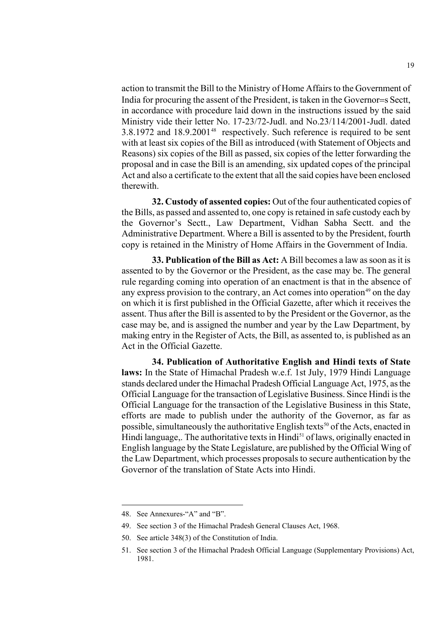action to transmit the Bill to the Ministry of Home Affairs to the Government of India for procuring the assent of the President, is taken in the Governor=s Sectt, in accordance with procedure laid down in the instructions issued by the said Ministry vide their letter No. 17-23/72-Judl. and No.23/114/2001-Judl. dated 3.8.1972 and 18.9.2001[48](#page-25-3) respectively. Such reference is required to be sent with at least six copies of the Bill as introduced (with Statement of Objects and Reasons) six copies of the Bill as passed, six copies of the letter forwarding the proposal and in case the Bill is an amending, six updated copes of the principal Act and also a certificate to the extent that all the said copies have been enclosed therewith.

**32. Custody of assented copies:** Out of the four authenticated copies of the Bills, as passed and assented to, one copy is retained in safe custody each by the Governor's Sectt., Law Department, Vidhan Sabha Sectt. and the Administrative Department. Where a Bill is assented to by the President, fourth copy is retained in the Ministry of Home Affairs in the Government of India.

**33. Publication of the Bill as Act:** A Bill becomes a law as soon as it is assented to by the Governor or the President, as the case may be. The general rule regarding coming into operation of an enactment is that in the absence of any express provision to the contrary, an Act comes into operation<sup>[49](#page-26-0)</sup> on the day on which it is first published in the Official Gazette, after which it receives the assent. Thus after the Bill is assented to by the President or the Governor, as the case may be, and is assigned the number and year by the Law Department, by making entry in the Register of Acts, the Bill, as assented to, is published as an Act in the Official Gazette.

**34. Publication of Authoritative English and Hindi texts of State laws:** In the State of Himachal Pradesh w.e.f. 1st July, 1979 Hindi Language stands declared under the Himachal Pradesh Official Language Act, 1975, as the Official Language for the transaction of Legislative Business. Since Hindi is the Official Language for the transaction of the Legislative Business in this State, efforts are made to publish under the authority of the Governor, as far as possible, simultaneously the authoritative English texts [50](#page-26-1) of the Acts, enacted in Hindi language,. The authoritative texts in Hindi<sup>51</sup> of laws, originally enacted in English language by the State Legislature, are published by the Official Wing of the Law Department, which processes proposals to secure authentication by the Governor of the translation of State Acts into Hindi.

 <sup>48.</sup> See Annexures-"A" and "B".

<sup>49.</sup> See section 3 of the Himachal Pradesh General Clauses Act, 1968.

<sup>50.</sup> See article 348(3) of the Constitution of India.

<sup>51.</sup> See section 3 of the Himachal Pradesh Official Language (Supplementary Provisions) Act, 1981.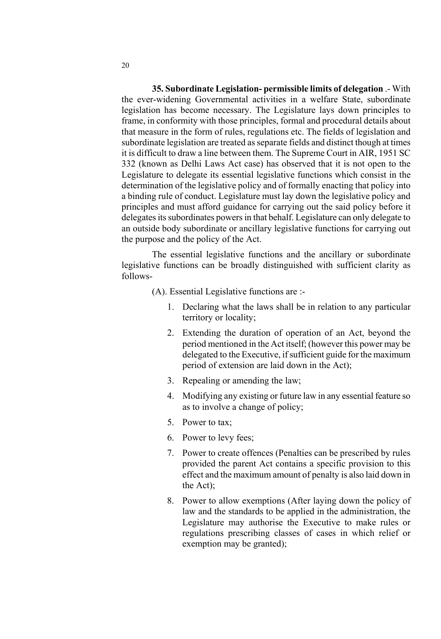**35. Subordinate Legislation- permissible limits of delegation** .- With the ever-widening Governmental activities in a welfare State, subordinate legislation has become necessary. The Legislature lays down principles to frame, in conformity with those principles, formal and procedural details about that measure in the form of rules, regulations etc. The fields of legislation and subordinate legislation are treated as separate fields and distinct though at times it is difficult to draw a line between them. The Supreme Court in AIR, 1951 SC 332 (known as Delhi Laws Act case) has observed that it is not open to the Legislature to delegate its essential legislative functions which consist in the determination of the legislative policy and of formally enacting that policy into a binding rule of conduct. Legislature must lay down the legislative policy and principles and must afford guidance for carrying out the said policy before it delegates its subordinates powers in that behalf. Legislature can only delegate to an outside body subordinate or ancillary legislative functions for carrying out the purpose and the policy of the Act.

The essential legislative functions and the ancillary or subordinate legislative functions can be broadly distinguished with sufficient clarity as follows-

(A). Essential Legislative functions are :-

- 1. Declaring what the laws shall be in relation to any particular territory or locality;
- 2. Extending the duration of operation of an Act, beyond the period mentioned in the Act itself; (however this power may be delegated to the Executive, if sufficient guide for the maximum period of extension are laid down in the Act);
- 3. Repealing or amending the law;
- 4. Modifying any existing or future law in any essential feature so as to involve a change of policy;
- 5. Power to tax;
- 6. Power to levy fees;
- 7. Power to create offences (Penalties can be prescribed by rules provided the parent Act contains a specific provision to this effect and the maximum amount of penalty is also laid down in the Act);
- 8. Power to allow exemptions (After laying down the policy of law and the standards to be applied in the administration, the Legislature may authorise the Executive to make rules or regulations prescribing classes of cases in which relief or exemption may be granted);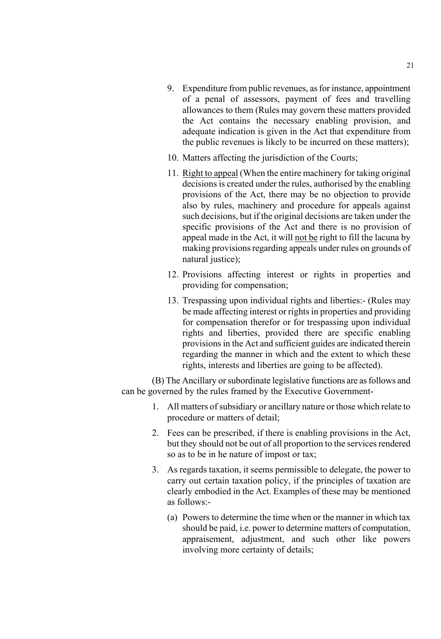- 9. Expenditure from public revenues, as for instance, appointment of a penal of assessors, payment of fees and travelling allowances to them (Rules may govern these matters provided the Act contains the necessary enabling provision, and adequate indication is given in the Act that expenditure from the public revenues is likely to be incurred on these matters);
- 10. Matters affecting the jurisdiction of the Courts;
- 11. Right to appeal (When the entire machinery for taking original decisions is created under the rules, authorised by the enabling provisions of the Act, there may be no objection to provide also by rules, machinery and procedure for appeals against such decisions, but if the original decisions are taken under the specific provisions of the Act and there is no provision of appeal made in the Act, it will not be right to fill the lacuna by making provisions regarding appeals under rules on grounds of natural justice);
- 12. Provisions affecting interest or rights in properties and providing for compensation;
- 13. Trespassing upon individual rights and liberties:- (Rules may be made affecting interest or rights in properties and providing for compensation therefor or for trespassing upon individual rights and liberties, provided there are specific enabling provisions in the Act and sufficient guides are indicated therein regarding the manner in which and the extent to which these rights, interests and liberties are going to be affected).

(B) The Ancillary or subordinate legislative functions are as follows and can be governed by the rules framed by the Executive Government-

- 1. All matters of subsidiary or ancillary nature or those which relate to procedure or matters of detail;
- 2. Fees can be prescribed, if there is enabling provisions in the Act, but they should not be out of all proportion to the services rendered so as to be in he nature of impost or tax;
- 3. As regards taxation, it seems permissible to delegate, the power to carry out certain taxation policy, if the principles of taxation are clearly embodied in the Act. Examples of these may be mentioned as follows:-
	- (a) Powers to determine the time when or the manner in which tax should be paid, i.e. power to determine matters of computation, appraisement, adjustment, and such other like powers involving more certainty of details;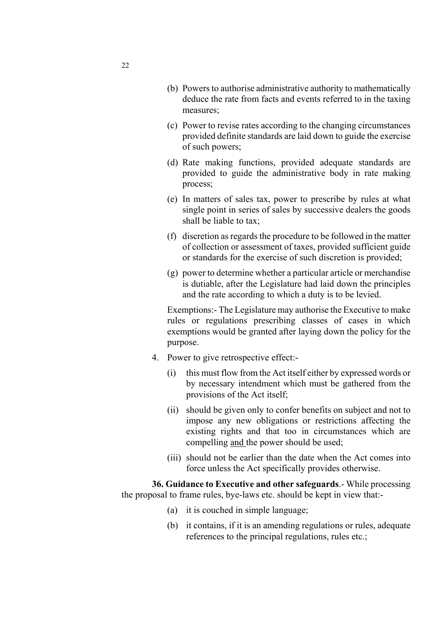- (b) Powers to authorise administrative authority to mathematically deduce the rate from facts and events referred to in the taxing measures;
- (c) Power to revise rates according to the changing circumstances provided definite standards are laid down to guide the exercise of such powers;
- (d) Rate making functions, provided adequate standards are provided to guide the administrative body in rate making process;
- (e) In matters of sales tax, power to prescribe by rules at what single point in series of sales by successive dealers the goods shall be liable to tax;
- (f) discretion as regards the procedure to be followed in the matter of collection or assessment of taxes, provided sufficient guide or standards for the exercise of such discretion is provided;
- (g) power to determine whether a particular article or merchandise is dutiable, after the Legislature had laid down the principles and the rate according to which a duty is to be levied.

Exemptions:- The Legislature may authorise the Executive to make rules or regulations prescribing classes of cases in which exemptions would be granted after laying down the policy for the purpose.

- 4. Power to give retrospective effect:-
	- (i) this must flow from the Act itself either by expressed words or by necessary intendment which must be gathered from the provisions of the Act itself;
	- (ii) should be given only to confer benefits on subject and not to impose any new obligations or restrictions affecting the existing rights and that too in circumstances which are compelling and the power should be used;
	- (iii) should not be earlier than the date when the Act comes into force unless the Act specifically provides otherwise.

**36. Guidance to Executive and other safeguards**.- While processing the proposal to frame rules, bye-laws etc. should be kept in view that:-

- (a) it is couched in simple language;
- (b) it contains, if it is an amending regulations or rules, adequate references to the principal regulations, rules etc.;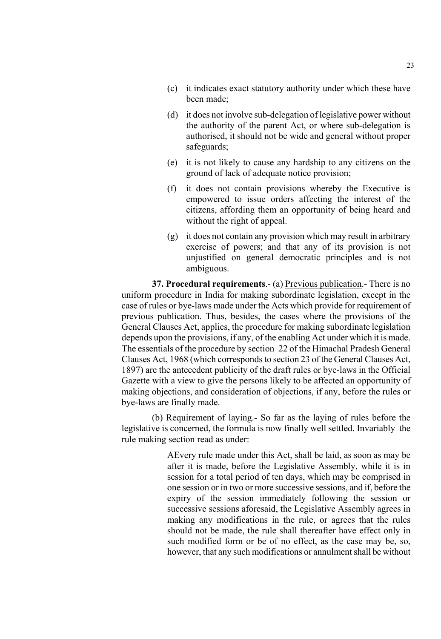- (c) it indicates exact statutory authority under which these have been made;
- (d) it does not involve sub-delegation of legislative power without the authority of the parent Act, or where sub-delegation is authorised, it should not be wide and general without proper safeguards;
- (e) it is not likely to cause any hardship to any citizens on the ground of lack of adequate notice provision;
- (f) it does not contain provisions whereby the Executive is empowered to issue orders affecting the interest of the citizens, affording them an opportunity of being heard and without the right of appeal.
- (g) it does not contain any provision which may result in arbitrary exercise of powers; and that any of its provision is not unjustified on general democratic principles and is not ambiguous.

**37. Procedural requirements.**- (a) Previous publication.- There is no uniform procedure in India for making subordinate legislation, except in the case of rules or bye-laws made under the Acts which provide for requirement of previous publication. Thus, besides, the cases where the provisions of the General Clauses Act, applies, the procedure for making subordinate legislation depends upon the provisions, if any, of the enabling Act under which it is made. The essentials of the procedure by section 22 of the Himachal Pradesh General Clauses Act, 1968 (which corresponds to section 23 of the General Clauses Act, 1897) are the antecedent publicity of the draft rules or bye-laws in the Official Gazette with a view to give the persons likely to be affected an opportunity of making objections, and consideration of objections, if any, before the rules or bye-laws are finally made.

(b) Requirement of laying.- So far as the laying of rules before the legislative is concerned, the formula is now finally well settled. Invariably the rule making section read as under:

> ΑEvery rule made under this Act, shall be laid, as soon as may be after it is made, before the Legislative Assembly, while it is in session for a total period of ten days, which may be comprised in one session or in two or more successive sessions, and if, before the expiry of the session immediately following the session or successive sessions aforesaid, the Legislative Assembly agrees in making any modifications in the rule, or agrees that the rules should not be made, the rule shall thereafter have effect only in such modified form or be of no effect, as the case may be, so, however, that any such modifications or annulment shall be without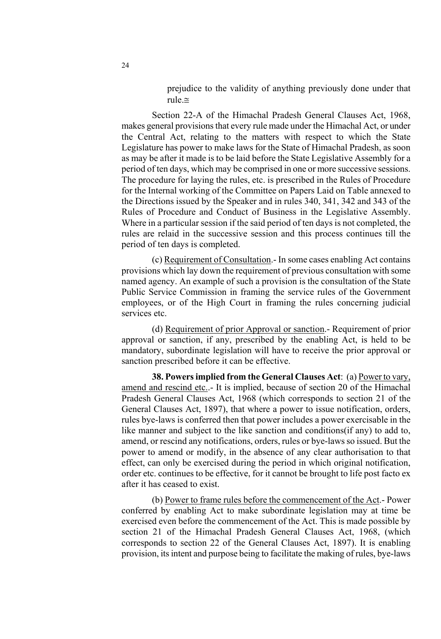prejudice to the validity of anything previously done under that rule.≅

Section 22-A of the Himachal Pradesh General Clauses Act, 1968, makes general provisions that every rule made under the Himachal Act, or under the Central Act, relating to the matters with respect to which the State Legislature has power to make laws for the State of Himachal Pradesh, as soon as may be after it made is to be laid before the State Legislative Assembly for a period of ten days, which may be comprised in one or more successive sessions. The procedure for laying the rules, etc. is prescribed in the Rules of Procedure for the Internal working of the Committee on Papers Laid on Table annexed to the Directions issued by the Speaker and in rules 340, 341, 342 and 343 of the Rules of Procedure and Conduct of Business in the Legislative Assembly. Where in a particular session if the said period of ten days is not completed, the rules are relaid in the successive session and this process continues till the period of ten days is completed.

(c) Requirement of Consultation.- In some cases enabling Act contains provisions which lay down the requirement of previous consultation with some named agency. An example of such a provision is the consultation of the State Public Service Commission in framing the service rules of the Government employees, or of the High Court in framing the rules concerning judicial services etc.

(d) Requirement of prior Approval or sanction.- Requirement of prior approval or sanction, if any, prescribed by the enabling Act, is held to be mandatory, subordinate legislation will have to receive the prior approval or sanction prescribed before it can be effective.

**38. Powers implied from the General Clauses Act**: (a) Power to vary, amend and rescind etc..- It is implied, because of section 20 of the Himachal Pradesh General Clauses Act, 1968 (which corresponds to section 21 of the General Clauses Act, 1897), that where a power to issue notification, orders, rules bye-laws is conferred then that power includes a power exercisable in the like manner and subject to the like sanction and conditions(if any) to add to, amend, or rescind any notifications, orders, rules or bye-laws so issued. But the power to amend or modify, in the absence of any clear authorisation to that effect, can only be exercised during the period in which original notification, order etc. continues to be effective, for it cannot be brought to life post facto ex after it has ceased to exist.

(b) Power to frame rules before the commencement of the Act.- Power conferred by enabling Act to make subordinate legislation may at time be exercised even before the commencement of the Act. This is made possible by section 21 of the Himachal Pradesh General Clauses Act, 1968, (which corresponds to section 22 of the General Clauses Act, 1897). It is enabling provision, its intent and purpose being to facilitate the making of rules, bye-laws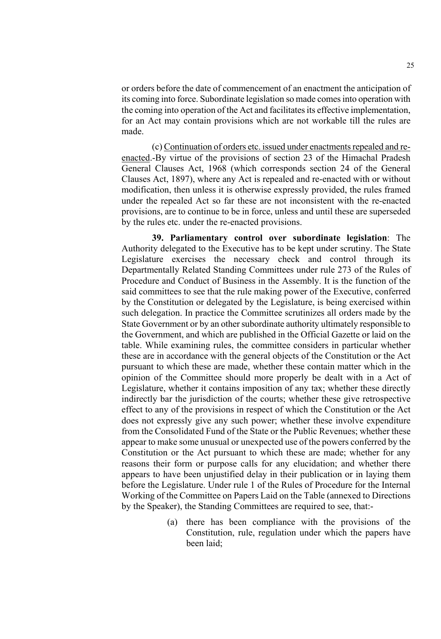or orders before the date of commencement of an enactment the anticipation of its coming into force. Subordinate legislation so made comes into operation with the coming into operation of the Act and facilitates its effective implementation, for an Act may contain provisions which are not workable till the rules are made.

(c) Continuation of orders etc. issued under enactments repealed and reenacted.-By virtue of the provisions of section 23 of the Himachal Pradesh General Clauses Act, 1968 (which corresponds section 24 of the General Clauses Act, 1897), where any Act is repealed and re-enacted with or without modification, then unless it is otherwise expressly provided, the rules framed under the repealed Act so far these are not inconsistent with the re-enacted provisions, are to continue to be in force, unless and until these are superseded by the rules etc. under the re-enacted provisions.

**39. Parliamentary control over subordinate legislation**: The Authority delegated to the Executive has to be kept under scrutiny. The State Legislature exercises the necessary check and control through its Departmentally Related Standing Committees under rule 273 of the Rules of Procedure and Conduct of Business in the Assembly. It is the function of the said committees to see that the rule making power of the Executive, conferred by the Constitution or delegated by the Legislature, is being exercised within such delegation. In practice the Committee scrutinizes all orders made by the State Government or by an other subordinate authority ultimately responsible to the Government, and which are published in the Official Gazette or laid on the table. While examining rules, the committee considers in particular whether these are in accordance with the general objects of the Constitution or the Act pursuant to which these are made, whether these contain matter which in the opinion of the Committee should more properly be dealt with in a Act of Legislature, whether it contains imposition of any tax; whether these directly indirectly bar the jurisdiction of the courts; whether these give retrospective effect to any of the provisions in respect of which the Constitution or the Act does not expressly give any such power; whether these involve expenditure from the Consolidated Fund of the State or the Public Revenues; whether these appear to make some unusual or unexpected use of the powers conferred by the Constitution or the Act pursuant to which these are made; whether for any reasons their form or purpose calls for any elucidation; and whether there appears to have been unjustified delay in their publication or in laying them before the Legislature. Under rule 1 of the Rules of Procedure for the Internal Working of the Committee on Papers Laid on the Table (annexed to Directions by the Speaker), the Standing Committees are required to see, that:-

> (a) there has been compliance with the provisions of the Constitution, rule, regulation under which the papers have been laid;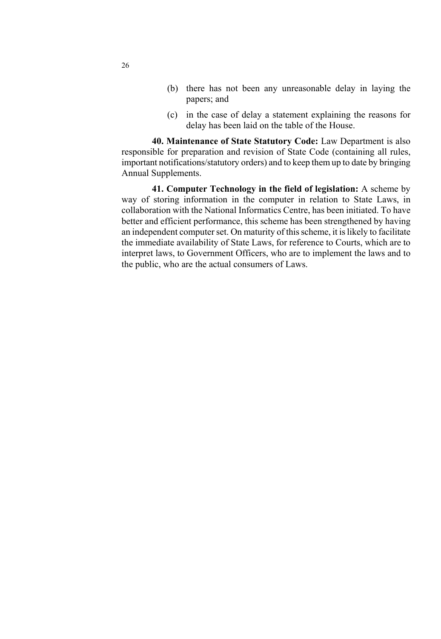- (b) there has not been any unreasonable delay in laying the papers; and
- (c) in the case of delay a statement explaining the reasons for delay has been laid on the table of the House.

**40. Maintenance of State Statutory Code:** Law Department is also responsible for preparation and revision of State Code (containing all rules, important notifications/statutory orders) and to keep them up to date by bringing Annual Supplements.

**41. Computer Technology in the field of legislation:** A scheme by way of storing information in the computer in relation to State Laws, in collaboration with the National Informatics Centre, has been initiated. To have better and efficient performance, this scheme has been strengthened by having an independent computer set. On maturity of this scheme, it is likely to facilitate the immediate availability of State Laws, for reference to Courts, which are to interpret laws, to Government Officers, who are to implement the laws and to the public, who are the actual consumers of Laws.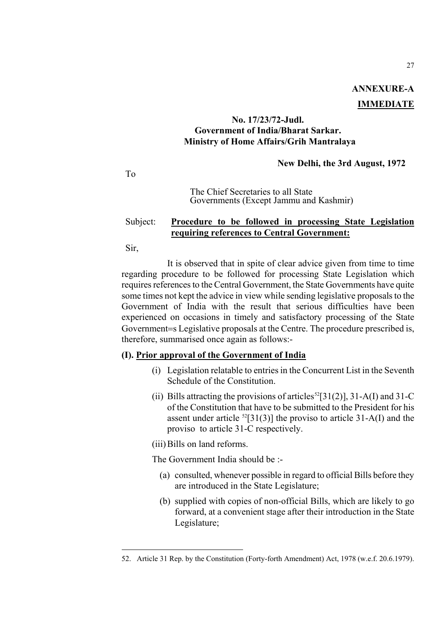# **ANNEXURE-A IMMEDIATE**

# **No. 17/23/72-Judl. Government of India/Bharat Sarkar. Ministry of Home Affairs/Grih Mantralaya**

#### **New Delhi, the 3rd August, 1972**

To

#### The Chief Secretaries to all State Governments (Except Jammu and Kashmir)

# Subject: **Procedure to be followed in processing State Legislation requiring references to Central Government:**

Sir,

It is observed that in spite of clear advice given from time to time regarding procedure to be followed for processing State Legislation which requires references to the Central Government, the State Governments have quite some times not kept the advice in view while sending legislative proposals to the Government of India with the result that serious difficulties have been experienced on occasions in timely and satisfactory processing of the State Government=s Legislative proposals at the Centre. The procedure prescribed is, therefore, summarised once again as follows:-

### **(I). Prior approval of the Government of India**

- (i) Legislation relatable to entries in the Concurrent List in the Seventh Schedule of the Constitution.
- (ii) Bills attracting the provisions of articles<sup>[52](#page-34-0)</sup>[31(2)], 31-A(I) and 31-C of the Constitution that have to be submitted to the President for his assent under article  ${}^{52}[31(3)]$  the proviso to article 31-A(I) and the proviso to article 31-C respectively.
- (iii)Bills on land reforms.

The Government India should be :-

- (a) consulted, whenever possible in regard to official Bills before they are introduced in the State Legislature;
- (b) supplied with copies of non-official Bills, which are likely to go forward, at a convenient stage after their introduction in the State Legislature;

 <sup>52.</sup> Article 31 Rep. by the Constitution (Forty-forth Amendment) Act, 1978 (w.e.f. 20.6.1979).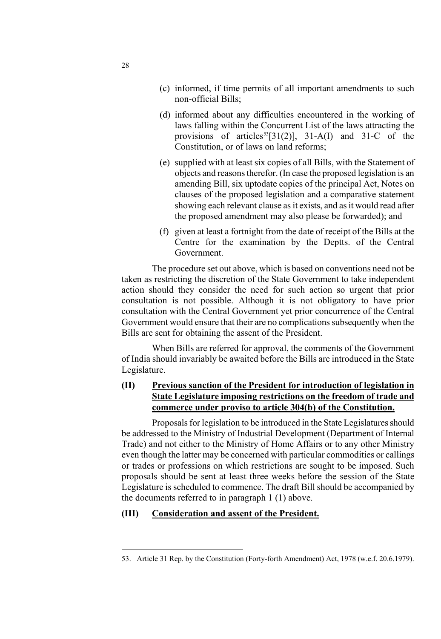- (c) informed, if time permits of all important amendments to such non-official Bills;
- (d) informed about any difficulties encountered in the working of laws falling within the Concurrent List of the laws attracting the provisions of articles<sup>[53](#page-35-0)</sup>[31(2)], 31-A(I) and 31-C of the Constitution, or of laws on land reforms;
- (e) supplied with at least six copies of all Bills, with the Statement of objects and reasons therefor. (In case the proposed legislation is an amending Bill, six uptodate copies of the principal Act, Notes on clauses of the proposed legislation and a comparative statement showing each relevant clause as it exists, and as it would read after the proposed amendment may also please be forwarded); and
- (f) given at least a fortnight from the date of receipt of the Bills at the Centre for the examination by the Deptts. of the Central Government.

The procedure set out above, which is based on conventions need not be taken as restricting the discretion of the State Government to take independent action should they consider the need for such action so urgent that prior consultation is not possible. Although it is not obligatory to have prior consultation with the Central Government yet prior concurrence of the Central Government would ensure that their are no complications subsequently when the Bills are sent for obtaining the assent of the President.

When Bills are referred for approval, the comments of the Government of India should invariably be awaited before the Bills are introduced in the State Legislature.

**(II) Previous sanction of the President for introduction of legislation in State Legislature imposing restrictions on the freedom of trade and commerce under proviso to article 304(b) of the Constitution.**

Proposals for legislation to be introduced in the State Legislatures should be addressed to the Ministry of Industrial Development (Department of Internal Trade) and not either to the Ministry of Home Affairs or to any other Ministry even though the latter may be concerned with particular commodities or callings or trades or professions on which restrictions are sought to be imposed. Such proposals should be sent at least three weeks before the session of the State Legislature is scheduled to commence. The draft Bill should be accompanied by the documents referred to in paragraph 1 (1) above.

# **(III) Consideration and assent of the President.**

 <sup>53.</sup> Article 31 Rep. by the Constitution (Forty-forth Amendment) Act, 1978 (w.e.f. 20.6.1979).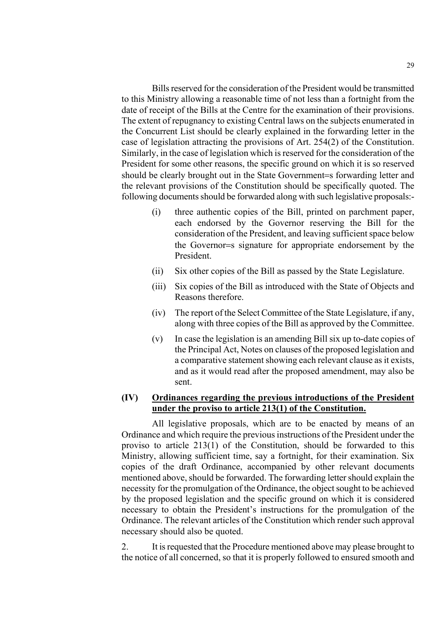Bills reserved for the consideration of the President would be transmitted to this Ministry allowing a reasonable time of not less than a fortnight from the date of receipt of the Bills at the Centre for the examination of their provisions. The extent of repugnancy to existing Central laws on the subjects enumerated in the Concurrent List should be clearly explained in the forwarding letter in the case of legislation attracting the provisions of Art. 254(2) of the Constitution. Similarly, in the case of legislation which is reserved for the consideration of the President for some other reasons, the specific ground on which it is so reserved should be clearly brought out in the State Government=s forwarding letter and the relevant provisions of the Constitution should be specifically quoted. The following documents should be forwarded along with such legislative proposals:-

- (i) three authentic copies of the Bill, printed on parchment paper, each endorsed by the Governor reserving the Bill for the consideration of the President, and leaving sufficient space below the Governor=s signature for appropriate endorsement by the President.
- (ii) Six other copies of the Bill as passed by the State Legislature.
- (iii) Six copies of the Bill as introduced with the State of Objects and Reasons therefore.
- (iv) The report of the Select Committee of the State Legislature, if any, along with three copies of the Bill as approved by the Committee.
- (v) In case the legislation is an amending Bill six up to-date copies of the Principal Act, Notes on clauses of the proposed legislation and a comparative statement showing each relevant clause as it exists, and as it would read after the proposed amendment, may also be sent.

# **(IV) Ordinances regarding the previous introductions of the President under the proviso to article 213(1) of the Constitution.**

All legislative proposals, which are to be enacted by means of an Ordinance and which require the previous instructions of the President under the proviso to article 213(1) of the Constitution, should be forwarded to this Ministry, allowing sufficient time, say a fortnight, for their examination. Six copies of the draft Ordinance, accompanied by other relevant documents mentioned above, should be forwarded. The forwarding letter should explain the necessity for the promulgation of the Ordinance, the object sought to be achieved by the proposed legislation and the specific ground on which it is considered necessary to obtain the President's instructions for the promulgation of the Ordinance. The relevant articles of the Constitution which render such approval necessary should also be quoted.

2. It is requested that the Procedure mentioned above may please brought to the notice of all concerned, so that it is properly followed to ensured smooth and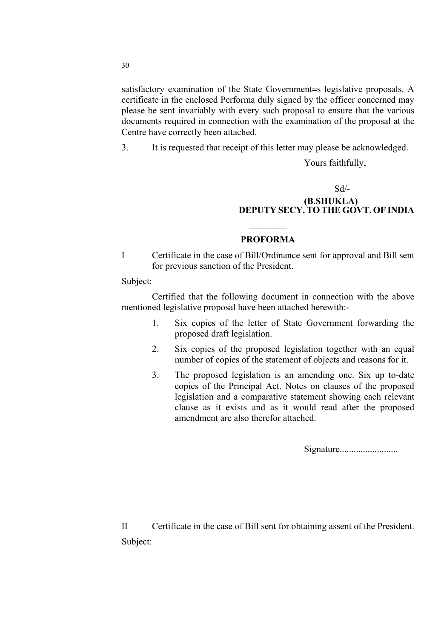satisfactory examination of the State Government=s legislative proposals. A certificate in the enclosed Performa duly signed by the officer concerned may please be sent invariably with every such proposal to ensure that the various documents required in connection with the examination of the proposal at the Centre have correctly been attached.

3. It is requested that receipt of this letter may please be acknowledged.

Yours faithfully,

# Sd/- **(B.SHUKLA) DEPUTY SECY. TO THE GOVT. OF INDIA**

# $\frac{1}{2}$ **PROFORMA**

I Certificate in the case of Bill/Ordinance sent for approval and Bill sent for previous sanction of the President.

Subject:

Certified that the following document in connection with the above mentioned legislative proposal have been attached herewith:-

- 1. Six copies of the letter of State Government forwarding the proposed draft legislation.
- 2. Six copies of the proposed legislation together with an equal number of copies of the statement of objects and reasons for it.
- 3. The proposed legislation is an amending one. Six up to-date copies of the Principal Act. Notes on clauses of the proposed legislation and a comparative statement showing each relevant clause as it exists and as it would read after the proposed amendment are also therefor attached.

Signature.........................

II Certificate in the case of Bill sent for obtaining assent of the President. Subject: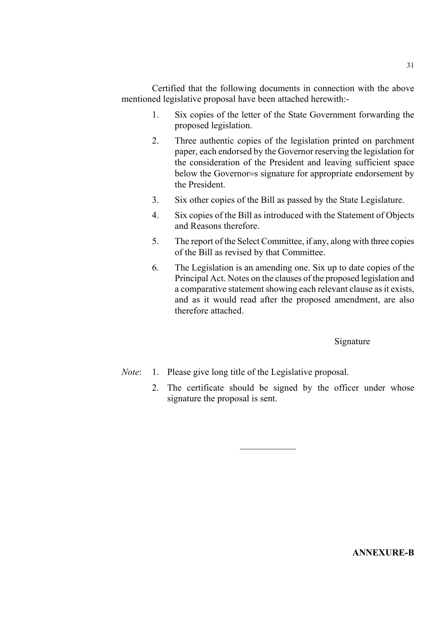Certified that the following documents in connection with the above mentioned legislative proposal have been attached herewith:-

- 1. Six copies of the letter of the State Government forwarding the proposed legislation.
- 2. Three authentic copies of the legislation printed on parchment paper, each endorsed by the Governor reserving the legislation for the consideration of the President and leaving sufficient space below the Governor=s signature for appropriate endorsement by the President.
- 3. Six other copies of the Bill as passed by the State Legislature.
- 4. Six copies of the Bill as introduced with the Statement of Objects and Reasons therefore.
- 5. The report of the Select Committee, if any, along with three copies of the Bill as revised by that Committee.
- 6. The Legislation is an amending one. Six up to date copies of the Principal Act. Notes on the clauses of the proposed legislation and a comparative statement showing each relevant clause as it exists, and as it would read after the proposed amendment, are also therefore attached.

Signature

- *Note*: 1. Please give long title of the Legislative proposal.
	- 2. The certificate should be signed by the officer under whose signature the proposal is sent.

 $\overline{\phantom{a}}$  , where  $\overline{\phantom{a}}$ 

**ANNEXURE-B**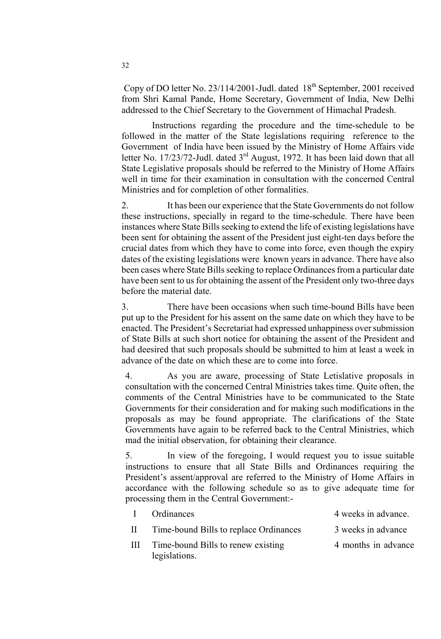Copy of DO letter No.  $23/114/2001$ -Judl. dated  $18<sup>th</sup>$  September, 2001 received from Shri Kamal Pande, Home Secretary, Government of India, New Delhi addressed to the Chief Secretary to the Government of Himachal Pradesh.

Instructions regarding the procedure and the time-schedule to be followed in the matter of the State legislations requiring reference to the Government of India have been issued by the Ministry of Home Affairs vide letter No. 17/23/72-Judl. dated  $3<sup>rd</sup>$  August, 1972. It has been laid down that all State Legislative proposals should be referred to the Ministry of Home Affairs well in time for their examination in consultation with the concerned Central Ministries and for completion of other formalities.

2. It has been our experience that the State Governments do not follow these instructions, specially in regard to the time-schedule. There have been instances where State Bills seeking to extend the life of existing legislations have been sent for obtaining the assent of the President just eight-ten days before the crucial dates from which they have to come into force, even though the expiry dates of the existing legislations were known years in advance. There have also been cases where State Bills seeking to replace Ordinances from a particular date have been sent to us for obtaining the assent of the President only two-three days before the material date.

3. There have been occasions when such time-bound Bills have been put up to the President for his assent on the same date on which they have to be enacted. The President's Secretariat had expressed unhappiness over submission of State Bills at such short notice for obtaining the assent of the President and had deesired that such proposals should be submitted to him at least a week in advance of the date on which these are to come into force.

4. As you are aware, processing of State Letislative proposals in consultation with the concerned Central Ministries takes time. Quite often, the comments of the Central Ministries have to be communicated to the State Governments for their consideration and for making such modifications in the proposals as may be found appropriate. The clarifications of the State Governments have again to be referred back to the Central Ministries, which mad the initial observation, for obtaining their clearance.

5. In view of the foregoing, I would request you to issue suitable instructions to ensure that all State Bills and Ordinances requiring the President's assent/approval are referred to the Ministry of Home Affairs in accordance with the following schedule so as to give adequate time for processing them in the Central Government:-

| $\mathbf{I}$ | Ordinances                                          | 4 weeks in advance. |
|--------------|-----------------------------------------------------|---------------------|
|              | Time-bound Bills to replace Ordinances              | 3 weeks in advance  |
| Ш            | Time-bound Bills to renew existing<br>legislations. | 4 months in advance |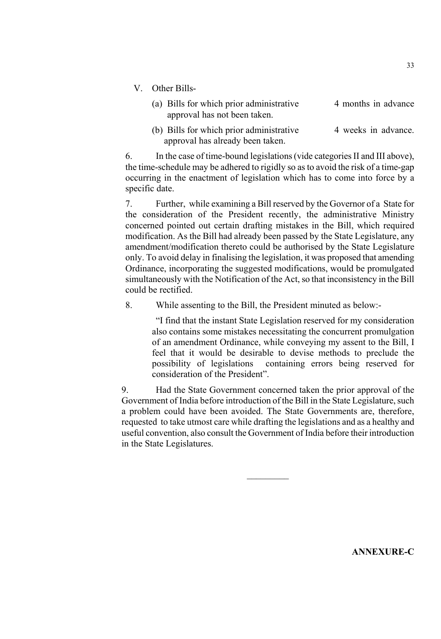V. Other Bills-

| (a) Bills for which prior administrative | 4 months in advance |
|------------------------------------------|---------------------|
| approval has not been taken.             |                     |

(b) Bills for which prior administrative 4 weeks in advance. approval has already been taken.

6. In the case of time-bound legislations (vide categories II and III above), the time-schedule may be adhered to rigidly so as to avoid the risk of a time-gap occurring in the enactment of legislation which has to come into force by a specific date.

7. Further, while examining a Bill reserved by the Governor of a State for the consideration of the President recently, the administrative Ministry concerned pointed out certain drafting mistakes in the Bill, which required modification. As the Bill had already been passed by the State Legislature, any amendment/modification thereto could be authorised by the State Legislature only. To avoid delay in finalising the legislation, it was proposed that amending Ordinance, incorporating the suggested modifications, would be promulgated simultaneously with the Notification of the Act, so that inconsistency in the Bill could be rectified.

8. While assenting to the Bill, the President minuted as below:-

"I find that the instant State Legislation reserved for my consideration also contains some mistakes necessitating the concurrent promulgation of an amendment Ordinance, while conveying my assent to the Bill, I feel that it would be desirable to devise methods to preclude the possibility of legislations containing errors being reserved for consideration of the President".

9. Had the State Government concerned taken the prior approval of the Government of India before introduction of the Bill in the State Legislature, such a problem could have been avoided. The State Governments are, therefore, requested to take utmost care while drafting the legislations and as a healthy and useful convention, also consult the Government of India before their introduction in the State Legislatures.

 $\frac{1}{2}$ 

**ANNEXURE-C**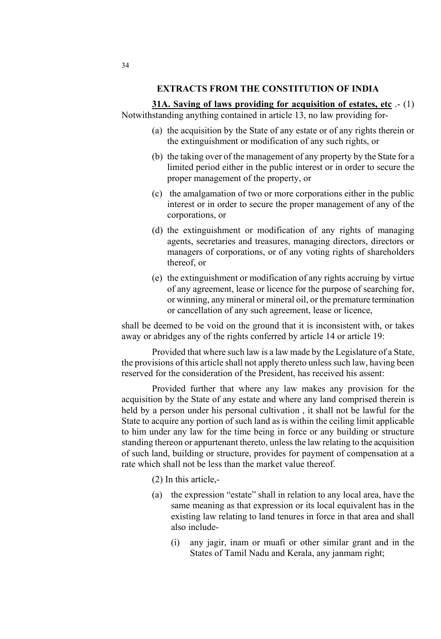# **EXTRACTS FROM THE CONSTITUTION OF INDIA**

**31A. Saving of laws providing for acquisition of estates, etc** .- (1) Notwithstanding anything contained in article 13, no law providing for-

- (a) the acquisition by the State of any estate or of any rights therein or the extinguishment or modification of any such rights, or
- (b) the taking over of the management of any property by the State for a limited period either in the public interest or in order to secure the proper management of the property, or
- (c) the amalgamation of two or more corporations either in the public interest or in order to secure the proper management of any of the corporations, or
- (d) the extinguishment or modification of any rights of managing agents, secretaries and treasures, managing directors, directors or managers of corporations, or of any voting rights of shareholders thereof, or
- (e) the extinguishment or modification of any rights accruing by virtue of any agreement, lease or licence for the purpose of searching for, or winning, any mineral or mineral oil, or the premature termination or cancellation of any such agreement, lease or licence,

shall be deemed to be void on the ground that it is inconsistent with, or takes away or abridges any of the rights conferred by article 14 or article 19:

Provided that where such law is a law made by the Legislature of a State, the provisions of this article shall not apply thereto unless such law, having been reserved for the consideration of the President, has received his assent:

Provided further that where any law makes any provision for the acquisition by the State of any estate and where any land comprised therein is held by a person under his personal cultivation , it shall not be lawful for the State to acquire any portion of such land as is within the ceiling limit applicable to him under any law for the time being in force or any building or structure standing thereon or appurtenant thereto, unless the law relating to the acquisition of such land, building or structure, provides for payment of compensation at a rate which shall not be less than the market value thereof.

(2) In this article,-

- (a) the expression "estate" shall in relation to any local area, have the same meaning as that expression or its local equivalent has in the existing law relating to land tenures in force in that area and shall also include-
	- (i) any jagir, inam or muafi or other similar grant and in the States of Tamil Nadu and Kerala, any janmam right;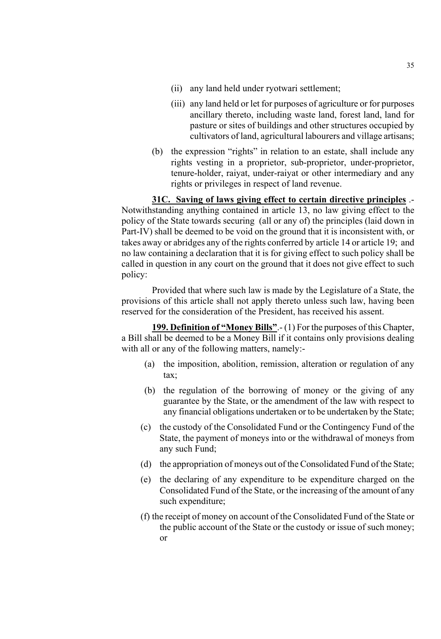- (ii) any land held under ryotwari settlement;
- (iii) any land held or let for purposes of agriculture or for purposes ancillary thereto, including waste land, forest land, land for pasture or sites of buildings and other structures occupied by cultivators of land, agricultural labourers and village artisans;
- (b) the expression "rights" in relation to an estate, shall include any rights vesting in a proprietor, sub-proprietor, under-proprietor, tenure-holder, raiyat, under-raiyat or other intermediary and any rights or privileges in respect of land revenue.

**31C. Saving of laws giving effect to certain directive principles** .- Notwithstanding anything contained in article 13, no law giving effect to the policy of the State towards securing (all or any of) the principles (laid down in Part-IV) shall be deemed to be void on the ground that it is inconsistent with, or takes away or abridges any of the rights conferred by article 14 or article 19; and no law containing a declaration that it is for giving effect to such policy shall be called in question in any court on the ground that it does not give effect to such policy:

Provided that where such law is made by the Legislature of a State, the provisions of this article shall not apply thereto unless such law, having been reserved for the consideration of the President, has received his assent.

**199. Definition of "Money Bills"**.- (1) For the purposes of this Chapter, a Bill shall be deemed to be a Money Bill if it contains only provisions dealing with all or any of the following matters, namely:-

- (a) the imposition, abolition, remission, alteration or regulation of any tax;
- (b) the regulation of the borrowing of money or the giving of any guarantee by the State, or the amendment of the law with respect to any financial obligations undertaken or to be undertaken by the State;
- (c) the custody of the Consolidated Fund or the Contingency Fund of the State, the payment of moneys into or the withdrawal of moneys from any such Fund;
- (d) the appropriation of moneys out of the Consolidated Fund of the State;
- (e) the declaring of any expenditure to be expenditure charged on the Consolidated Fund of the State, or the increasing of the amount of any such expenditure;
- (f) the receipt of money on account of the Consolidated Fund of the State or the public account of the State or the custody or issue of such money; or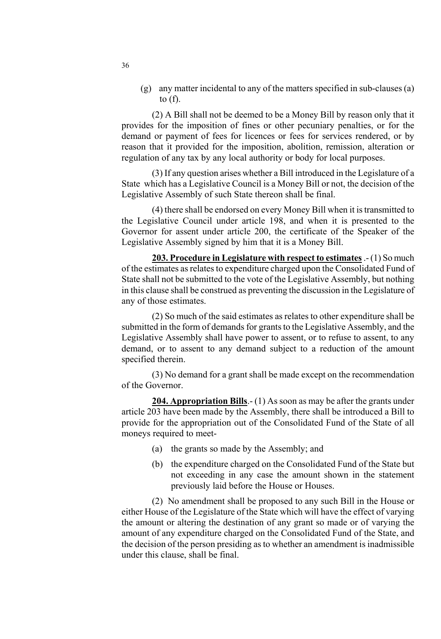(g) any matter incidental to any of the matters specified in sub-clauses (a) to  $(f)$ .

(2) A Bill shall not be deemed to be a Money Bill by reason only that it provides for the imposition of fines or other pecuniary penalties, or for the demand or payment of fees for licences or fees for services rendered, or by reason that it provided for the imposition, abolition, remission, alteration or regulation of any tax by any local authority or body for local purposes.

(3) If any question arises whether a Bill introduced in the Legislature of a State which has a Legislative Council is a Money Bill or not, the decision of the Legislative Assembly of such State thereon shall be final.

(4) there shall be endorsed on every Money Bill when it is transmitted to the Legislative Council under article 198, and when it is presented to the Governor for assent under article 200, the certificate of the Speaker of the Legislative Assembly signed by him that it is a Money Bill.

**203. Procedure in Legislature with respect to estimates**.- (1) So much of the estimates as relates to expenditure charged upon the Consolidated Fund of State shall not be submitted to the vote of the Legislative Assembly, but nothing in this clause shall be construed as preventing the discussion in the Legislature of any of those estimates.

(2) So much of the said estimates as relates to other expenditure shall be submitted in the form of demands for grants to the Legislative Assembly, and the Legislative Assembly shall have power to assent, or to refuse to assent, to any demand, or to assent to any demand subject to a reduction of the amount specified therein.

(3) No demand for a grant shall be made except on the recommendation of the Governor.

**204. Appropriation Bills**.- (1) As soon as may be after the grants under article 203 have been made by the Assembly, there shall be introduced a Bill to provide for the appropriation out of the Consolidated Fund of the State of all moneys required to meet-

- (a) the grants so made by the Assembly; and
- (b) the expenditure charged on the Consolidated Fund of the State but not exceeding in any case the amount shown in the statement previously laid before the House or Houses.

(2) No amendment shall be proposed to any such Bill in the House or either House of the Legislature of the State which will have the effect of varying the amount or altering the destination of any grant so made or of varying the amount of any expenditure charged on the Consolidated Fund of the State, and the decision of the person presiding as to whether an amendment is inadmissible under this clause, shall be final.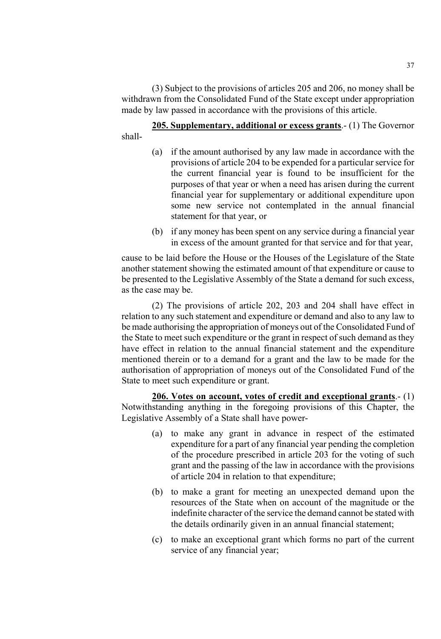(3) Subject to the provisions of articles 205 and 206, no money shall be withdrawn from the Consolidated Fund of the State except under appropriation made by law passed in accordance with the provisions of this article.

**205. Supplementary, additional or excess grants**.- (1) The Governor shall-

- (a) if the amount authorised by any law made in accordance with the provisions of article 204 to be expended for a particular service for the current financial year is found to be insufficient for the purposes of that year or when a need has arisen during the current financial year for supplementary or additional expenditure upon some new service not contemplated in the annual financial statement for that year, or
- (b) if any money has been spent on any service during a financial year in excess of the amount granted for that service and for that year,

cause to be laid before the House or the Houses of the Legislature of the State another statement showing the estimated amount of that expenditure or cause to be presented to the Legislative Assembly of the State a demand for such excess, as the case may be.

(2) The provisions of article 202, 203 and 204 shall have effect in relation to any such statement and expenditure or demand and also to any law to be made authorising the appropriation of moneys out of the Consolidated Fund of the State to meet such expenditure or the grant in respect of such demand as they have effect in relation to the annual financial statement and the expenditure mentioned therein or to a demand for a grant and the law to be made for the authorisation of appropriation of moneys out of the Consolidated Fund of the State to meet such expenditure or grant.

**206. Votes on account, votes of credit and exceptional grants**.- (1) Notwithstanding anything in the foregoing provisions of this Chapter, the Legislative Assembly of a State shall have power-

- (a) to make any grant in advance in respect of the estimated expenditure for a part of any financial year pending the completion of the procedure prescribed in article 203 for the voting of such grant and the passing of the law in accordance with the provisions of article 204 in relation to that expenditure;
- (b) to make a grant for meeting an unexpected demand upon the resources of the State when on account of the magnitude or the indefinite character of the service the demand cannot be stated with the details ordinarily given in an annual financial statement;
- (c) to make an exceptional grant which forms no part of the current service of any financial year;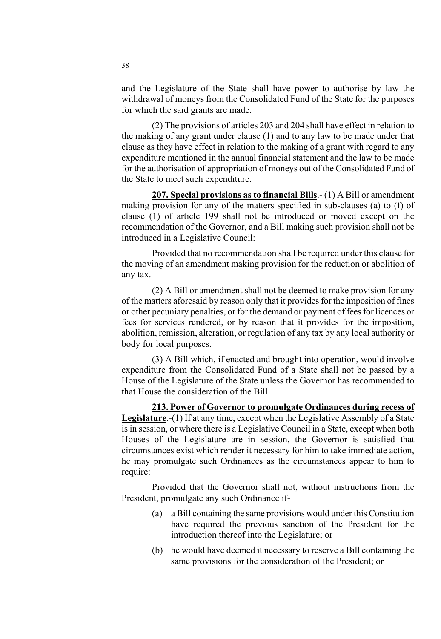and the Legislature of the State shall have power to authorise by law the withdrawal of moneys from the Consolidated Fund of the State for the purposes for which the said grants are made.

(2) The provisions of articles 203 and 204 shall have effect in relation to the making of any grant under clause (1) and to any law to be made under that clause as they have effect in relation to the making of a grant with regard to any expenditure mentioned in the annual financial statement and the law to be made for the authorisation of appropriation of moneys out of the Consolidated Fund of the State to meet such expenditure.

**207. Special provisions as to financial Bills**.- (1) A Bill or amendment making provision for any of the matters specified in sub-clauses (a) to (f) of clause (1) of article 199 shall not be introduced or moved except on the recommendation of the Governor, and a Bill making such provision shall not be introduced in a Legislative Council:

Provided that no recommendation shall be required under this clause for the moving of an amendment making provision for the reduction or abolition of any tax.

(2) A Bill or amendment shall not be deemed to make provision for any of the matters aforesaid by reason only that it provides for the imposition of fines or other pecuniary penalties, or for the demand or payment of fees for licences or fees for services rendered, or by reason that it provides for the imposition, abolition, remission, alteration, or regulation of any tax by any local authority or body for local purposes.

(3) A Bill which, if enacted and brought into operation, would involve expenditure from the Consolidated Fund of a State shall not be passed by a House of the Legislature of the State unless the Governor has recommended to that House the consideration of the Bill.

**213. Power of Governor to promulgate Ordinances during recess of Legislature**.-(1) If at any time, except when the Legislative Assembly of a State is in session, or where there is a Legislative Council in a State, except when both Houses of the Legislature are in session, the Governor is satisfied that circumstances exist which render it necessary for him to take immediate action, he may promulgate such Ordinances as the circumstances appear to him to require:

Provided that the Governor shall not, without instructions from the President, promulgate any such Ordinance if-

- (a) a Bill containing the same provisions would under this Constitution have required the previous sanction of the President for the introduction thereof into the Legislature; or
- (b) he would have deemed it necessary to reserve a Bill containing the same provisions for the consideration of the President; or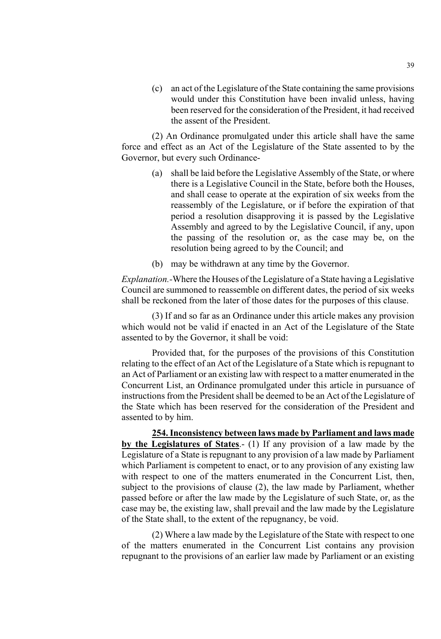(c) an act of the Legislature of the State containing the same provisions would under this Constitution have been invalid unless, having been reserved for the consideration of the President, it had received the assent of the President.

(2) An Ordinance promulgated under this article shall have the same force and effect as an Act of the Legislature of the State assented to by the Governor, but every such Ordinance-

- (a) shall be laid before the Legislative Assembly of the State, or where there is a Legislative Council in the State, before both the Houses, and shall cease to operate at the expiration of six weeks from the reassembly of the Legislature, or if before the expiration of that period a resolution disapproving it is passed by the Legislative Assembly and agreed to by the Legislative Council, if any, upon the passing of the resolution or, as the case may be, on the resolution being agreed to by the Council; and
- (b) may be withdrawn at any time by the Governor.

*Explanation.-*Where the Houses of the Legislature of a State having a Legislative Council are summoned to reassemble on different dates, the period of six weeks shall be reckoned from the later of those dates for the purposes of this clause.

(3) If and so far as an Ordinance under this article makes any provision which would not be valid if enacted in an Act of the Legislature of the State assented to by the Governor, it shall be void:

Provided that, for the purposes of the provisions of this Constitution relating to the effect of an Act of the Legislature of a State which is repugnant to an Act of Parliament or an existing law with respect to a matter enumerated in the Concurrent List, an Ordinance promulgated under this article in pursuance of instructions from the President shall be deemed to be an Act of the Legislature of the State which has been reserved for the consideration of the President and assented to by him.

**254. Inconsistency between laws made by Parliament and laws made by the Legislatures of States**.- (1) If any provision of a law made by the Legislature of a State is repugnant to any provision of a law made by Parliament which Parliament is competent to enact, or to any provision of any existing law with respect to one of the matters enumerated in the Concurrent List, then, subject to the provisions of clause (2), the law made by Parliament, whether passed before or after the law made by the Legislature of such State, or, as the case may be, the existing law, shall prevail and the law made by the Legislature of the State shall, to the extent of the repugnancy, be void.

(2) Where a law made by the Legislature of the State with respect to one of the matters enumerated in the Concurrent List contains any provision repugnant to the provisions of an earlier law made by Parliament or an existing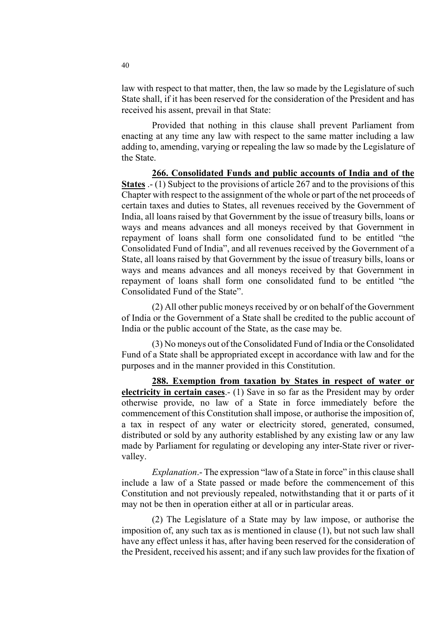law with respect to that matter, then, the law so made by the Legislature of such State shall, if it has been reserved for the consideration of the President and has received his assent, prevail in that State:

Provided that nothing in this clause shall prevent Parliament from enacting at any time any law with respect to the same matter including a law adding to, amending, varying or repealing the law so made by the Legislature of the State.

**266. Consolidated Funds and public accounts of India and of the States** .- (1) Subject to the provisions of article 267 and to the provisions of this Chapter with respect to the assignment of the whole or part of the net proceeds of certain taxes and duties to States, all revenues received by the Government of India, all loans raised by that Government by the issue of treasury bills, loans or ways and means advances and all moneys received by that Government in repayment of loans shall form one consolidated fund to be entitled "the Consolidated Fund of India", and all revenues received by the Government of a State, all loans raised by that Government by the issue of treasury bills, loans or ways and means advances and all moneys received by that Government in repayment of loans shall form one consolidated fund to be entitled "the Consolidated Fund of the State".

(2) All other public moneys received by or on behalf of the Government of India or the Government of a State shall be credited to the public account of India or the public account of the State, as the case may be.

(3) No moneys out of the Consolidated Fund of India or the Consolidated Fund of a State shall be appropriated except in accordance with law and for the purposes and in the manner provided in this Constitution.

**288. Exemption from taxation by States in respect of water or electricity in certain cases**.- (1) Save in so far as the President may by order otherwise provide, no law of a State in force immediately before the commencement of this Constitution shall impose, or authorise the imposition of, a tax in respect of any water or electricity stored, generated, consumed, distributed or sold by any authority established by any existing law or any law made by Parliament for regulating or developing any inter-State river or rivervalley.

*Explanation*.- The expression "law of a State in force" in this clause shall include a law of a State passed or made before the commencement of this Constitution and not previously repealed, notwithstanding that it or parts of it may not be then in operation either at all or in particular areas.

(2) The Legislature of a State may by law impose, or authorise the imposition of, any such tax as is mentioned in clause (1), but not such law shall have any effect unless it has, after having been reserved for the consideration of the President, received his assent; and if any such law provides for the fixation of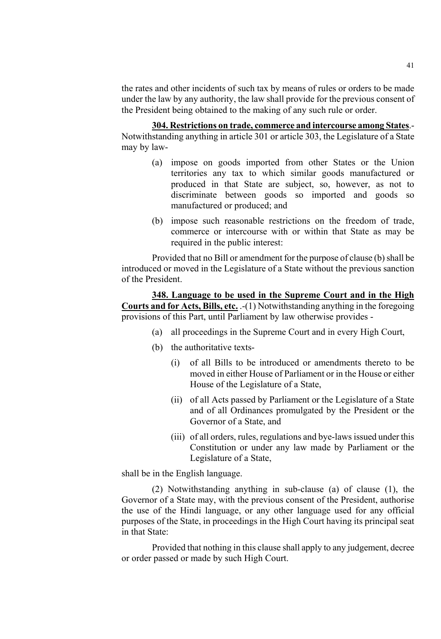the rates and other incidents of such tax by means of rules or orders to be made under the law by any authority, the law shall provide for the previous consent of the President being obtained to the making of any such rule or order.

**304. Restrictions on trade, commerce and intercourse among States**.- Notwithstanding anything in article 301 or article 303, the Legislature of a State may by law-

- (a) impose on goods imported from other States or the Union territories any tax to which similar goods manufactured or produced in that State are subject, so, however, as not to discriminate between goods so imported and goods so manufactured or produced; and
- (b) impose such reasonable restrictions on the freedom of trade, commerce or intercourse with or within that State as may be required in the public interest:

Provided that no Bill or amendment for the purpose of clause (b) shall be introduced or moved in the Legislature of a State without the previous sanction of the President.

**348. Language to be used in the Supreme Court and in the High Courts and for Acts, Bills, etc.** .-(1) Notwithstanding anything in the foregoing provisions of this Part, until Parliament by law otherwise provides -

- (a) all proceedings in the Supreme Court and in every High Court,
- (b) the authoritative texts-
	- (i) of all Bills to be introduced or amendments thereto to be moved in either House of Parliament or in the House or either House of the Legislature of a State,
	- (ii) of all Acts passed by Parliament or the Legislature of a State and of all Ordinances promulgated by the President or the Governor of a State, and
	- (iii) of all orders, rules, regulations and bye-laws issued under this Constitution or under any law made by Parliament or the Legislature of a State,

shall be in the English language.

(2) Notwithstanding anything in sub-clause (a) of clause (1), the Governor of a State may, with the previous consent of the President, authorise the use of the Hindi language, or any other language used for any official purposes of the State, in proceedings in the High Court having its principal seat in that State:

Provided that nothing in this clause shall apply to any judgement, decree or order passed or made by such High Court.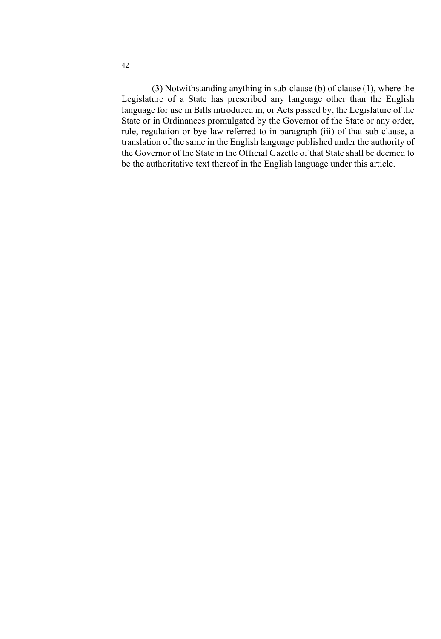(3) Notwithstanding anything in sub-clause (b) of clause (1), where the Legislature of a State has prescribed any language other than the English language for use in Bills introduced in, or Acts passed by, the Legislature of the State or in Ordinances promulgated by the Governor of the State or any order, rule, regulation or bye-law referred to in paragraph (iii) of that sub-clause, a translation of the same in the English language published under the authority of the Governor of the State in the Official Gazette of that State shall be deemed to be the authoritative text thereof in the English language under this article.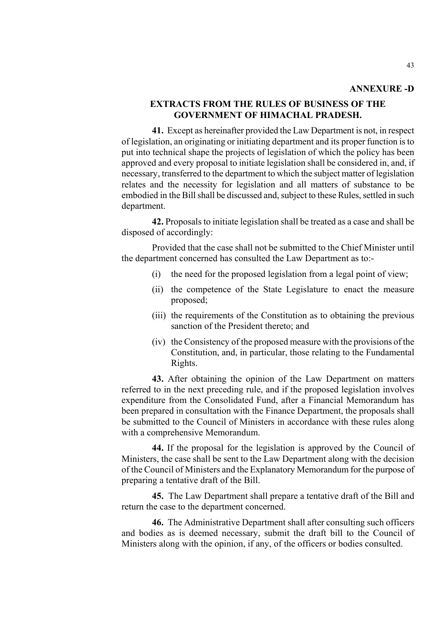#### **ANNEXURE -D**

# **EXTRACTS FROM THE RULES OF BUSINESS OF THE GOVERNMENT OF HIMACHAL PRADESH.**

**41.** Except as hereinafter provided the Law Department is not, in respect of legislation, an originating or initiating department and its proper function is to put into technical shape the projects of legislation of which the policy has been approved and every proposal to initiate legislation shall be considered in, and, if necessary, transferred to the department to which the subject matter of legislation relates and the necessity for legislation and all matters of substance to be embodied in the Bill shall be discussed and, subject to these Rules, settled in such department.

**42.** Proposals to initiate legislation shall be treated as a case and shall be disposed of accordingly:

Provided that the case shall not be submitted to the Chief Minister until the department concerned has consulted the Law Department as to:-

- (i) the need for the proposed legislation from a legal point of view;
- (ii) the competence of the State Legislature to enact the measure proposed;
- (iii) the requirements of the Constitution as to obtaining the previous sanction of the President thereto; and
- (iv) the Consistency of the proposed measure with the provisions of the Constitution, and, in particular, those relating to the Fundamental Rights.

**43.** After obtaining the opinion of the Law Department on matters referred to in the next preceding rule, and if the proposed legislation involves expenditure from the Consolidated Fund, after a Financial Memorandum has been prepared in consultation with the Finance Department, the proposals shall be submitted to the Council of Ministers in accordance with these rules along with a comprehensive Memorandum.

**44.** If the proposal for the legislation is approved by the Council of Ministers, the case shall be sent to the Law Department along with the decision of the Council of Ministers and the Explanatory Memorandum for the purpose of preparing a tentative draft of the Bill.

**45.** The Law Department shall prepare a tentative draft of the Bill and return the case to the department concerned.

**46.** The Administrative Department shall after consulting such officers and bodies as is deemed necessary, submit the draft bill to the Council of Ministers along with the opinion, if any, of the officers or bodies consulted.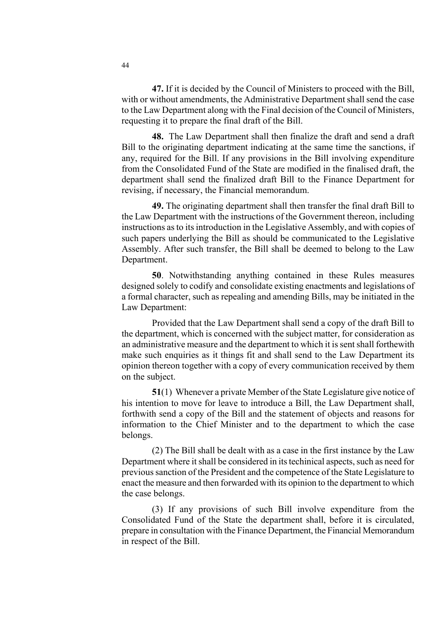**47.** If it is decided by the Council of Ministers to proceed with the Bill, with or without amendments, the Administrative Department shall send the case to the Law Department along with the Final decision of the Council of Ministers, requesting it to prepare the final draft of the Bill.

**48.** The Law Department shall then finalize the draft and send a draft Bill to the originating department indicating at the same time the sanctions, if any, required for the Bill. If any provisions in the Bill involving expenditure from the Consolidated Fund of the State are modified in the finalised draft, the department shall send the finalized draft Bill to the Finance Department for revising, if necessary, the Financial memorandum.

**49.** The originating department shall then transfer the final draft Bill to the Law Department with the instructions of the Government thereon, including instructions as to its introduction in the Legislative Assembly, and with copies of such papers underlying the Bill as should be communicated to the Legislative Assembly. After such transfer, the Bill shall be deemed to belong to the Law Department.

**50**. Notwithstanding anything contained in these Rules measures designed solely to codify and consolidate existing enactments and legislations of a formal character, such as repealing and amending Bills, may be initiated in the Law Department:

Provided that the Law Department shall send a copy of the draft Bill to the department, which is concerned with the subject matter, for consideration as an administrative measure and the department to which it is sent shall forthewith make such enquiries as it things fit and shall send to the Law Department its opinion thereon together with a copy of every communication received by them on the subject.

**51**(1) Whenever a private Member of the State Legislature give notice of his intention to move for leave to introduce a Bill, the Law Department shall, forthwith send a copy of the Bill and the statement of objects and reasons for information to the Chief Minister and to the department to which the case belongs.

(2) The Bill shall be dealt with as a case in the first instance by the Law Department where it shall be considered in its techinical aspects, such as need for previous sanction of the President and the competence of the State Legislature to enact the measure and then forwarded with its opinion to the department to which the case belongs.

(3) If any provisions of such Bill involve expenditure from the Consolidated Fund of the State the department shall, before it is circulated, prepare in consultation with the Finance Department, the Financial Memorandum in respect of the Bill.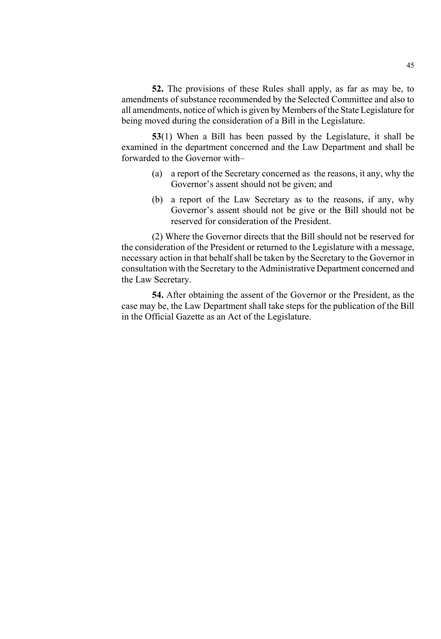**52.** The provisions of these Rules shall apply, as far as may be, to amendments of substance recommended by the Selected Committee and also to all amendments, notice of which is given by Members of the State Legislature for being moved during the consideration of a Bill in the Legislature.

**53**(1) When a Bill has been passed by the Legislature, it shall be examined in the department concerned and the Law Department and shall be forwarded to the Governor with–

- (a) a report of the Secretary concerned as the reasons, it any, why the Governor's assent should not be given; and
- (b) a report of the Law Secretary as to the reasons, if any, why Governor's assent should not be give or the Bill should not be reserved for consideration of the President.

(2) Where the Governor directs that the Bill should not be reserved for the consideration of the President or returned to the Legislature with a message, necessary action in that behalf shall be taken by the Secretary to the Governor in consultation with the Secretary to the Administrative Department concerned and the Law Secretary.

**54.** After obtaining the assent of the Governor or the President, as the case may be, the Law Department shall take steps for the publication of the Bill in the Official Gazette as an Act of the Legislature.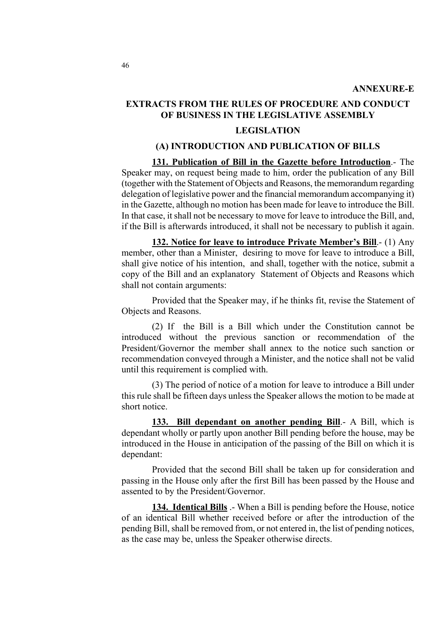#### **ANNEXURE-E**

# **EXTRACTS FROM THE RULES OF PROCEDURE AND CONDUCT OF BUSINESS IN THE LEGISLATIVE ASSEMBLY**

# **LEGISLATION**

#### **(A) INTRODUCTION AND PUBLICATION OF BILLS**

**131. Publication of Bill in the Gazette before Introduction**.- The Speaker may, on request being made to him, order the publication of any Bill (together with the Statement of Objects and Reasons, the memorandum regarding delegation of legislative power and the financial memorandum accompanying it) in the Gazette, although no motion has been made for leave to introduce the Bill. In that case, it shall not be necessary to move for leave to introduce the Bill, and, if the Bill is afterwards introduced, it shall not be necessary to publish it again.

**132. Notice for leave to introduce Private Member's Bill**.- (1) Any member, other than a Minister, desiring to move for leave to introduce a Bill, shall give notice of his intention, and shall, together with the notice, submit a copy of the Bill and an explanatory Statement of Objects and Reasons which shall not contain arguments:

Provided that the Speaker may, if he thinks fit, revise the Statement of Objects and Reasons.

(2) If the Bill is a Bill which under the Constitution cannot be introduced without the previous sanction or recommendation of the President/Governor the member shall annex to the notice such sanction or recommendation conveyed through a Minister, and the notice shall not be valid until this requirement is complied with.

(3) The period of notice of a motion for leave to introduce a Bill under this rule shall be fifteen days unless the Speaker allows the motion to be made at short notice.

**133. Bill dependant on another pending Bill**.- A Bill, which is dependant wholly or partly upon another Bill pending before the house, may be introduced in the House in anticipation of the passing of the Bill on which it is dependant:

Provided that the second Bill shall be taken up for consideration and passing in the House only after the first Bill has been passed by the House and assented to by the President/Governor.

**134. Identical Bills** .- When a Bill is pending before the House, notice of an identical Bill whether received before or after the introduction of the pending Bill, shall be removed from, or not entered in, the list of pending notices, as the case may be, unless the Speaker otherwise directs.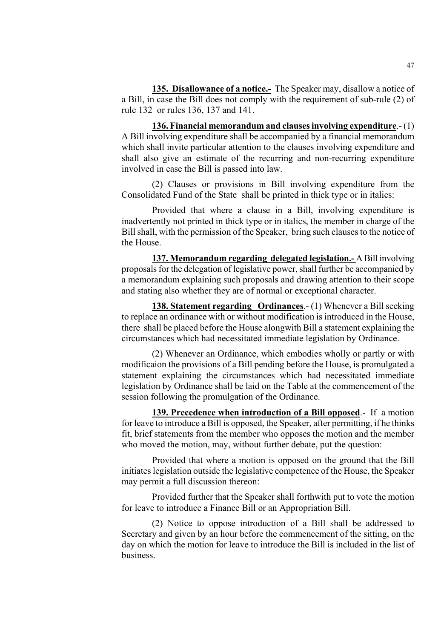**135. Disallowance of a notice.-** The Speaker may, disallow a notice of a Bill, in case the Bill does not comply with the requirement of sub-rule (2) of rule 132 or rules 136, 137 and 141.

**136. Financial memorandum and clauses involving expenditure**.- (1) A Bill involving expenditure shall be accompanied by a financial memorandum which shall invite particular attention to the clauses involving expenditure and shall also give an estimate of the recurring and non-recurring expenditure involved in case the Bill is passed into law.

(2) Clauses or provisions in Bill involving expenditure from the Consolidated Fund of the State shall be printed in thick type or in italics:

Provided that where a clause in a Bill, involving expenditure is inadvertently not printed in thick type or in italics, the member in charge of the Bill shall, with the permission of the Speaker, bring such clauses to the notice of the House.

**137. Memorandum regarding delegated legislation.-** A Bill involving proposals for the delegation of legislative power, shall further be accompanied by a memorandum explaining such proposals and drawing attention to their scope and stating also whether they are of normal or exceptional character.

**138. Statement regarding Ordinances**.- (1) Whenever a Bill seeking to replace an ordinance with or without modification is introduced in the House, there shall be placed before the House alongwith Bill a statement explaining the circumstances which had necessitated immediate legislation by Ordinance.

(2) Whenever an Ordinance, which embodies wholly or partly or with modificaion the provisions of a Bill pending before the House, is promulgated a statement explaining the circumstances which had necessitated immediate legislation by Ordinance shall be laid on the Table at the commencement of the session following the promulgation of the Ordinance.

**139. Precedence when introduction of a Bill opposed**.- If a motion for leave to introduce a Bill is opposed, the Speaker, after permitting, if he thinks fit, brief statements from the member who opposes the motion and the member who moved the motion, may, without further debate, put the question:

Provided that where a motion is opposed on the ground that the Bill initiates legislation outside the legislative competence of the House, the Speaker may permit a full discussion thereon:

Provided further that the Speaker shall forthwith put to vote the motion for leave to introduce a Finance Bill or an Appropriation Bill.

(2) Notice to oppose introduction of a Bill shall be addressed to Secretary and given by an hour before the commencement of the sitting, on the day on which the motion for leave to introduce the Bill is included in the list of business.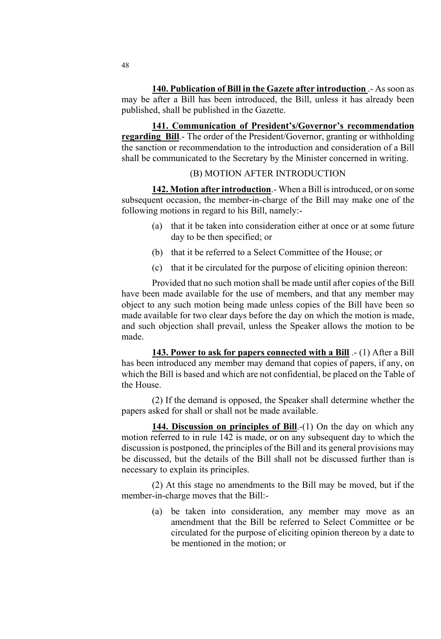**140. Publication of Bill in the Gazete after introduction** .- As soon as may be after a Bill has been introduced, the Bill, unless it has already been published, shall be published in the Gazette.

**141. Communication of President's/Governor's recommendation regarding Bill**.- The order of the President/Governor, granting or withholding the sanction or recommendation to the introduction and consideration of a Bill shall be communicated to the Secretary by the Minister concerned in writing.

# (B) MOTION AFTER INTRODUCTION

**142. Motion after introduction.** When a Bill is introduced, or on some subsequent occasion, the member-in-charge of the Bill may make one of the following motions in regard to his Bill, namely:-

- (a) that it be taken into consideration either at once or at some future day to be then specified; or
- (b) that it be referred to a Select Committee of the House; or
- (c) that it be circulated for the purpose of eliciting opinion thereon:

Provided that no such motion shall be made until after copies of the Bill have been made available for the use of members, and that any member may object to any such motion being made unless copies of the Bill have been so made available for two clear days before the day on which the motion is made, and such objection shall prevail, unless the Speaker allows the motion to be made.

**143. Power to ask for papers connected with a Bill** .- (1) After a Bill has been introduced any member may demand that copies of papers, if any, on which the Bill is based and which are not confidential, be placed on the Table of the House.

(2) If the demand is opposed, the Speaker shall determine whether the papers asked for shall or shall not be made available.

**144. Discussion on principles of Bill**.-(1) On the day on which any motion referred to in rule 142 is made, or on any subsequent day to which the discussion is postponed, the principles of the Bill and its general provisions may be discussed, but the details of the Bill shall not be discussed further than is necessary to explain its principles.

(2) At this stage no amendments to the Bill may be moved, but if the member-in-charge moves that the Bill:-

> (a) be taken into consideration, any member may move as an amendment that the Bill be referred to Select Committee or be circulated for the purpose of eliciting opinion thereon by a date to be mentioned in the motion; or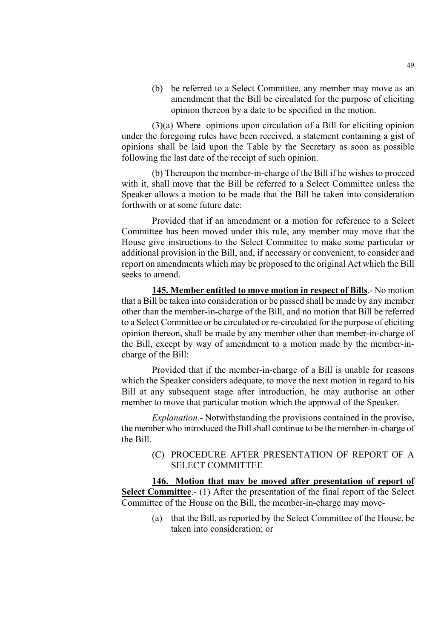(b) be referred to a Select Committee, any member may move as an amendment that the Bill be circulated for the purpose of eliciting opinion thereon by a date to be specified in the motion.

(3)(a) Where opinions upon circulation of a Bill for eliciting opinion under the foregoing rules have been received, a statement containing a gist of opinions shall be laid upon the Table by the Secretary as soon as possible following the last date of the receipt of such opinion.

(b) Thereupon the member-in-charge of the Bill if he wishes to proceed with it, shall move that the Bill be referred to a Select Committee unless the Speaker allows a motion to be made that the Bill be taken into consideration forthwith or at some future date:

Provided that if an amendment or a motion for reference to a Select Committee has been moved under this rule, any member may move that the House give instructions to the Select Committee to make some particular or additional provision in the Bill, and, if necessary or convenient, to consider and report on amendments which may be proposed to the original Act which the Bill seeks to amend.

**145. Member entitled to move motion in respect of Bills**.- No motion that a Bill be taken into consideration or be passed shall be made by any member other than the member-in-charge of the Bill, and no motion that Bill be referred to a Select Committee or be circulated or re-circulated for the purpose of eliciting opinion thereon, shall be made by any member other than member-in-charge of the Bill, except by way of amendment to a motion made by the member-incharge of the Bill:

Provided that if the member-in-charge of a Bill is unable for reasons which the Speaker considers adequate, to move the next motion in regard to his Bill at any subsequent stage after introduction, he may authorise an other member to move that particular motion which the approval of the Speaker.

*Explanation*.- Notwithstanding the provisions contained in the proviso, the member who introduced the Bill shall continue to be the member-in-charge of the Bill.

> (C) PROCEDURE AFTER PRESENTATION OF REPORT OF A SELECT COMMITTEE

**146. Motion that may be moved after presentation of report of Select Committee**.- (1) After the presentation of the final report of the Select Committee of the House on the Bill, the member-in-charge may move-

> (a) that the Bill, as reported by the Select Committee of the House, be taken into consideration; or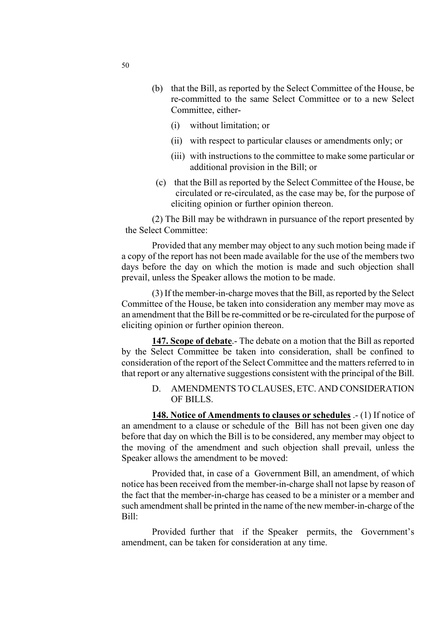- (b) that the Bill, as reported by the Select Committee of the House, be re-committed to the same Select Committee or to a new Select Committee, either-
	- (i) without limitation; or
	- (ii) with respect to particular clauses or amendments only; or
	- (iii) with instructions to the committee to make some particular or additional provision in the Bill; or
- (c) that the Bill as reported by the Select Committee of the House, be circulated or re-circulated, as the case may be, for the purpose of eliciting opinion or further opinion thereon.

(2) The Bill may be withdrawn in pursuance of the report presented by the Select Committee:

Provided that any member may object to any such motion being made if a copy of the report has not been made available for the use of the members two days before the day on which the motion is made and such objection shall prevail, unless the Speaker allows the motion to be made.

(3) If the member-in-charge moves that the Bill, as reported by the Select Committee of the House, be taken into consideration any member may move as an amendment that the Bill be re-committed or be re-circulated for the purpose of eliciting opinion or further opinion thereon.

**147. Scope of debate**.- The debate on a motion that the Bill as reported by the Select Committee be taken into consideration, shall be confined to consideration of the report of the Select Committee and the matters referred to in that report or any alternative suggestions consistent with the principal of the Bill.

> D. AMENDMENTS TO CLAUSES, ETC. AND CONSIDERATION OF BILLS.

**148. Notice of Amendments to clauses or schedules** .- (1) If notice of an amendment to a clause or schedule of the Bill has not been given one day before that day on which the Bill is to be considered, any member may object to the moving of the amendment and such objection shall prevail, unless the Speaker allows the amendment to be moved:

Provided that, in case of a Government Bill, an amendment, of which notice has been received from the member-in-charge shall not lapse by reason of the fact that the member-in-charge has ceased to be a minister or a member and such amendment shall be printed in the name of the new member-in-charge of the Bill:

Provided further that if the Speaker permits, the Government's amendment, can be taken for consideration at any time.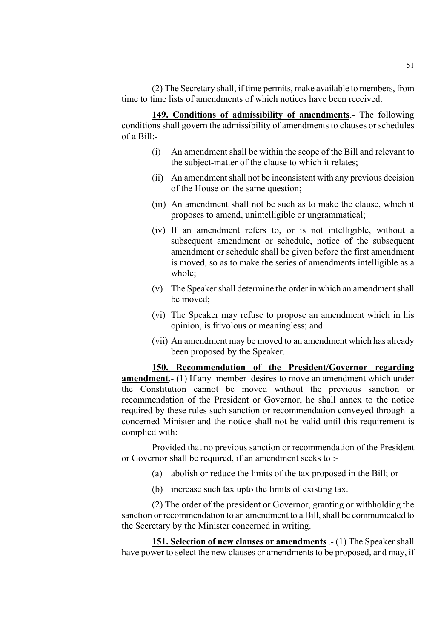(2) The Secretary shall, if time permits, make available to members, from time to time lists of amendments of which notices have been received.

**149. Conditions of admissibility of amendments**.- The following conditions shall govern the admissibility of amendments to clauses or schedules of a Bill:-

- (i) An amendment shall be within the scope of the Bill and relevant to the subject-matter of the clause to which it relates;
- (ii) An amendment shall not be inconsistent with any previous decision of the House on the same question;
- (iii) An amendment shall not be such as to make the clause, which it proposes to amend, unintelligible or ungrammatical;
- (iv) If an amendment refers to, or is not intelligible, without a subsequent amendment or schedule, notice of the subsequent amendment or schedule shall be given before the first amendment is moved, so as to make the series of amendments intelligible as a whole;
- (v) The Speaker shall determine the order in which an amendment shall be moved;
- (vi) The Speaker may refuse to propose an amendment which in his opinion, is frivolous or meaningless; and
- (vii) An amendment may be moved to an amendment which has already been proposed by the Speaker.

**150. Recommendation of the President/Governor regarding amendment**.- (1) If any member desires to move an amendment which under the Constitution cannot be moved without the previous sanction or recommendation of the President or Governor, he shall annex to the notice required by these rules such sanction or recommendation conveyed through a concerned Minister and the notice shall not be valid until this requirement is complied with:

Provided that no previous sanction or recommendation of the President or Governor shall be required, if an amendment seeks to :-

- (a) abolish or reduce the limits of the tax proposed in the Bill; or
- (b) increase such tax upto the limits of existing tax.

(2) The order of the president or Governor, granting or withholding the sanction or recommendation to an amendment to a Bill, shall be communicated to the Secretary by the Minister concerned in writing.

**151. Selection of new clauses or amendments** .- (1) The Speaker shall have power to select the new clauses or amendments to be proposed, and may, if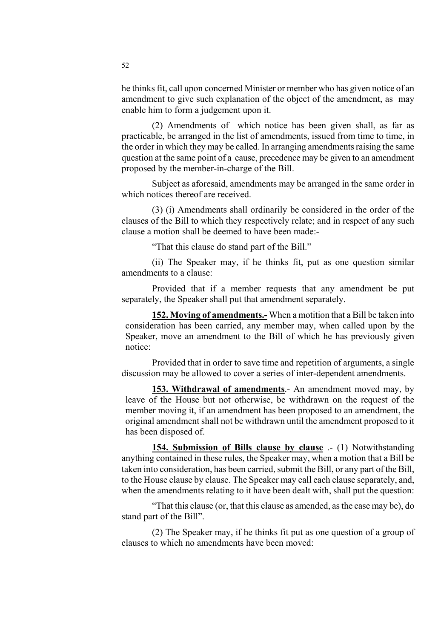he thinks fit, call upon concerned Minister or member who has given notice of an amendment to give such explanation of the object of the amendment, as may enable him to form a judgement upon it.

(2) Amendments of which notice has been given shall, as far as practicable, be arranged in the list of amendments, issued from time to time, in the order in which they may be called. In arranging amendments raising the same question at the same point of a cause, precedence may be given to an amendment proposed by the member-in-charge of the Bill.

Subject as aforesaid, amendments may be arranged in the same order in which notices thereof are received.

(3) (i) Amendments shall ordinarily be considered in the order of the clauses of the Bill to which they respectively relate; and in respect of any such clause a motion shall be deemed to have been made:-

"That this clause do stand part of the Bill."

(ii) The Speaker may, if he thinks fit, put as one question similar amendments to a clause:

Provided that if a member requests that any amendment be put separately, the Speaker shall put that amendment separately.

**152. Moving of amendments.-** When a motition that a Bill be taken into consideration has been carried, any member may, when called upon by the Speaker, move an amendment to the Bill of which he has previously given notice:

Provided that in order to save time and repetition of arguments, a single discussion may be allowed to cover a series of inter-dependent amendments.

**153. Withdrawal of amendments**.- An amendment moved may, by leave of the House but not otherwise, be withdrawn on the request of the member moving it, if an amendment has been proposed to an amendment, the original amendment shall not be withdrawn until the amendment proposed to it has been disposed of.

**154. Submission of Bills clause by clause** .- (1) Notwithstanding anything contained in these rules, the Speaker may, when a motion that a Bill be taken into consideration, has been carried, submit the Bill, or any part of the Bill, to the House clause by clause. The Speaker may call each clause separately, and, when the amendments relating to it have been dealt with, shall put the question:

"That this clause (or, that this clause as amended, as the case may be), do stand part of the Bill".

(2) The Speaker may, if he thinks fit put as one question of a group of clauses to which no amendments have been moved: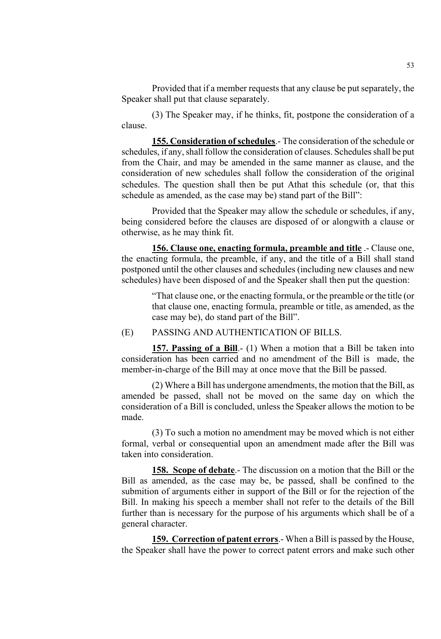Provided that if a member requests that any clause be put separately, the Speaker shall put that clause separately.

(3) The Speaker may, if he thinks, fit, postpone the consideration of a clause.

**155. Consideration of schedules**.- The consideration of the schedule or schedules, if any, shall follow the consideration of clauses. Schedules shall be put from the Chair, and may be amended in the same manner as clause, and the consideration of new schedules shall follow the consideration of the original schedules. The question shall then be put Αthat this schedule (or, that this schedule as amended, as the case may be) stand part of the Bill":

Provided that the Speaker may allow the schedule or schedules, if any, being considered before the clauses are disposed of or alongwith a clause or otherwise, as he may think fit.

**156. Clause one, enacting formula, preamble and title** .- Clause one, the enacting formula, the preamble, if any, and the title of a Bill shall stand postponed until the other clauses and schedules (including new clauses and new schedules) have been disposed of and the Speaker shall then put the question:

> "That clause one, or the enacting formula, or the preamble or the title (or that clause one, enacting formula, preamble or title, as amended, as the case may be), do stand part of the Bill".

#### (E) PASSING AND AUTHENTICATION OF BILLS.

**157. Passing of a Bill**.- (1) When a motion that a Bill be taken into consideration has been carried and no amendment of the Bill is made, the member-in-charge of the Bill may at once move that the Bill be passed.

(2) Where a Bill has undergone amendments, the motion that the Bill, as amended be passed, shall not be moved on the same day on which the consideration of a Bill is concluded, unless the Speaker allows the motion to be made.

(3) To such a motion no amendment may be moved which is not either formal, verbal or consequential upon an amendment made after the Bill was taken into consideration.

**158. Scope of debate**.- The discussion on a motion that the Bill or the Bill as amended, as the case may be, be passed, shall be confined to the submition of arguments either in support of the Bill or for the rejection of the Bill. In making his speech a member shall not refer to the details of the Bill further than is necessary for the purpose of his arguments which shall be of a general character.

**159. Correction of patent errors**.- When a Bill is passed by the House, the Speaker shall have the power to correct patent errors and make such other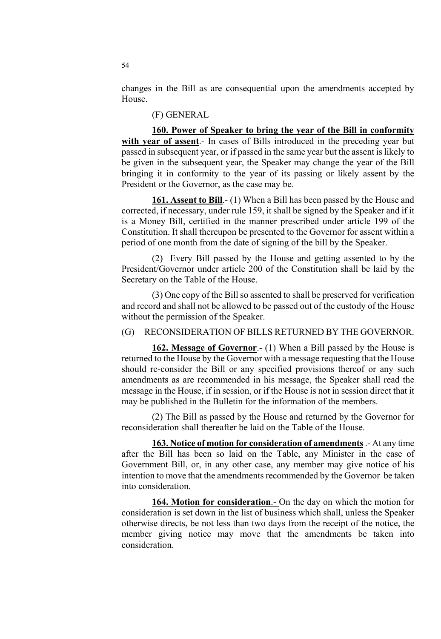changes in the Bill as are consequential upon the amendments accepted by **House** 

#### (F) GENERAL

**160. Power of Speaker to bring the year of the Bill in conformity with year of assent**.- In cases of Bills introduced in the preceding year but passed in subsequent year, or if passed in the same year but the assent is likely to be given in the subsequent year, the Speaker may change the year of the Bill bringing it in conformity to the year of its passing or likely assent by the President or the Governor, as the case may be.

**161. Assent to Bill**.- (1) When a Bill has been passed by the House and corrected, if necessary, under rule 159, it shall be signed by the Speaker and if it is a Money Bill, certified in the manner prescribed under article 199 of the Constitution. It shall thereupon be presented to the Governor for assent within a period of one month from the date of signing of the bill by the Speaker.

(2) Every Bill passed by the House and getting assented to by the President/Governor under article 200 of the Constitution shall be laid by the Secretary on the Table of the House.

(3) One copy of the Bill so assented to shall be preserved for verification and record and shall not be allowed to be passed out of the custody of the House without the permission of the Speaker.

#### (G) RECONSIDERATION OF BILLS RETURNED BY THE GOVERNOR.

**162. Message of Governor**.- (1) When a Bill passed by the House is returned to the House by the Governor with a message requesting that the House should re-consider the Bill or any specified provisions thereof or any such amendments as are recommended in his message, the Speaker shall read the message in the House, if in session, or if the House is not in session direct that it may be published in the Bulletin for the information of the members.

(2) The Bill as passed by the House and returned by the Governor for reconsideration shall thereafter be laid on the Table of the House.

**163. Notice of motion for consideration of amendments**.- At any time after the Bill has been so laid on the Table, any Minister in the case of Government Bill, or, in any other case, any member may give notice of his intention to move that the amendments recommended by the Governor be taken into consideration.

**164. Motion for consideration**.- On the day on which the motion for consideration is set down in the list of business which shall, unless the Speaker otherwise directs, be not less than two days from the receipt of the notice, the member giving notice may move that the amendments be taken into consideration.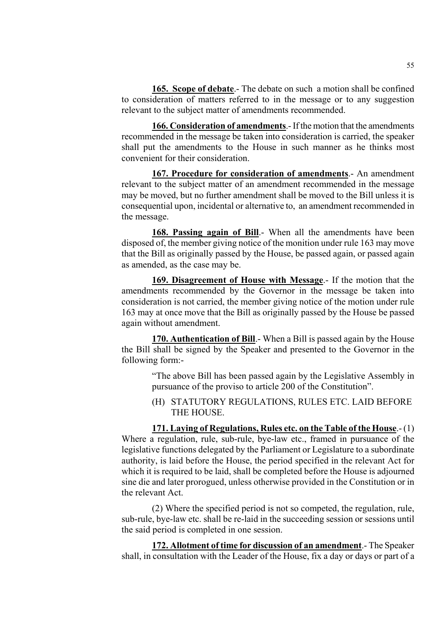**165. Scope of debate**.- The debate on such a motion shall be confined to consideration of matters referred to in the message or to any suggestion relevant to the subject matter of amendments recommended.

**166. Consideration of amendments**.- If the motion that the amendments recommended in the message be taken into consideration is carried, the speaker shall put the amendments to the House in such manner as he thinks most convenient for their consideration.

**167. Procedure for consideration of amendments**.- An amendment relevant to the subject matter of an amendment recommended in the message may be moved, but no further amendment shall be moved to the Bill unless it is consequential upon, incidental or alternative to, an amendment recommended in the message.

**168. Passing again of Bill**.- When all the amendments have been disposed of, the member giving notice of the monition under rule 163 may move that the Bill as originally passed by the House, be passed again, or passed again as amended, as the case may be.

**169. Disagreement of House with Message**.- If the motion that the amendments recommended by the Governor in the message be taken into consideration is not carried, the member giving notice of the motion under rule 163 may at once move that the Bill as originally passed by the House be passed again without amendment.

**170. Authentication of Bill**.- When a Bill is passed again by the House the Bill shall be signed by the Speaker and presented to the Governor in the following form:-

> "The above Bill has been passed again by the Legislative Assembly in pursuance of the proviso to article 200 of the Constitution".

> (H) STATUTORY REGULATIONS, RULES ETC. LAID BEFORE THE HOUSE.

**171. Laying of Regulations, Rules etc. on the Table of the House**.- (1) Where a regulation, rule, sub-rule, bye-law etc., framed in pursuance of the legislative functions delegated by the Parliament or Legislature to a subordinate authority, is laid before the House, the period specified in the relevant Act for which it is required to be laid, shall be completed before the House is adjourned sine die and later prorogued, unless otherwise provided in the Constitution or in the relevant Act.

(2) Where the specified period is not so competed, the regulation, rule, sub-rule, bye-law etc. shall be re-laid in the succeeding session or sessions until the said period is completed in one session.

**172. Allotment of time for discussion of an amendment**.- The Speaker shall, in consultation with the Leader of the House, fix a day or days or part of a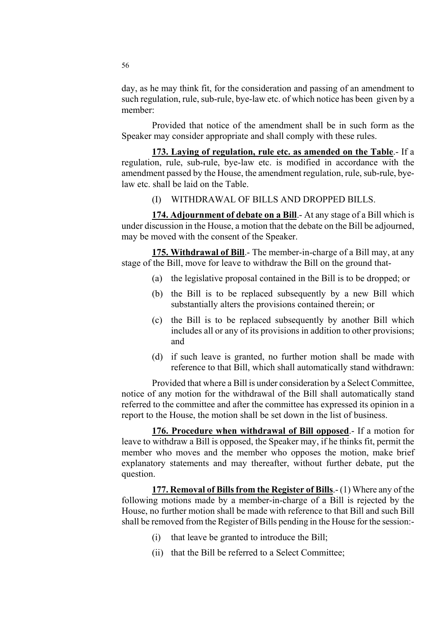day, as he may think fit, for the consideration and passing of an amendment to such regulation, rule, sub-rule, bye-law etc. of which notice has been given by a member:

Provided that notice of the amendment shall be in such form as the Speaker may consider appropriate and shall comply with these rules.

**173. Laying of regulation, rule etc. as amended on the Table**.- If a regulation, rule, sub-rule, bye-law etc. is modified in accordance with the amendment passed by the House, the amendment regulation, rule, sub-rule, byelaw etc. shall be laid on the Table.

(I) WITHDRAWAL OF BILLS AND DROPPED BILLS.

**174. Adjournment of debate on a Bill**.- At any stage of a Bill which is under discussion in the House, a motion that the debate on the Bill be adjourned, may be moved with the consent of the Speaker.

**175. Withdrawal of Bill**.- The member-in-charge of a Bill may, at any stage of the Bill, move for leave to withdraw the Bill on the ground that-

- (a) the legislative proposal contained in the Bill is to be dropped; or
- (b) the Bill is to be replaced subsequently by a new Bill which substantially alters the provisions contained therein; or
- (c) the Bill is to be replaced subsequently by another Bill which includes all or any of its provisions in addition to other provisions; and
- (d) if such leave is granted, no further motion shall be made with reference to that Bill, which shall automatically stand withdrawn:

Provided that where a Bill is under consideration by a Select Committee, notice of any motion for the withdrawal of the Bill shall automatically stand referred to the committee and after the committee has expressed its opinion in a report to the House, the motion shall be set down in the list of business.

**176. Procedure when withdrawal of Bill opposed**.- If a motion for leave to withdraw a Bill is opposed, the Speaker may, if he thinks fit, permit the member who moves and the member who opposes the motion, make brief explanatory statements and may thereafter, without further debate, put the question.

**177. Removal of Bills from the Register of Bills**.- (1) Where any of the following motions made by a member-in-charge of a Bill is rejected by the House, no further motion shall be made with reference to that Bill and such Bill shall be removed from the Register of Bills pending in the House for the session:-

- (i) that leave be granted to introduce the Bill;
- (ii) that the Bill be referred to a Select Committee;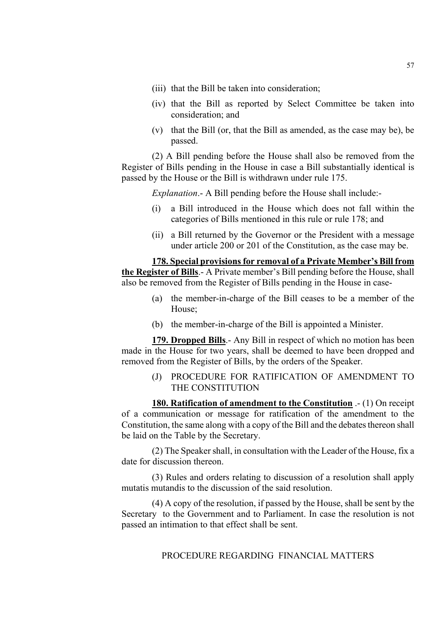- (iii) that the Bill be taken into consideration;
- (iv) that the Bill as reported by Select Committee be taken into consideration; and
- (v) that the Bill (or, that the Bill as amended, as the case may be), be passed.

(2) A Bill pending before the House shall also be removed from the Register of Bills pending in the House in case a Bill substantially identical is passed by the House or the Bill is withdrawn under rule 175.

*Explanation*.- A Bill pending before the House shall include:-

- (i) a Bill introduced in the House which does not fall within the categories of Bills mentioned in this rule or rule 178; and
- (ii) a Bill returned by the Governor or the President with a message under article 200 or 201 of the Constitution, as the case may be.

**178. Special provisions for removal of a Private Member's Bill from the Register of Bills**.- A Private member's Bill pending before the House, shall also be removed from the Register of Bills pending in the House in case-

- (a) the member-in-charge of the Bill ceases to be a member of the House;
- (b) the member-in-charge of the Bill is appointed a Minister.

**179. Dropped Bills**.- Any Bill in respect of which no motion has been made in the House for two years, shall be deemed to have been dropped and removed from the Register of Bills, by the orders of the Speaker.

> (J) PROCEDURE FOR RATIFICATION OF AMENDMENT TO THE CONSTITUTION

**180. Ratification of amendment to the Constitution** .- (1) On receipt of a communication or message for ratification of the amendment to the Constitution, the same along with a copy of the Bill and the debates thereon shall be laid on the Table by the Secretary.

(2) The Speaker shall, in consultation with the Leader of the House, fix a date for discussion thereon.

(3) Rules and orders relating to discussion of a resolution shall apply mutatis mutandis to the discussion of the said resolution.

(4) A copy of the resolution, if passed by the House, shall be sent by the Secretary to the Government and to Parliament. In case the resolution is not passed an intimation to that effect shall be sent.

PROCEDURE REGARDING FINANCIAL MATTERS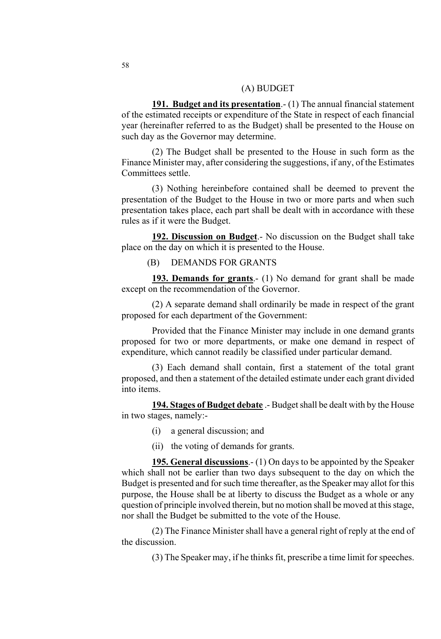#### (A) BUDGET

**191. Budget and its presentation**.- (1) The annual financial statement of the estimated receipts or expenditure of the State in respect of each financial year (hereinafter referred to as the Budget) shall be presented to the House on such day as the Governor may determine.

(2) The Budget shall be presented to the House in such form as the Finance Minister may, after considering the suggestions, if any, of the Estimates Committees settle.

(3) Nothing hereinbefore contained shall be deemed to prevent the presentation of the Budget to the House in two or more parts and when such presentation takes place, each part shall be dealt with in accordance with these rules as if it were the Budget.

**192. Discussion on Budget**.- No discussion on the Budget shall take place on the day on which it is presented to the House.

(B) DEMANDS FOR GRANTS

**193. Demands for grants**.- (1) No demand for grant shall be made except on the recommendation of the Governor.

(2) A separate demand shall ordinarily be made in respect of the grant proposed for each department of the Government:

Provided that the Finance Minister may include in one demand grants proposed for two or more departments, or make one demand in respect of expenditure, which cannot readily be classified under particular demand.

(3) Each demand shall contain, first a statement of the total grant proposed, and then a statement of the detailed estimate under each grant divided into items.

**194. Stages of Budget debate** .- Budget shall be dealt with by the House in two stages, namely:-

- (i) a general discussion; and
- (ii) the voting of demands for grants.

**195. General discussions**.- (1) On days to be appointed by the Speaker which shall not be earlier than two days subsequent to the day on which the Budget is presented and for such time thereafter, as the Speaker may allot for this purpose, the House shall be at liberty to discuss the Budget as a whole or any question of principle involved therein, but no motion shall be moved at this stage, nor shall the Budget be submitted to the vote of the House.

(2) The Finance Minister shall have a general right of reply at the end of the discussion.

(3) The Speaker may, if he thinks fit, prescribe a time limit for speeches.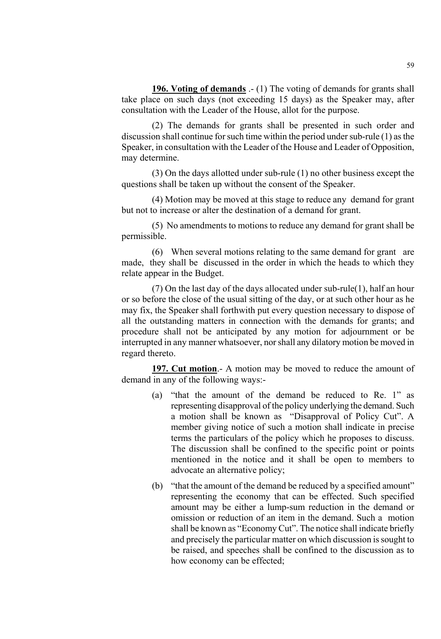**196. Voting of demands** .- (1) The voting of demands for grants shall take place on such days (not exceeding 15 days) as the Speaker may, after consultation with the Leader of the House, allot for the purpose.

(2) The demands for grants shall be presented in such order and discussion shall continue for such time within the period under sub-rule (1) as the Speaker, in consultation with the Leader of the House and Leader of Opposition, may determine.

(3) On the days allotted under sub-rule (1) no other business except the questions shall be taken up without the consent of the Speaker.

(4) Motion may be moved at this stage to reduce any demand for grant but not to increase or alter the destination of a demand for grant.

(5) No amendments to motions to reduce any demand for grant shall be permissible.

(6) When several motions relating to the same demand for grant are made, they shall be discussed in the order in which the heads to which they relate appear in the Budget.

(7) On the last day of the days allocated under sub-rule(1), half an hour or so before the close of the usual sitting of the day, or at such other hour as he may fix, the Speaker shall forthwith put every question necessary to dispose of all the outstanding matters in connection with the demands for grants; and procedure shall not be anticipated by any motion for adjournment or be interrupted in any manner whatsoever, nor shall any dilatory motion be moved in regard thereto.

**197. Cut motion**.- A motion may be moved to reduce the amount of demand in any of the following ways:-

- (a) "that the amount of the demand be reduced to Re. 1" as representing disapproval of the policy underlying the demand. Such a motion shall be known as "Disapproval of Policy Cut". A member giving notice of such a motion shall indicate in precise terms the particulars of the policy which he proposes to discuss. The discussion shall be confined to the specific point or points mentioned in the notice and it shall be open to members to advocate an alternative policy;
- (b) "that the amount of the demand be reduced by a specified amount" representing the economy that can be effected. Such specified amount may be either a lump-sum reduction in the demand or omission or reduction of an item in the demand. Such a motion shall be known as "Economy Cut". The notice shall indicate briefly and precisely the particular matter on which discussion is sought to be raised, and speeches shall be confined to the discussion as to how economy can be effected;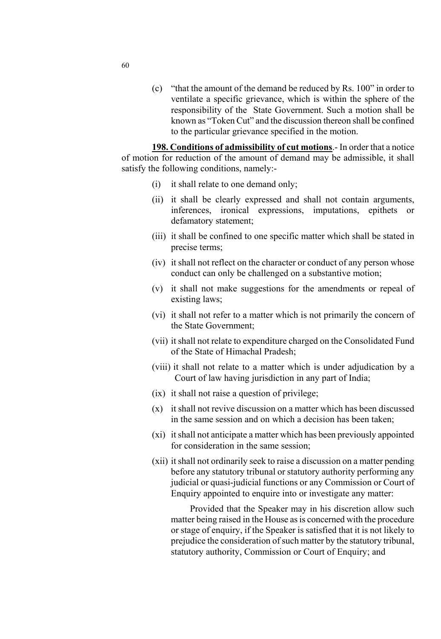(c) "that the amount of the demand be reduced by Rs. 100" in order to ventilate a specific grievance, which is within the sphere of the responsibility of the State Government. Such a motion shall be known as "Token Cut" and the discussion thereon shall be confined to the particular grievance specified in the motion.

**198. Conditions of admissibility of cut motions**.- In order that a notice of motion for reduction of the amount of demand may be admissible, it shall satisfy the following conditions, namely:-

- (i) it shall relate to one demand only;
- (ii) it shall be clearly expressed and shall not contain arguments, inferences, ironical expressions, imputations, epithets or defamatory statement;
- (iii) it shall be confined to one specific matter which shall be stated in precise terms;
- (iv) it shall not reflect on the character or conduct of any person whose conduct can only be challenged on a substantive motion;
- (v) it shall not make suggestions for the amendments or repeal of existing laws;
- (vi) it shall not refer to a matter which is not primarily the concern of the State Government;
- (vii) it shall not relate to expenditure charged on the Consolidated Fund of the State of Himachal Pradesh;
- (viii) it shall not relate to a matter which is under adjudication by a Court of law having jurisdiction in any part of India;
- (ix) it shall not raise a question of privilege;
- (x) it shall not revive discussion on a matter which has been discussed in the same session and on which a decision has been taken;
- (xi) it shall not anticipate a matter which has been previously appointed for consideration in the same session;
- (xii) it shall not ordinarily seek to raise a discussion on a matter pending before any statutory tribunal or statutory authority performing any judicial or quasi-judicial functions or any Commission or Court of Enquiry appointed to enquire into or investigate any matter:

Provided that the Speaker may in his discretion allow such matter being raised in the House as is concerned with the procedure or stage of enquiry, if the Speaker is satisfied that it is not likely to prejudice the consideration of such matter by the statutory tribunal, statutory authority, Commission or Court of Enquiry; and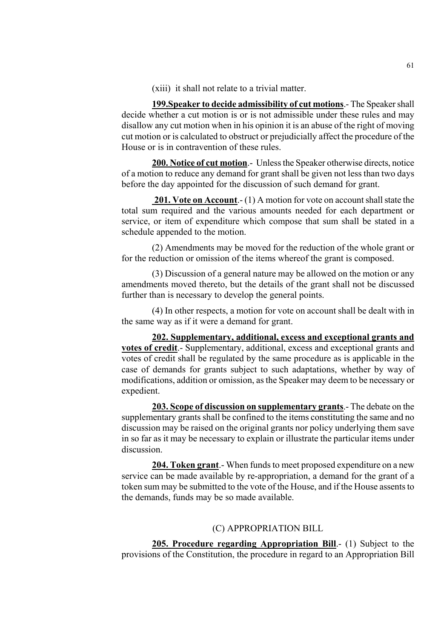(xiii) it shall not relate to a trivial matter.

**199.Speaker to decide admissibility of cut motions**.- The Speaker shall decide whether a cut motion is or is not admissible under these rules and may disallow any cut motion when in his opinion it is an abuse of the right of moving cut motion or is calculated to obstruct or prejudicially affect the procedure of the House or is in contravention of these rules.

**200. Notice of cut motion**.- Unless the Speaker otherwise directs, notice of a motion to reduce any demand for grant shall be given not less than two days before the day appointed for the discussion of such demand for grant.

**201. Vote on Account**.- (1) A motion for vote on account shall state the total sum required and the various amounts needed for each department or service, or item of expenditure which compose that sum shall be stated in a schedule appended to the motion.

(2) Amendments may be moved for the reduction of the whole grant or for the reduction or omission of the items whereof the grant is composed.

(3) Discussion of a general nature may be allowed on the motion or any amendments moved thereto, but the details of the grant shall not be discussed further than is necessary to develop the general points.

(4) In other respects, a motion for vote on account shall be dealt with in the same way as if it were a demand for grant.

**202. Supplementary, additional, excess and exceptional grants and votes of credit**.- Supplementary, additional, excess and exceptional grants and votes of credit shall be regulated by the same procedure as is applicable in the case of demands for grants subject to such adaptations, whether by way of modifications, addition or omission, as the Speaker may deem to be necessary or expedient.

**203. Scope of discussion on supplementary grants**.- The debate on the supplementary grants shall be confined to the items constituting the same and no discussion may be raised on the original grants nor policy underlying them save in so far as it may be necessary to explain or illustrate the particular items under discussion.

**204. Token grant**.- When funds to meet proposed expenditure on a new service can be made available by re-appropriation, a demand for the grant of a token sum may be submitted to the vote of the House, and if the House assents to the demands, funds may be so made available.

### (C) APPROPRIATION BILL

**205. Procedure regarding Appropriation Bill**.- (1) Subject to the provisions of the Constitution, the procedure in regard to an Appropriation Bill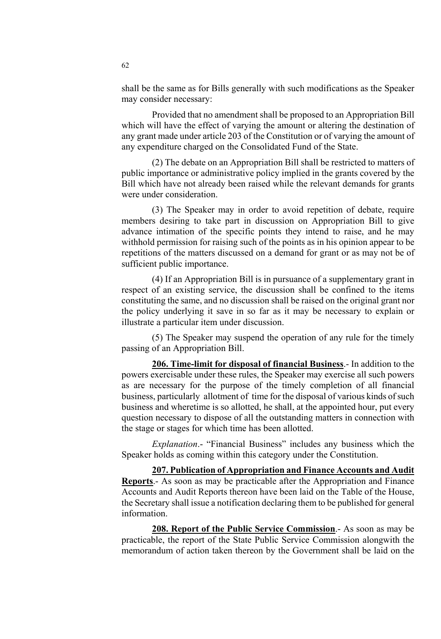shall be the same as for Bills generally with such modifications as the Speaker may consider necessary:

Provided that no amendment shall be proposed to an Appropriation Bill which will have the effect of varying the amount or altering the destination of any grant made under article 203 of the Constitution or of varying the amount of any expenditure charged on the Consolidated Fund of the State.

(2) The debate on an Appropriation Bill shall be restricted to matters of public importance or administrative policy implied in the grants covered by the Bill which have not already been raised while the relevant demands for grants were under consideration.

(3) The Speaker may in order to avoid repetition of debate, require members desiring to take part in discussion on Appropriation Bill to give advance intimation of the specific points they intend to raise, and he may withhold permission for raising such of the points as in his opinion appear to be repetitions of the matters discussed on a demand for grant or as may not be of sufficient public importance.

(4) If an Appropriation Bill is in pursuance of a supplementary grant in respect of an existing service, the discussion shall be confined to the items constituting the same, and no discussion shall be raised on the original grant nor the policy underlying it save in so far as it may be necessary to explain or illustrate a particular item under discussion.

(5) The Speaker may suspend the operation of any rule for the timely passing of an Appropriation Bill.

**206. Time-limit for disposal of financial Business**.- In addition to the powers exercisable under these rules, the Speaker may exercise all such powers as are necessary for the purpose of the timely completion of all financial business, particularly allotment of time for the disposal of various kinds of such business and wheretime is so allotted, he shall, at the appointed hour, put every question necessary to dispose of all the outstanding matters in connection with the stage or stages for which time has been allotted.

*Explanation*.- "Financial Business" includes any business which the Speaker holds as coming within this category under the Constitution.

**207. Publication of Appropriation and Finance Accounts and Audit Reports**.- As soon as may be practicable after the Appropriation and Finance Accounts and Audit Reports thereon have been laid on the Table of the House, the Secretary shall issue a notification declaring them to be published for general information.

**208. Report of the Public Service Commission**.- As soon as may be practicable, the report of the State Public Service Commission alongwith the memorandum of action taken thereon by the Government shall be laid on the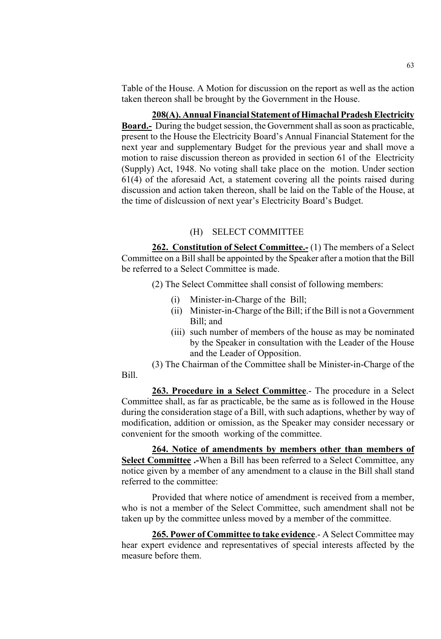Table of the House. A Motion for discussion on the report as well as the action taken thereon shall be brought by the Government in the House.

**208(A). Annual Financial Statement of Himachal Pradesh Electricity Board.-** During the budget session, the Government shall as soon as practicable, present to the House the Electricity Board's Annual Financial Statement for the next year and supplementary Budget for the previous year and shall move a motion to raise discussion thereon as provided in section 61 of the Electricity (Supply) Act, 1948. No voting shall take place on the motion. Under section 61(4) of the aforesaid Act, a statement covering all the points raised during discussion and action taken thereon, shall be laid on the Table of the House, at the time of dislcussion of next year's Electricity Board's Budget.

## (H) SELECT COMMITTEE

**262. Constitution of Select Committee.-** (1) The members of a Select Committee on a Bill shall be appointed by the Speaker after a motion that the Bill be referred to a Select Committee is made.

(2) The Select Committee shall consist of following members:

- Minister-in-Charge of the Bill;
- (ii) Minister-in-Charge of the Bill; if the Bill is not a Government Bill; and
- (iii) such number of members of the house as may be nominated by the Speaker in consultation with the Leader of the House and the Leader of Opposition.

(3) The Chairman of the Committee shall be Minister-in-Charge of the Bill.

**263. Procedure in a Select Committee**.- The procedure in a Select Committee shall, as far as practicable, be the same as is followed in the House during the consideration stage of a Bill, with such adaptions, whether by way of modification, addition or omission, as the Speaker may consider necessary or convenient for the smooth working of the committee.

**264. Notice of amendments by members other than members of Select Committee .-**When a Bill has been referred to a Select Committee, any notice given by a member of any amendment to a clause in the Bill shall stand referred to the committee:

Provided that where notice of amendment is received from a member, who is not a member of the Select Committee, such amendment shall not be taken up by the committee unless moved by a member of the committee.

**265. Power of Committee to take evidence**.- A Select Committee may hear expert evidence and representatives of special interests affected by the measure before them.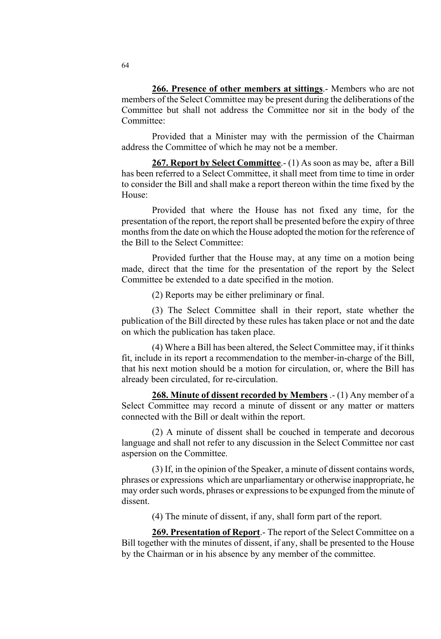**266. Presence of other members at sittings**.- Members who are not members of the Select Committee may be present during the deliberations of the Committee but shall not address the Committee nor sit in the body of the Committee:

Provided that a Minister may with the permission of the Chairman address the Committee of which he may not be a member.

**267. Report by Select Committee**.- (1) As soon as may be, after a Bill has been referred to a Select Committee, it shall meet from time to time in order to consider the Bill and shall make a report thereon within the time fixed by the House:

Provided that where the House has not fixed any time, for the presentation of the report, the report shall be presented before the expiry of three months from the date on which the House adopted the motion for the reference of the Bill to the Select Committee:

Provided further that the House may, at any time on a motion being made, direct that the time for the presentation of the report by the Select Committee be extended to a date specified in the motion.

(2) Reports may be either preliminary or final.

(3) The Select Committee shall in their report, state whether the publication of the Bill directed by these rules has taken place or not and the date on which the publication has taken place.

(4) Where a Bill has been altered, the Select Committee may, if it thinks fit, include in its report a recommendation to the member-in-charge of the Bill, that his next motion should be a motion for circulation, or, where the Bill has already been circulated, for re-circulation.

**268. Minute of dissent recorded by Members** .- (1) Any member of a Select Committee may record a minute of dissent or any matter or matters connected with the Bill or dealt within the report.

(2) A minute of dissent shall be couched in temperate and decorous language and shall not refer to any discussion in the Select Committee nor cast aspersion on the Committee.

(3) If, in the opinion of the Speaker, a minute of dissent contains words, phrases or expressions which are unparliamentary or otherwise inappropriate, he may order such words, phrases or expressions to be expunged from the minute of dissent.

(4) The minute of dissent, if any, shall form part of the report.

**269. Presentation of Report**.- The report of the Select Committee on a Bill together with the minutes of dissent, if any, shall be presented to the House by the Chairman or in his absence by any member of the committee.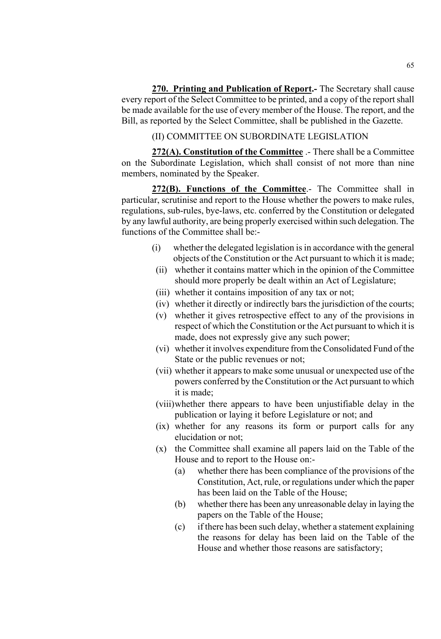**270. Printing and Publication of Report.-** The Secretary shall cause every report of the Select Committee to be printed, and a copy of the report shall be made available for the use of every member of the House. The report, and the Bill, as reported by the Select Committee, shall be published in the Gazette.

## (II) COMMITTEE ON SUBORDINATE LEGISLATION

**272(A). Constitution of the Committee** .- There shall be a Committee on the Subordinate Legislation, which shall consist of not more than nine members, nominated by the Speaker.

**272(B). Functions of the Committee**.- The Committee shall in particular, scrutinise and report to the House whether the powers to make rules, regulations, sub-rules, bye-laws, etc. conferred by the Constitution or delegated by any lawful authority, are being properly exercised within such delegation. The functions of the Committee shall be:-

- (i) whether the delegated legislation is in accordance with the general objects of the Constitution or the Act pursuant to which it is made;
- (ii) whether it contains matter which in the opinion of the Committee should more properly be dealt within an Act of Legislature;
- (iii) whether it contains imposition of any tax or not;
- (iv) whether it directly or indirectly bars the jurisdiction of the courts;
- (v) whether it gives retrospective effect to any of the provisions in respect of which the Constitution or the Act pursuant to which it is made, does not expressly give any such power;
- (vi) whether it involves expenditure from the Consolidated Fund of the State or the public revenues or not;
- (vii) whether it appears to make some unusual or unexpected use of the powers conferred by the Constitution or the Act pursuant to which it is made;
- (viii)whether there appears to have been unjustifiable delay in the publication or laying it before Legislature or not; and
- (ix) whether for any reasons its form or purport calls for any elucidation or not;
- (x) the Committee shall examine all papers laid on the Table of the House and to report to the House on:-
	- (a) whether there has been compliance of the provisions of the Constitution, Act, rule, or regulations under which the paper has been laid on the Table of the House;
	- (b) whether there has been any unreasonable delay in laying the papers on the Table of the House;
	- (c) if there has been such delay, whether a statement explaining the reasons for delay has been laid on the Table of the House and whether those reasons are satisfactory;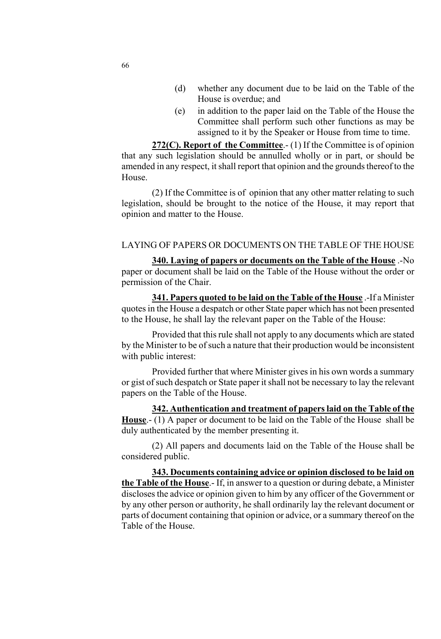- (d) whether any document due to be laid on the Table of the House is overdue; and
- (e) in addition to the paper laid on the Table of the House the Committee shall perform such other functions as may be assigned to it by the Speaker or House from time to time.

**272(C). Report of the Committee**.- (1) If the Committee is of opinion that any such legislation should be annulled wholly or in part, or should be amended in any respect, it shall report that opinion and the grounds thereof to the House.

(2) If the Committee is of opinion that any other matter relating to such legislation, should be brought to the notice of the House, it may report that opinion and matter to the House.

# LAYING OF PAPERS OR DOCUMENTS ON THE TABLE OF THE HOUSE

**340. Laying of papers or documents on the Table of the House** .-No paper or document shall be laid on the Table of the House without the order or permission of the Chair.

**341. Papers quoted to be laid on the Table of the House** .-If a Minister quotes in the House a despatch or other State paper which has not been presented to the House, he shall lay the relevant paper on the Table of the House:

Provided that this rule shall not apply to any documents which are stated by the Minister to be of such a nature that their production would be inconsistent with public interest:

Provided further that where Minister gives in his own words a summary or gist of such despatch or State paper it shall not be necessary to lay the relevant papers on the Table of the House.

**342. Authentication and treatment of papers laid on the Table of the House**.- (1) A paper or document to be laid on the Table of the House shall be duly authenticated by the member presenting it.

(2) All papers and documents laid on the Table of the House shall be considered public.

**343. Documents containing advice or opinion disclosed to be laid on the Table of the House**.- If, in answer to a question or during debate, a Minister discloses the advice or opinion given to him by any officer of the Government or by any other person or authority, he shall ordinarily lay the relevant document or parts of document containing that opinion or advice, or a summary thereof on the Table of the House.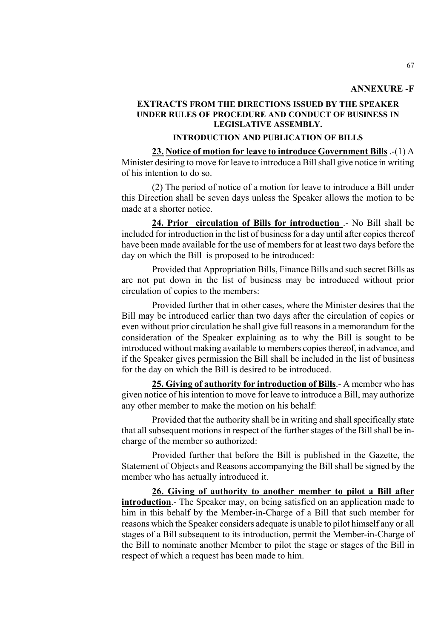## **EXTRACTS FROM THE DIRECTIONS ISSUED BY THE SPEAKER UNDER RULES OF PROCEDURE AND CONDUCT OF BUSINESS IN LEGISLATIVE ASSEMBLY.**

#### **INTRODUCTION AND PUBLICATION OF BILLS**

**23. Notice of motion for leave to introduce Government Bills** .-(1) A Minister desiring to move for leave to introduce a Bill shall give notice in writing of his intention to do so.

(2) The period of notice of a motion for leave to introduce a Bill under this Direction shall be seven days unless the Speaker allows the motion to be made at a shorter notice.

**24. Prior circulation of Bills for introduction** .- No Bill shall be included for introduction in the list of business for a day until after copies thereof have been made available for the use of members for at least two days before the day on which the Bill is proposed to be introduced:

Provided that Appropriation Bills, Finance Bills and such secret Bills as are not put down in the list of business may be introduced without prior circulation of copies to the members:

Provided further that in other cases, where the Minister desires that the Bill may be introduced earlier than two days after the circulation of copies or even without prior circulation he shall give full reasons in a memorandum for the consideration of the Speaker explaining as to why the Bill is sought to be introduced without making available to members copies thereof, in advance, and if the Speaker gives permission the Bill shall be included in the list of business for the day on which the Bill is desired to be introduced.

**25. Giving of authority for introduction of Bills**.- A member who has given notice of his intention to move for leave to introduce a Bill, may authorize any other member to make the motion on his behalf:

Provided that the authority shall be in writing and shall specifically state that all subsequent motions in respect of the further stages of the Bill shall be incharge of the member so authorized:

Provided further that before the Bill is published in the Gazette, the Statement of Objects and Reasons accompanying the Bill shall be signed by the member who has actually introduced it.

**26. Giving of authority to another member to pilot a Bill after introduction**.- The Speaker may, on being satisfied on an application made to him in this behalf by the Member-in-Charge of a Bill that such member for reasons which the Speaker considers adequate is unable to pilot himself any or all stages of a Bill subsequent to its introduction, permit the Member-in-Charge of the Bill to nominate another Member to pilot the stage or stages of the Bill in respect of which a request has been made to him.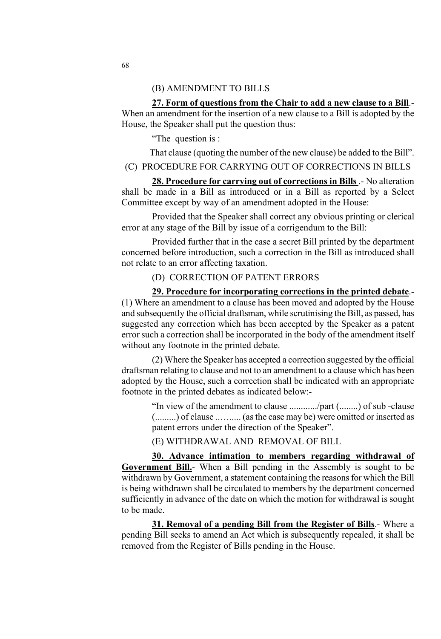## (B) AMENDMENT TO BILLS

**27. Form of questions from the Chair to add a new clause to a Bill**.- When an amendment for the insertion of a new clause to a Bill is adopted by the House, the Speaker shall put the question thus:

"The question is :

That clause (quoting the number of the new clause) be added to the Bill".

#### (C) PROCEDURE FOR CARRYING OUT OF CORRECTIONS IN BILLS

**28. Procedure for carrying out of corrections in Bills** .- No alteration shall be made in a Bill as introduced or in a Bill as reported by a Select Committee except by way of an amendment adopted in the House:

Provided that the Speaker shall correct any obvious printing or clerical error at any stage of the Bill by issue of a corrigendum to the Bill:

Provided further that in the case a secret Bill printed by the department concerned before introduction, such a correction in the Bill as introduced shall not relate to an error affecting taxation.

## (D) CORRECTION OF PATENT ERRORS

**29. Procedure for incorporating corrections in the printed debate**.- (1) Where an amendment to a clause has been moved and adopted by the House and subsequently the official draftsman, while scrutinising the Bill, as passed, has suggested any correction which has been accepted by the Speaker as a patent error such a correction shall be incorporated in the body of the amendment itself without any footnote in the printed debate.

(2) Where the Speaker has accepted a correction suggested by the official draftsman relating to clause and not to an amendment to a clause which has been adopted by the House, such a correction shall be indicated with an appropriate footnote in the printed debates as indicated below:-

> "In view of the amendment to clause ............/part (........) of sub -clause (.........) of clause ..…..... (as the case may be) were omitted or inserted as patent errors under the direction of the Speaker".

(E) WITHDRAWAL AND REMOVAL OF BILL

**30. Advance intimation to members regarding withdrawal of Government Bill.**- When a Bill pending in the Assembly is sought to be withdrawn by Government, a statement containing the reasons for which the Bill is being withdrawn shall be circulated to members by the department concerned sufficiently in advance of the date on which the motion for withdrawal is sought to be made.

**31. Removal of a pending Bill from the Register of Bills**.- Where a pending Bill seeks to amend an Act which is subsequently repealed, it shall be removed from the Register of Bills pending in the House.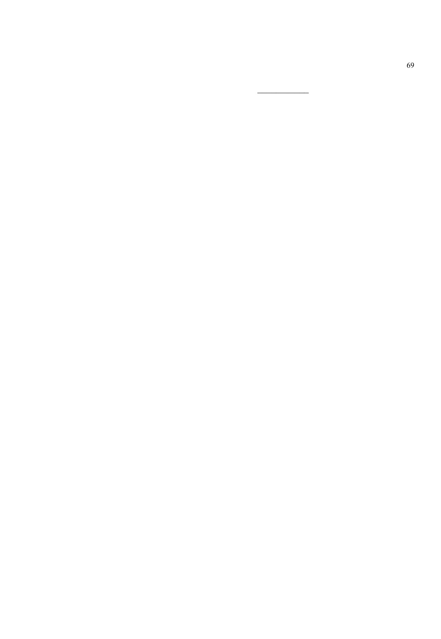69

L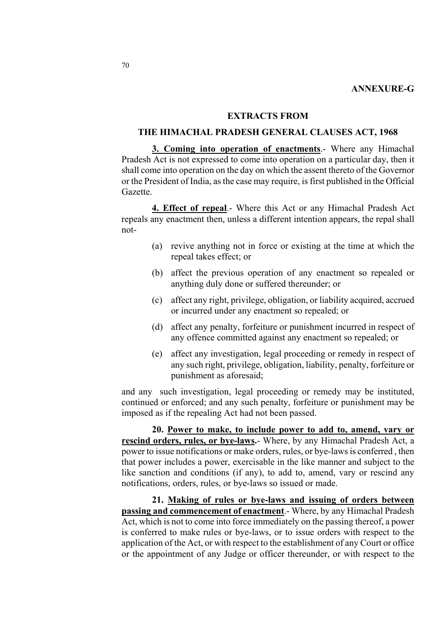#### **EXTRACTS FROM**

#### **THE HIMACHAL PRADESH GENERAL CLAUSES ACT, 1968**

**3. Coming into operation of enactments**.- Where any Himachal Pradesh Act is not expressed to come into operation on a particular day, then it shall come into operation on the day on which the assent thereto of the Governor or the President of India, as the case may require, is first published in the Official Gazette.

**4. Effect of repeal**.- Where this Act or any Himachal Pradesh Act repeals any enactment then, unless a different intention appears, the repal shall not-

- (a) revive anything not in force or existing at the time at which the repeal takes effect; or
- (b) affect the previous operation of any enactment so repealed or anything duly done or suffered thereunder; or
- (c) affect any right, privilege, obligation, or liability acquired, accrued or incurred under any enactment so repealed; or
- (d) affect any penalty, forfeiture or punishment incurred in respect of any offence committed against any enactment so repealed; or
- (e) affect any investigation, legal proceeding or remedy in respect of any such right, privilege, obligation, liability, penalty, forfeiture or punishment as aforesaid;

and any such investigation, legal proceeding or remedy may be instituted, continued or enforced; and any such penalty, forfeiture or punishment may be imposed as if the repealing Act had not been passed.

**20. Power to make, to include power to add to, amend, vary or rescind orders, rules, or bye-laws.**- Where, by any Himachal Pradesh Act, a power to issue notifications or make orders, rules, or bye-laws is conferred , then that power includes a power, exercisable in the like manner and subject to the like sanction and conditions (if any), to add to, amend, vary or rescind any notifications, orders, rules, or bye-laws so issued or made.

**21. Making of rules or bye-laws and issuing of orders between passing and commencement of enactment**.- Where, by any Himachal Pradesh Act, which is not to come into force immediately on the passing thereof, a power is conferred to make rules or bye-laws, or to issue orders with respect to the application of the Act, or with respect to the establishment of any Court or office or the appointment of any Judge or officer thereunder, or with respect to the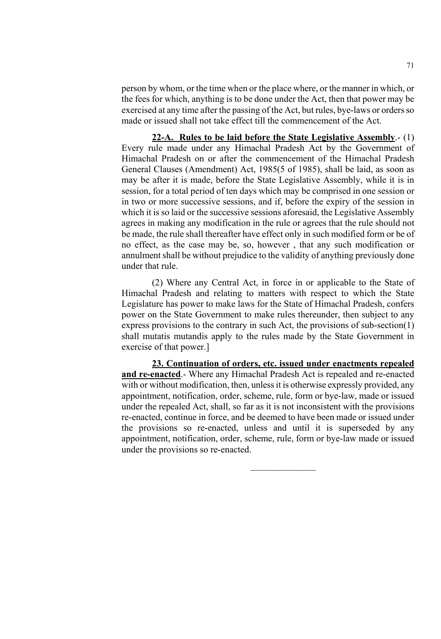person by whom, or the time when or the place where, or the manner in which, or the fees for which, anything is to be done under the Act, then that power may be exercised at any time after the passing of the Act, but rules, bye-laws or orders so made or issued shall not take effect till the commencement of the Act.

**22-A. Rules to be laid before the State Legislative Assembly**.- (1) Every rule made under any Himachal Pradesh Act by the Government of Himachal Pradesh on or after the commencement of the Himachal Pradesh General Clauses (Amendment) Act, 1985(5 of 1985), shall be laid, as soon as may be after it is made, before the State Legislative Assembly, while it is in session, for a total period of ten days which may be comprised in one session or in two or more successive sessions, and if, before the expiry of the session in which it is so laid or the successive sessions aforesaid, the Legislative Assembly agrees in making any modification in the rule or agrees that the rule should not be made, the rule shall thereafter have effect only in such modified form or be of no effect, as the case may be, so, however , that any such modification or annulment shall be without prejudice to the validity of anything previously done under that rule.

(2) Where any Central Act, in force in or applicable to the State of Himachal Pradesh and relating to matters with respect to which the State Legislature has power to make laws for the State of Himachal Pradesh, confers power on the State Government to make rules thereunder, then subject to any express provisions to the contrary in such Act, the provisions of sub-section(1) shall mutatis mutandis apply to the rules made by the State Government in exercise of that power.]

**23. Continuation of orders, etc. issued under enactments repealed and re-enacted**.- Where any Himachal Pradesh Act is repealed and re-enacted with or without modification, then, unless it is otherwise expressly provided, any appointment, notification, order, scheme, rule, form or bye-law, made or issued under the repealed Act, shall, so far as it is not inconsistent with the provisions re-enacted, continue in force, and be deemed to have been made or issued under the provisions so re-enacted, unless and until it is superseded by any appointment, notification, order, scheme, rule, form or bye-law made or issued under the provisions so re-enacted.

 $\overline{\phantom{a}}$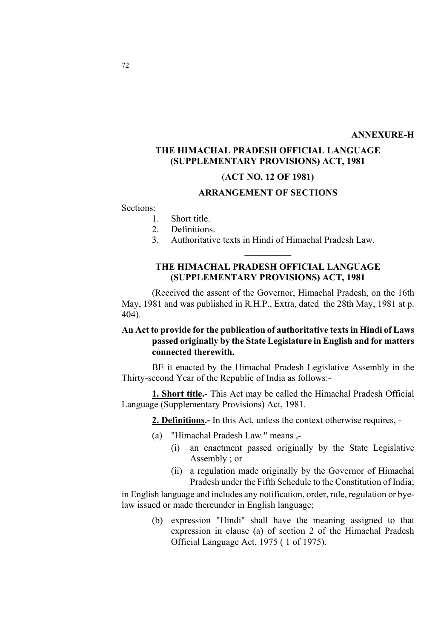#### **ANNEXURE-H**

### **THE HIMACHAL PRADESH OFFICIAL LANGUAGE (SUPPLEMENTARY PROVISIONS) ACT, 1981**

#### (**ACT NO. 12 OF 1981)**

#### **ARRANGEMENT OF SECTIONS**

Sections:

- 1. Short title.
- 2. Definitions.
- 3. Authoritative texts in Hindi of Himachal Pradesh Law. **\_\_\_\_\_\_\_\_\_\_**

## **THE HIMACHAL PRADESH OFFICIAL LANGUAGE (SUPPLEMENTARY PROVISIONS) ACT, 1981**

(Received the assent of the Governor, Himachal Pradesh, on the 16th May, 1981 and was published in R.H.P., Extra, datedthe 28th May, 1981 at p. 404).

## **An Act to provide for the publication of authoritative texts in Hindi of Laws passed originally by the State Legislature in English and for matters connected therewith.**

BE it enacted by the Himachal Pradesh Legislative Assembly in the Thirty-second Year of the Republic of India as follows:-

**1. Short title.-** This Act may be called the Himachal Pradesh Official Language (Supplementary Provisions) Act, 1981.

**2. Definitions.-** In this Act, unless the context otherwise requires, -

- (a) "Himachal Pradesh Law " means ,-
	- (i) an enactment passed originally by the State Legislative Assembly ; or
	- (ii) a regulation made originally by the Governor of Himachal Pradesh under the Fifth Schedule to the Constitution of India;

in English language and includes any notification, order, rule, regulation or byelaw issued or made thereunder in English language;

> (b) expression "Hindi" shall have the meaning assigned to that expression in clause (a) of section 2 of the Himachal Pradesh Official Language Act, 1975 ( 1 of 1975).